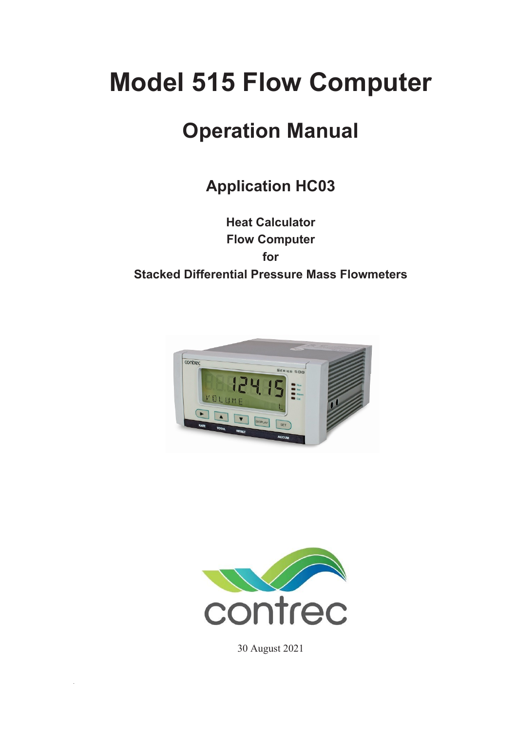# **Model 515 Flow Computer**

# **Operation Manual**

## **Application HC03**

**Heat Calculator Flow Computer for Stacked Differential Pressure Mass Flowmeters** 





30 August 2021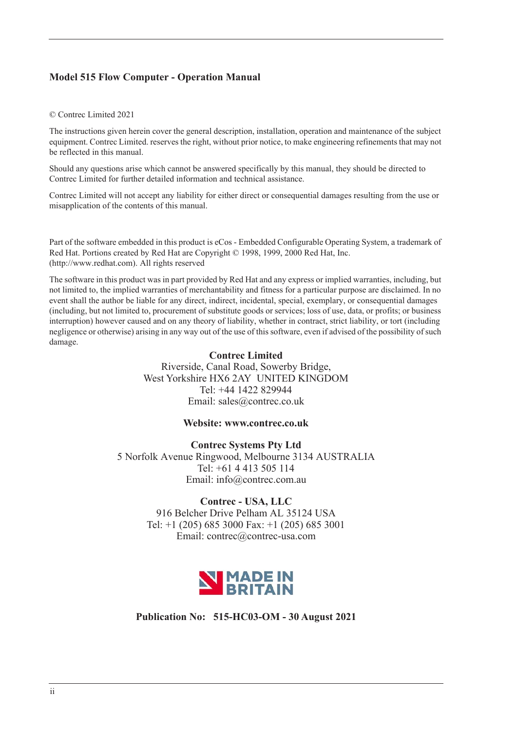#### **Model 515 Flow Computer - Operation Manual**

#### © Contrec Limited 2021

The instructions given herein cover the general description, installation, operation and maintenance of the subject equipment. Contrec Limited. reserves the right, without prior notice, to make engineering refinements that may not be reflected in this manual.

Should any questions arise which cannot be answered specifically by this manual, they should be directed to Contrec Limited for further detailed information and technical assistance.

Contrec Limited will not accept any liability for either direct or consequential damages resulting from the use or misapplication of the contents of this manual.

Part of the software embedded in this product is eCos - Embedded Configurable Operating System, a trademark of Red Hat. Portions created by Red Hat are Copyright © 1998, 1999, 2000 Red Hat, Inc. (http://www.redhat.com). All rights reserved

The software in this product was in part provided by Red Hat and any express or implied warranties, including, but not limited to, the implied warranties of merchantability and fitness for a particular purpose are disclaimed. In no event shall the author be liable for any direct, indirect, incidental, special, exemplary, or consequential damages (including, but not limited to, procurement of substitute goods or services; loss of use, data, or profits; or business interruption) however caused and on any theory of liability, whether in contract, strict liability, or tort (including negligence or otherwise) arising in any way out of the use of this software, even if advised of the possibility of such damage.

#### **Contrec Limited**

Riverside, Canal Road, Sowerby Bridge, West Yorkshire HX6 2AY UNITED KINGDOM Tel: +44 1422 829944 Email: sales@contrec.co.uk

#### **Website: www.contrec.co.uk**

**Contrec Systems Pty Ltd** 5 Norfolk Avenue Ringwood, Melbourne 3134 AUSTRALIA Tel: +61 4 413 505 114 Email: info@contrec.com.au

#### **Contrec - USA, LLC**

916 Belcher Drive Pelham AL 35124 USA Tel: +1 (205) 685 3000 Fax: +1 (205) 685 3001 Email: contrec@contrec-usa.com



**Publication No: 515-HC03-OM - 30 August 2021**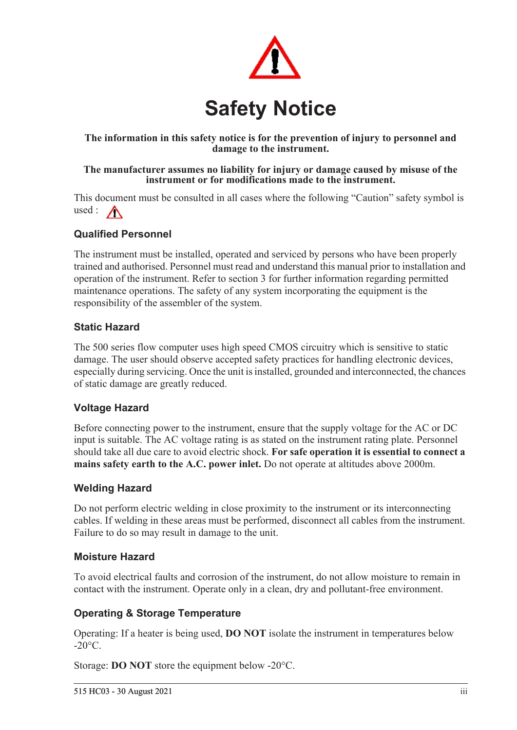

#### **The information in this safety notice is for the prevention of injury to personnel and damage to the instrument.**

#### **The manufacturer assumes no liability for injury or damage caused by misuse of the instrument or for modifications made to the instrument.**

This document must be consulted in all cases where the following "Caution" safety symbol is used :  $\bigwedge$ 

### **Qualified Personnel**

The instrument must be installed, operated and serviced by persons who have been properly trained and authorised. Personnel must read and understand this manual prior to installation and operation of the instrument. Refer to section 3 for further information regarding permitted maintenance operations. The safety of any system incorporating the equipment is the responsibility of the assembler of the system.

#### **Static Hazard**

The 500 series flow computer uses high speed CMOS circuitry which is sensitive to static damage. The user should observe accepted safety practices for handling electronic devices, especially during servicing. Once the unit is installed, grounded and interconnected, the chances of static damage are greatly reduced.

#### **Voltage Hazard**

Before connecting power to the instrument, ensure that the supply voltage for the AC or DC input is suitable. The AC voltage rating is as stated on the instrument rating plate. Personnel should take all due care to avoid electric shock. **For safe operation it is essential to connect a mains safety earth to the A.C. power inlet.** Do not operate at altitudes above 2000m.

#### **Welding Hazard**

Do not perform electric welding in close proximity to the instrument or its interconnecting cables. If welding in these areas must be performed, disconnect all cables from the instrument. Failure to do so may result in damage to the unit.

#### **Moisture Hazard**

To avoid electrical faults and corrosion of the instrument, do not allow moisture to remain in contact with the instrument. Operate only in a clean, dry and pollutant-free environment.

#### **Operating & Storage Temperature**

Operating: If a heater is being used, **DO NOT** isolate the instrument in temperatures below  $-20^{\circ}$ C.

Storage: **DO NOT** store the equipment below -20°C.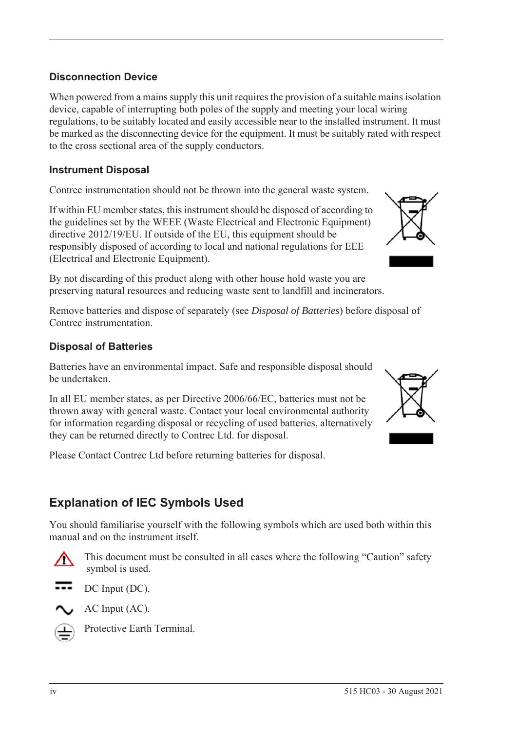#### **Disconnection Device**

When powered from a mains supply this unit requires the provision of a suitable mains isolation device, capable of interrupting both poles of the supply and meeting your local wiring regulations, to be suitably located and easily accessible near to the installed instrument. It must be marked as the disconnecting device for the equipment. It must be suitably rated with respect to the cross sectional area of the supply conductors.

#### **Instrument Disposal**

Contrec instrumentation should not be thrown into the general waste system.

If within EU member states, this instrument should be disposed of according to the guidelines set by the WEEE (Waste Electrical and Electronic Equipment) directive 2012/19/EU. If outside of the EU, this equipment should be responsibly disposed of according to local and national regulations for EEE (Electrical and Electronic Equipment).

By not discarding of this product along with other house hold waste you are preserving natural resources and reducing waste sent to landfill and incinerators.

Remove batteries and dispose of separately (see *Disposal of Batteries*) before disposal of Contrec instrumentation.

#### **Disposal of Batteries**

Batteries have an environmental impact. Safe and responsible disposal should be undertaken.

In all EU member states, as per Directive 2006/66/EC, batteries must not be thrown away with general waste. Contact your local environmental authority for information regarding disposal or recycling of used batteries, alternatively they can be returned directly to Contrec Ltd. for disposal.

Please Contact Contrec Ltd before returning batteries for disposal.

## **Explanation of IEC Symbols Used**

You should familiarise yourself with the following symbols which are used both within this manual and on the instrument itself.



 This document must be consulted in all cases where the following "Caution" safety symbol is used.



AC Input (AC).



Protective Earth Terminal.





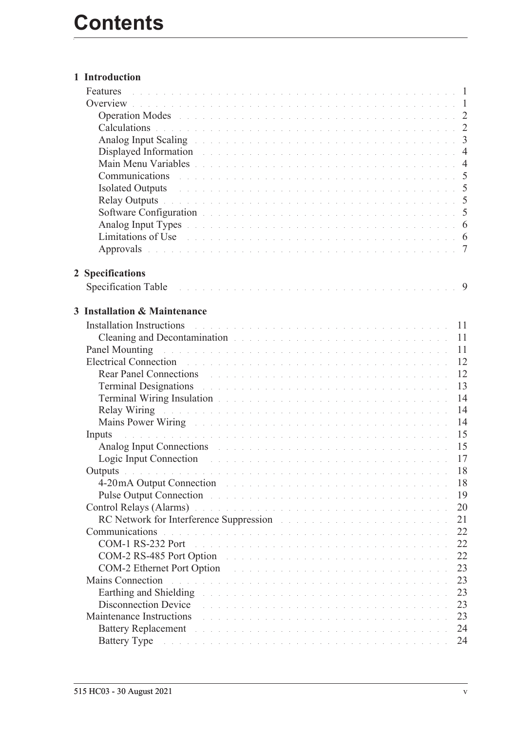### **[1 Introduction](#page-10-0)**

|   | Calculations de la communication de la communication de la communication de la communication de la communication                                                                                                               |    |
|---|--------------------------------------------------------------------------------------------------------------------------------------------------------------------------------------------------------------------------------|----|
|   |                                                                                                                                                                                                                                |    |
|   | Displayed Information and the contract of the contract of the contract of the contract of the 4                                                                                                                                |    |
|   |                                                                                                                                                                                                                                |    |
|   | Communications des contracts and contracts and contracts are a series and the 5                                                                                                                                                |    |
|   | Isolated Outputs and a contract the contract of the contract of the contract of the S                                                                                                                                          |    |
|   | Relay Outputs No. 1994 Service State State State State State State State State State State State State State S                                                                                                                 |    |
|   |                                                                                                                                                                                                                                |    |
|   |                                                                                                                                                                                                                                |    |
|   | Limitations of Use the community of the community of the community of the community of the community of the community of the community of the community of the community of the community of the community of the community of |    |
|   | Approvals the contract of the contract of the contract of the contract of the contract of the contract of the $\tau$                                                                                                           |    |
|   |                                                                                                                                                                                                                                |    |
|   | 2 Specifications                                                                                                                                                                                                               |    |
|   |                                                                                                                                                                                                                                |    |
|   |                                                                                                                                                                                                                                |    |
| 3 | <b>Installation &amp; Maintenance</b>                                                                                                                                                                                          |    |
|   | Installation Instructions and a contract of the contract of the contract of the contract of the contract of the                                                                                                                |    |
|   | Cleaning and Decontamination and the contract of the contract of the contract of the contract of the contract of the contract of the contract of the contract of the contract of the contract of the contract of the contract  |    |
|   | Panel Mounting research and contract the contract of the contract of the contract of the 11                                                                                                                                    |    |
|   | Electrical Connection and a constant of the contract of the contract of the contract of the contract of the contract of the contract of the contract of the contract of the contract of the contract of the contract of the co |    |
|   | Rear Panel Connections and the contract of the contract of the contract of the contract of the contract of the contract of the contract of the contract of the contract of the contract of the contract of the contract of the | 12 |
|   | Terminal Designations and a contract the contract of the contract of the contract of the contract of the contract of the contract of the contract of the contract of the contract of the contract of the contract of the contr | 13 |
|   | Terminal Wiring Insulation and a contract of the contract of the contract of the 14                                                                                                                                            |    |
|   | Relay Wiring Theorem 2014 Communication of the Communication of the Communication of the Relay of the Communication of the Communication of the Communication of the Communication of the Communication of the Communication o |    |
|   | Mains Power Wiring Mathews Allen and Allen and Allen and Allen and Allen and Allen and Allen and Allen and Allen                                                                                                               | 14 |
|   | . The contract of the contract of the contract of the contract of the contract $\sim 15$<br>Inputs                                                                                                                             |    |
|   | Analog Input Connections and a contract the contract of the contract of the state of the 15                                                                                                                                    |    |
|   | Logic Input Connection and a construction of the contract of the contract of the 17                                                                                                                                            |    |
|   | Outputs a communication of the communication of the communication of the communication                                                                                                                                         | 18 |
|   | 4-20 mA Output Connection and the contract of the contract of the contract of the contract of the contract of the contract of the contract of the contract of the contract of the contract of the contract of the contract of  | 18 |
|   | Pulse Output Connection entry the contract of the contract of the contract of the connection of the connection                                                                                                                 | 19 |
|   | Control Relays (Alarms) and a control of the control of the control of the control of the control of the control of the control of the control of the control of the control of the control of the control of the control of t | 20 |
|   | RC Network for Interference Suppression and a contract to the contract of the set of the set of the set of the                                                                                                                 | 21 |
|   | Communications<br>.<br>In the second complete the second complete service in the second complete service in the second complete servic                                                                                         | 22 |
|   | COM-1 RS-232 Port<br>.<br>The contract of the contract of the contract of the contract of the contract of the contract of the contract of                                                                                      | 22 |
|   | COM-2 RS-485 Port Option                                                                                                                                                                                                       | 22 |
|   | COM-2 Ethernet Port Option                                                                                                                                                                                                     | 23 |
|   | <b>Mains Connection</b><br>.<br>In the company of the company of the company of the company of the company of the company of the company of th                                                                                 | 23 |
|   | Earthing and Shielding Theorem 2014 Contract of the Contract of the Contract of the Contract of the Contract of the Contract of the Contract of the Contract of the Contract of the Contract of the Contract of the Contract o | 23 |
|   | Disconnection Device<br>.<br>In the second contract of the second contract of the second contract of the second contract of the second cont                                                                                    | 23 |
|   | Maintenance Instructions                                                                                                                                                                                                       | 23 |
|   | Battery Replacement and the contract of the contract of the contract of the contract of the contract of the contract of the contract of the contract of the contract of the contract of the contract of the contract of the co | 24 |
|   | Battery Type and a contract the contract of the contract of the contract of the contract of the contract of the                                                                                                                | 24 |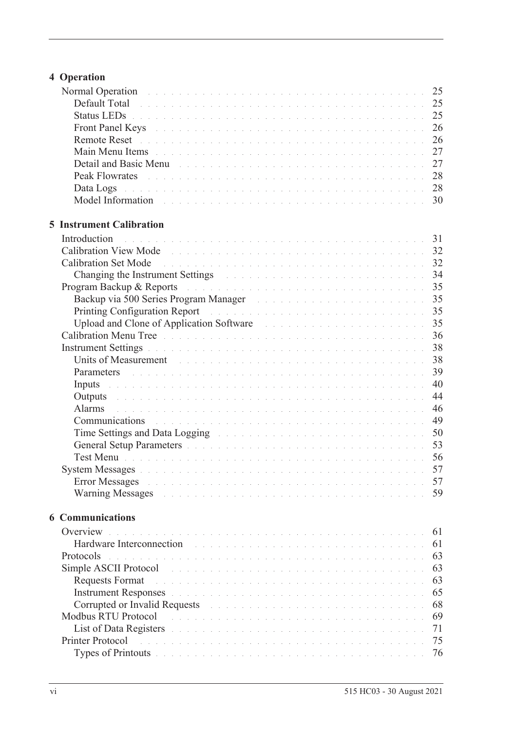## **[4 Operation](#page-34-0)**

| Normal Operation and a contract the contract of the contract of the contract of the 25                                                                                                                                         |  |  |  |  |  |  |  |  |          |
|--------------------------------------------------------------------------------------------------------------------------------------------------------------------------------------------------------------------------------|--|--|--|--|--|--|--|--|----------|
| Default Total de la commune de la commune de la commune de la commune de la commune de 25                                                                                                                                      |  |  |  |  |  |  |  |  |          |
| Status LEDs <b>Election Community 25</b> Status Leader Community 25                                                                                                                                                            |  |  |  |  |  |  |  |  |          |
| Front Panel Keys and a construction of the construction of the construction of 26                                                                                                                                              |  |  |  |  |  |  |  |  |          |
|                                                                                                                                                                                                                                |  |  |  |  |  |  |  |  |          |
| Main Menu Items des anderes and des anderes and des anderes and the contract of 27                                                                                                                                             |  |  |  |  |  |  |  |  |          |
|                                                                                                                                                                                                                                |  |  |  |  |  |  |  |  |          |
|                                                                                                                                                                                                                                |  |  |  |  |  |  |  |  |          |
| Data Logs de la component de la component de la component de la component de 28                                                                                                                                                |  |  |  |  |  |  |  |  |          |
|                                                                                                                                                                                                                                |  |  |  |  |  |  |  |  |          |
|                                                                                                                                                                                                                                |  |  |  |  |  |  |  |  |          |
| <b>5 Instrument Calibration</b>                                                                                                                                                                                                |  |  |  |  |  |  |  |  |          |
| Introduction                                                                                                                                                                                                                   |  |  |  |  |  |  |  |  |          |
|                                                                                                                                                                                                                                |  |  |  |  |  |  |  |  |          |
|                                                                                                                                                                                                                                |  |  |  |  |  |  |  |  |          |
| Changing the Instrument Settings and a contract of the contract of the state of the 34                                                                                                                                         |  |  |  |  |  |  |  |  |          |
| Program Backup & Reports and a contract the contract of the contract of the state of the 35                                                                                                                                    |  |  |  |  |  |  |  |  |          |
|                                                                                                                                                                                                                                |  |  |  |  |  |  |  |  |          |
|                                                                                                                                                                                                                                |  |  |  |  |  |  |  |  |          |
| Upload and Clone of Application Software and a substitution of the Software and a substitution of Application Software                                                                                                         |  |  |  |  |  |  |  |  |          |
| Calibration Menu Tree Albert and Albert and Albert and Albert and Albert and Albert 36                                                                                                                                         |  |  |  |  |  |  |  |  |          |
|                                                                                                                                                                                                                                |  |  |  |  |  |  |  |  |          |
| Units of Measurement                                                                                                                                                                                                           |  |  |  |  |  |  |  |  | 38       |
| Parameters and a construction of the construction of the construction of the 39                                                                                                                                                |  |  |  |  |  |  |  |  |          |
| Inputs and a communication of the communication of the communication of the communication of the communication                                                                                                                 |  |  |  |  |  |  |  |  | 40       |
| Outputs and a construction of the construction of the construction of the construction of the construction of                                                                                                                  |  |  |  |  |  |  |  |  | 44       |
| Alarms                                                                                                                                                                                                                         |  |  |  |  |  |  |  |  | 46       |
| <b>Communications <i>COMMUNICATION COMMUNICATION</i> <b><i>COMMUNICATION COMMUNICATION</i></b></b>                                                                                                                             |  |  |  |  |  |  |  |  | 49       |
| Time Settings and Data Logging The Contract of the Contract of the Settings and Data Logging                                                                                                                                   |  |  |  |  |  |  |  |  | 50       |
| General Setup Parameters and a construction of the construction of the set of the S3                                                                                                                                           |  |  |  |  |  |  |  |  |          |
| Test Menu barramente de la construcción de la construcción de la construcción de la construcción de 56                                                                                                                         |  |  |  |  |  |  |  |  |          |
| System Messages with a community of the community of the set of the community of the community of the community of the community of the community of the community of the community of the community of the community of the c |  |  |  |  |  |  |  |  | 57       |
| <b>Error Messages</b>                                                                                                                                                                                                          |  |  |  |  |  |  |  |  | 57       |
| Warning Messages and a contract the contract of the contract of the contract of the contract of the contract of the contract of the contract of the contract of the contract of the contract of the contract of the contract o |  |  |  |  |  |  |  |  | 59       |
| <b>6 Communications</b>                                                                                                                                                                                                        |  |  |  |  |  |  |  |  |          |
| Overview<br>.<br>In the second contract of the second contract of the second contract of the second contract of the second contr                                                                                               |  |  |  |  |  |  |  |  | 61       |
|                                                                                                                                                                                                                                |  |  |  |  |  |  |  |  | 61       |
| Hardware Interconnection<br>.<br>The contract of the contract of the contract of the contract of the contract of the contract of the contract o                                                                                |  |  |  |  |  |  |  |  |          |
| Protocols<br>a construction and a construction of a construction of a construction of a construction of a construction of                                                                                                      |  |  |  |  |  |  |  |  | 63<br>63 |
| Simple ASCII Protocol<br>.<br>The second complete state of the complete state of the second complete state of the complete state of the second                                                                                 |  |  |  |  |  |  |  |  |          |
| <b>Requests Format</b>                                                                                                                                                                                                         |  |  |  |  |  |  |  |  | 63       |
| Instrument Responses and a construction of the construction of the construction of the construction of the construction of the construction of the construction of the construction of the construction of the construction of |  |  |  |  |  |  |  |  | 65       |
| Corrupted or Invalid Requests and a contract the contract of the contract of the contract of the contract of the contract of the contract of the contract of the contract of the contract of the contract of the contract of t |  |  |  |  |  |  |  |  | 68       |
| Modbus RTU Protocol<br>.<br>The second complete state of the second complete state of the second complete state of the second complete state of                                                                                |  |  |  |  |  |  |  |  | 69       |
| List of Data Registers and a conservation of the conservation of the conservation of the conservation of the conservation of the conservation of the conservation of the conservation of the conservation of the conservation  |  |  |  |  |  |  |  |  | 71       |
| Printer Protocol<br>.<br>In the second complete the second complete second complete the second complete second complete second complete                                                                                        |  |  |  |  |  |  |  |  | 75       |
| Types of Printouts and a contract of the contract of the contract of the contract of the contract of the contract of the contract of the contract of the contract of the contract of the contract of the contract of the contr |  |  |  |  |  |  |  |  | 76       |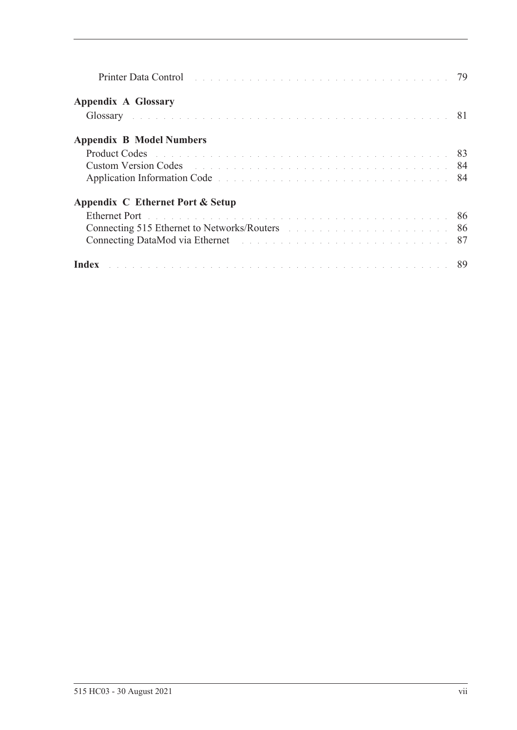| Printer Data Control <b>Expansion Control</b> 29                                                                                                                                                                               |  |
|--------------------------------------------------------------------------------------------------------------------------------------------------------------------------------------------------------------------------------|--|
| <b>Appendix A Glossary</b>                                                                                                                                                                                                     |  |
| Glossary and the contract of the contract of the contract of the contract of the contract of the contract of the contract of the contract of the contract of the contract of the contract of the contract of the contract of t |  |
| <b>Appendix B Model Numbers</b>                                                                                                                                                                                                |  |
|                                                                                                                                                                                                                                |  |
| <b>Custom Version Codes Contained Algebra</b> 2014 <b>Custom Version Codes Contained Algebra 2014</b>                                                                                                                          |  |
| Application Information Code                                                                                                                                                                                                   |  |
| Appendix C Ethernet Port & Setup                                                                                                                                                                                               |  |
| Ethernet Port de la communicación de la communicación de la communicación de la communicación 86                                                                                                                               |  |
| Connecting 515 Ethernet to Networks/Routers and a connection of the state of the 86                                                                                                                                            |  |
|                                                                                                                                                                                                                                |  |
| Index <b>Index International Contract Construction</b> in the construction of the construction of $89$                                                                                                                         |  |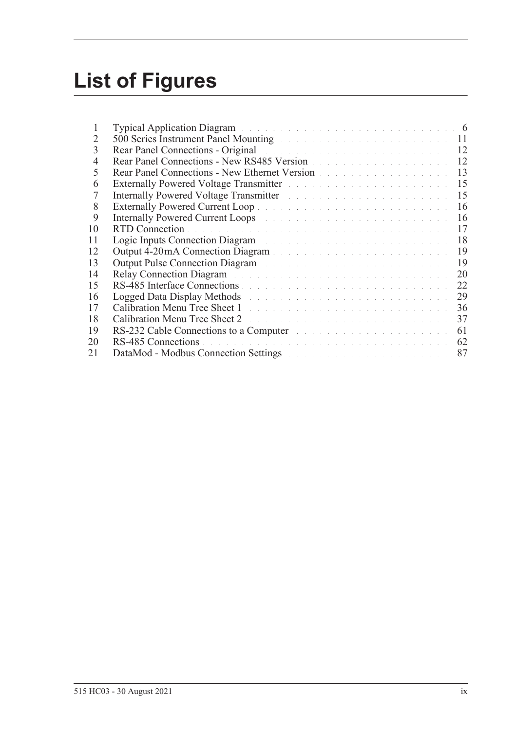# **List of Figures**

| T              | <b>Typical Application Diagram</b> and a contract the contract of the contract of the <b>6</b>                                                                                                                                 |    |
|----------------|--------------------------------------------------------------------------------------------------------------------------------------------------------------------------------------------------------------------------------|----|
| 2              | 500 Series Instrument Panel Mounting and a contract of the series of the 11                                                                                                                                                    |    |
| 3              | Rear Panel Connections - Original entrepreneur and a series of the series of the 12                                                                                                                                            |    |
| $\overline{4}$ | Rear Panel Connections - New RS485 Version                                                                                                                                                                                     | 12 |
| 5              | Rear Panel Connections - New Ethernet Version                                                                                                                                                                                  | 13 |
| 6              | Externally Powered Voltage Transmitter North State Land and American State Land                                                                                                                                                | 15 |
| 7              | Internally Powered Voltage Transmitter March 2014 and State and State and State and                                                                                                                                            | 15 |
| 8              |                                                                                                                                                                                                                                | 16 |
| 9              | Internally Powered Current Loops and a substitution of the state of the state of the                                                                                                                                           | 16 |
| 10             |                                                                                                                                                                                                                                | 17 |
| 11             | Logic Inputs Connection Diagram and a connection of the Connection of the Connection of the Connection of the Connection of the Connection of the Connection of the Connection of the Connection of the Connection of the Conn | 18 |
| 12             |                                                                                                                                                                                                                                | 19 |
| 13             | Output Pulse Connection Diagram and a connection of the Connection of the Connection of the Connection of the Connection of the Connection of the Connection of the Connection of the Connection of the Connection of the Conn | 19 |
| 14             | Relay Connection Diagram and a connection of the connection of the Connection of the Connection of the Connection of the Connection of the Connection of the Connection of the Connection of the Connection of the Connection  | 20 |
| 15             |                                                                                                                                                                                                                                | 22 |
| 16             | Logged Data Display Methods and a contract the contract of the contract of the contract of the contract of the                                                                                                                 | 29 |
| 17             |                                                                                                                                                                                                                                | 36 |
| 18             | Calibration Menu Tree Sheet 2 and the contract of the contract of the contract of the Contract of the Contract of the Contract of the Contract of the Contract of the Contract of the Contract of the Contract of the Contract | 37 |
| 19             | RS-232 Cable Connections to a Computer and a substitution of the set of the set of the set of the set of the set of the set of the set of the set of the set of the set of the set of the set of the set of the set of the set | 61 |
| 20             |                                                                                                                                                                                                                                | 62 |
| 21             | DataMod - Modbus Connection Settings and the connection of the connection of the connection of the connection of the connection of the connection of the connection of the connection of the connection of the connection of t | 87 |
|                |                                                                                                                                                                                                                                |    |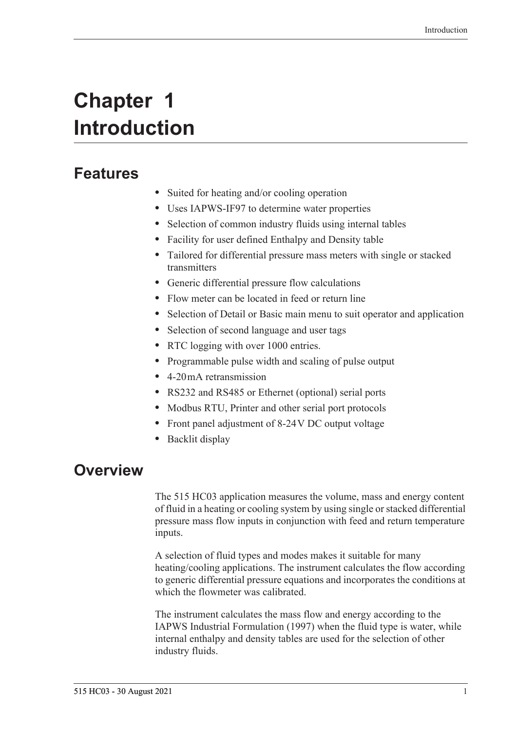# <span id="page-10-0"></span>**Chapter 1 Introduction**

## <span id="page-10-1"></span>**Features**

- **•** Suited for heating and/or cooling operation
- **•** Uses IAPWS-IF97 to determine water properties
- **•** Selection of common industry fluids using internal tables
- **•** Facility for user defined Enthalpy and Density table
- **•** Tailored for differential pressure mass meters with single or stacked transmitters
- **•** Generic differential pressure flow calculations
- **•** Flow meter can be located in feed or return line
- **•** Selection of Detail or Basic main menu to suit operator and application
- **•** Selection of second language and user tags
- RTC logging with over 1000 entries.
- **•** Programmable pulse width and scaling of pulse output
- **•** 4-20 mA retransmission
- **•** RS232 and RS485 or Ethernet (optional) serial ports
- **•** Modbus RTU, Printer and other serial port protocols
- **•** Front panel adjustment of 8-24 V DC output voltage
- **•** Backlit display

## <span id="page-10-2"></span>**Overview**

The 515 HC03 application measures the volume, mass and energy content of fluid in a heating or cooling system by using single or stacked differential pressure mass flow inputs in conjunction with feed and return temperature inputs.

A selection of fluid types and modes makes it suitable for many heating/cooling applications. The instrument calculates the flow according to generic differential pressure equations and incorporates the conditions at which the flowmeter was calibrated.

The instrument calculates the mass flow and energy according to the IAPWS Industrial Formulation (1997) when the fluid type is water, while internal enthalpy and density tables are used for the selection of other industry fluids.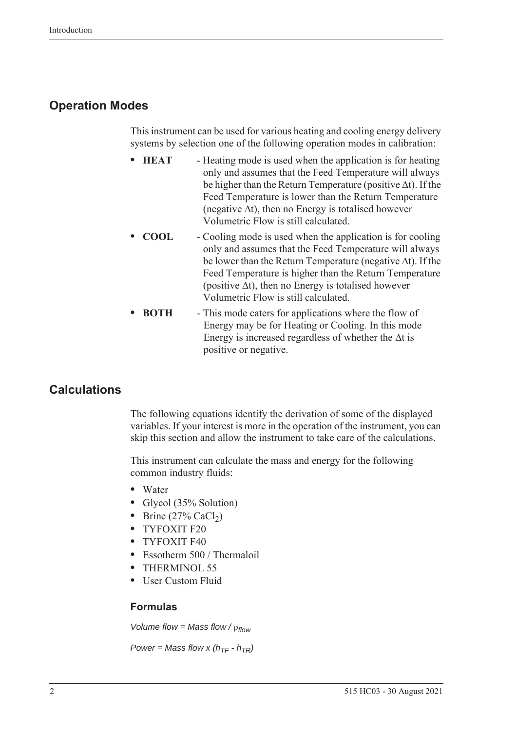## <span id="page-11-0"></span>**Operation Modes**

This instrument can be used for various heating and cooling energy delivery systems by selection one of the following operation modes in calibration:

- **HEAT** Heating mode is used when the application is for heating only and assumes that the Feed Temperature will always be higher than the Return Temperature (positive  $\Delta t$ ). If the Feed Temperature is lower than the Return Temperature (negative  $\Delta t$ ), then no Energy is totalised however Volumetric Flow is still calculated.
- **COOL** Cooling mode is used when the application is for cooling only and assumes that the Feed Temperature will always be lower than the Return Temperature (negative  $\Delta t$ ). If the Feed Temperature is higher than the Return Temperature (positive  $\Delta t$ ), then no Energy is totalised however Volumetric Flow is still calculated.
- **• BOTH** This mode caters for applications where the flow of Energy may be for Heating or Cooling. In this mode Energy is increased regardless of whether the  $\Delta t$  is positive or negative.

## <span id="page-11-1"></span>**Calculations**

The following equations identify the derivation of some of the displayed variables. If your interest is more in the operation of the instrument, you can skip this section and allow the instrument to take care of the calculations.

This instrument can calculate the mass and energy for the following common industry fluids:

- **•** Water
- **•** Glycol (35% Solution)
- Brine  $(27\% \text{ CaCl}_2)$
- **•** TYFOXIT F20
- **•** TYFOXIT F40
- **•** Essotherm 500 / Thermaloil
- **•** THERMINOL 55
- **•** User Custom Fluid

#### **Formulas**

*Volume flow = Mass flow / flow*

*Power = Mass flow x (* $h_{TF}$  *-*  $h_{TR}$ *)*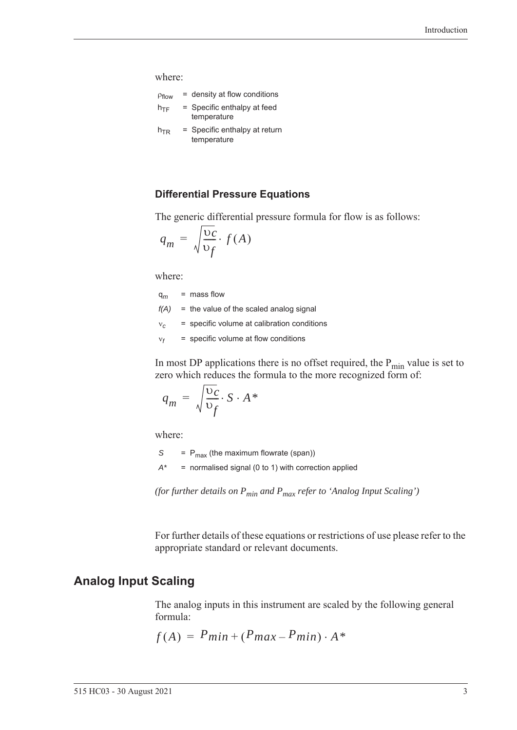where:

| Pflow           | = density at flow conditions                   |
|-----------------|------------------------------------------------|
| $h_{\text{TF}}$ | $=$ Specific enthalpy at feed<br>temperature   |
| $h_{TR}$        | $=$ Specific enthalpy at return<br>temperature |

#### **Differential Pressure Equations**

The generic differential pressure formula for flow is as follows:

$$
q_m = \sqrt{\frac{\mathrm{v}_c}{\mathrm{v}_f}} \cdot f(A)
$$

where:

 $q_m$  = mass flow *f(A)* = the value of the scaled analog signal  $v_c$  = specific volume at calibration conditions

 $v_f$  = specific volume at flow conditions

In most DP applications there is no offset required, the  $P_{min}$  value is set to zero which reduces the formula to the more recognized form of:

$$
q_m = \sqrt{\frac{\mathrm{v}_c}{\mathrm{v}_f}} \cdot S \cdot A^*
$$

where:

 $S = P_{\text{max}}$  (the maximum flowrate (span)) *A\** = normalised signal (0 to 1) with correction applied

*(for further details on P<sub>min</sub> and P<sub>max</sub> refer to 'Analog Input Scaling')* 

For further details of these equations or restrictions of use please refer to the appropriate standard or relevant documents.

## <span id="page-12-0"></span>**Analog Input Scaling**

The analog inputs in this instrument are scaled by the following general formula:

$$
f(A) = P_{min} + (P_{max} - P_{min}) \cdot A^*
$$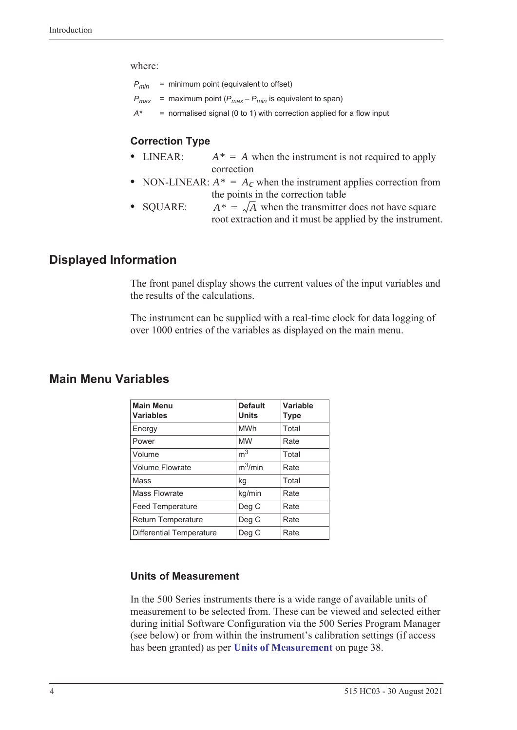#### where:

 $P_{min}$  = minimum point (equivalent to offset)

 $P_{\text{max}}$  = maximum point ( $P_{\text{max}} - P_{\text{min}}$  is equivalent to span)

*A\** = normalised signal (0 to 1) with correction applied for a flow input

#### **Correction Type**

- LINEAR:  $A^* = A$  when the instrument is not required to apply correction
- NON-LINEAR:  $A^* = A_c$  when the instrument applies correction from the points in the correction table
- SQUARE:  $A^* = \sqrt{A}$  when the transmitter does not have square root extraction and it must be applied by the instrument.

### <span id="page-13-0"></span>**Displayed Information**

The front panel display shows the current values of the input variables and the results of the calculations.

The instrument can be supplied with a real-time clock for data logging of over 1000 entries of the variables as displayed on the main menu.

#### <span id="page-13-1"></span>**Main Menu Variables**

| <b>Main Menu</b><br><b>Variables</b> | <b>Default</b><br><b>Units</b> | <b>Variable</b><br>Type |
|--------------------------------------|--------------------------------|-------------------------|
| Energy                               | <b>MWh</b>                     | Total                   |
| Power                                | <b>MW</b>                      | Rate                    |
| Volume                               | m <sup>3</sup>                 | Total                   |
| <b>Volume Flowrate</b>               | $m^3/m$ in                     | Rate                    |
| Mass                                 | kg                             | Total                   |
| <b>Mass Flowrate</b>                 | kg/min                         | Rate                    |
| <b>Feed Temperature</b>              | Deg C                          | Rate                    |
| <b>Return Temperature</b>            | Deg C                          | Rate                    |
| Differential Temperature             | Deg C                          | Rate                    |

#### **Units of Measurement**

In the 500 Series instruments there is a wide range of available units of measurement to be selected from. These can be viewed and selected either during initial Software Configuration via the 500 Series Program Manager (see below) or from within the instrument's calibration settings (if access has been granted) as per **[Units of Measurement](#page-47-2)** on page 38.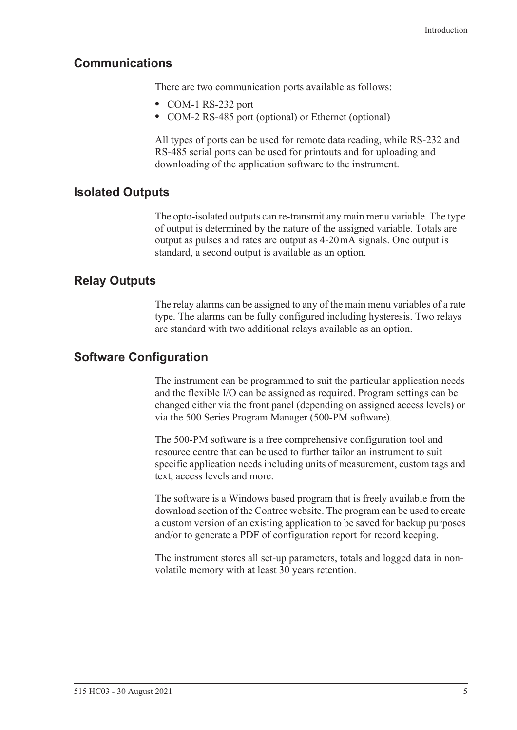### <span id="page-14-0"></span>**Communications**

There are two communication ports available as follows:

- **•** COM-1 RS-232 port
- **•** COM-2 RS-485 port (optional) or Ethernet (optional)

All types of ports can be used for remote data reading, while RS-232 and RS-485 serial ports can be used for printouts and for uploading and downloading of the application software to the instrument.

### <span id="page-14-1"></span>**Isolated Outputs**

The opto-isolated outputs can re-transmit any main menu variable. The type of output is determined by the nature of the assigned variable. Totals are output as pulses and rates are output as 4-20 mA signals. One output is standard, a second output is available as an option.

## <span id="page-14-2"></span>**Relay Outputs**

The relay alarms can be assigned to any of the main menu variables of a rate type. The alarms can be fully configured including hysteresis. Two relays are standard with two additional relays available as an option.

## <span id="page-14-3"></span>**Software Configuration**

The instrument can be programmed to suit the particular application needs and the flexible I/O can be assigned as required. Program settings can be changed either via the front panel (depending on assigned access levels) or via the 500 Series Program Manager (500-PM software).

The 500-PM software is a free comprehensive configuration tool and resource centre that can be used to further tailor an instrument to suit specific application needs including units of measurement, custom tags and text, access levels and more.

The software is a Windows based program that is freely available from the download section of the Contrec website. The program can be used to create a custom version of an existing application to be saved for backup purposes and/or to generate a PDF of configuration report for record keeping.

The instrument stores all set-up parameters, totals and logged data in nonvolatile memory with at least 30 years retention.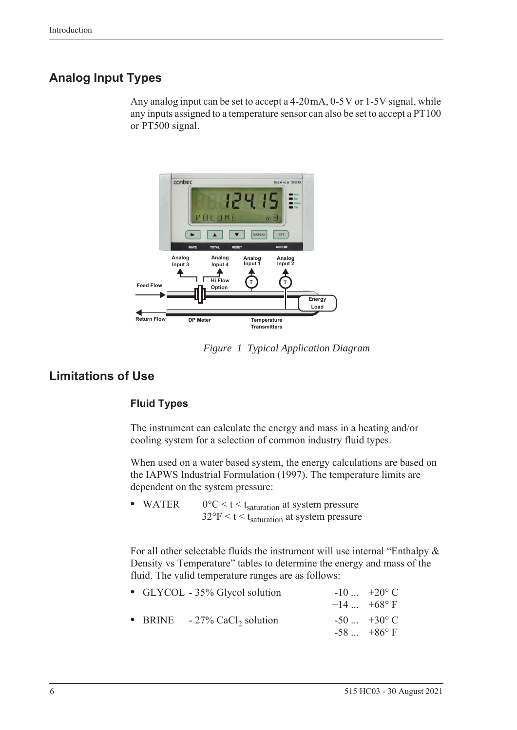## <span id="page-15-0"></span>**Analog Input Types**

Any analog input can be set to accept a 4-20 mA, 0-5 V or 1-5 V signal, while any inputs assigned to a temperature sensor can also be set to accept a PT100 or PT500 signal.



*Figure 1 Typical Application Diagram*

### <span id="page-15-1"></span>**Limitations of Use**

#### <span id="page-15-2"></span>**Fluid Types**

The instrument can calculate the energy and mass in a heating and/or cooling system for a selection of common industry fluid types.

When used on a water based system, the energy calculations are based on the IAPWS Industrial Formulation (1997). The temperature limits are dependent on the system pressure:

• WATER  $0^{\circ}C \le t \le t_{saturation}$  at system pressure  $32^{\circ}$ F < t < t<sub>saturation</sub> at system pressure

For all other selectable fluids the instrument will use internal "Enthalpy & Density vs Temperature" tables to determine the energy and mass of the fluid. The valid temperature ranges are as follows:

|  | • GLYCOL - 35% Glycol solution             | $-10 +20$ °C          |
|--|--------------------------------------------|-----------------------|
|  |                                            | $+14$ $+68^{\circ}$ F |
|  | • BRINE $-27\%$ CaCl <sub>2</sub> solution | $-50 +30^{\circ}$ C   |
|  |                                            | $-58+86^{\circ}$ F    |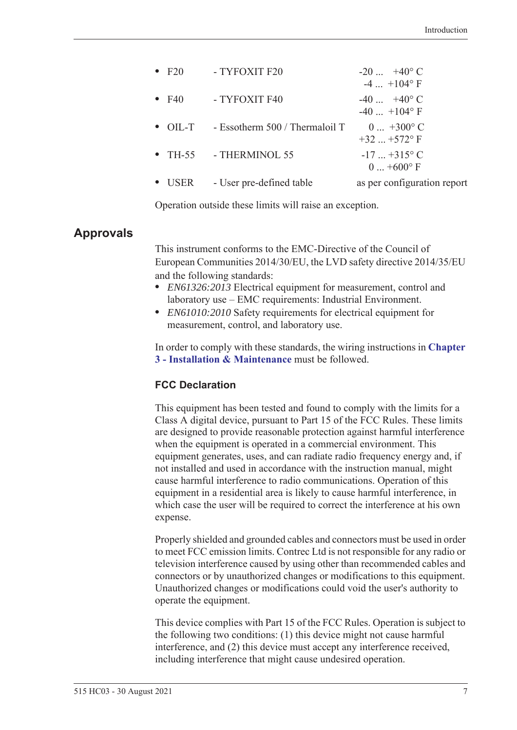| $\bullet$ F20   | - TYFOXIT F20                   | $-20 +40^{\circ} C$<br>$-4$ $+104^{\circ}$ F  |
|-----------------|---------------------------------|-----------------------------------------------|
| $\bullet$ F40   | - TYFOXIT F40                   | $-40 +40^{\circ}$ C<br>$-40$ $+104^{\circ}$ F |
| $\bullet$ OIL-T | - Essotherm $500/$ Thermaloil T | $0+300^{\circ}C$<br>$+32$ $+572$ °F           |
| $\bullet$ TH-55 | - THERMINOL 55                  | $-17+315^{\circ}$ C<br>$0+600^{\circ}$ F      |
| <b>USER</b>     | - User pre-defined table        | as per configuration report                   |

Operation outside these limits will raise an exception.

#### <span id="page-16-0"></span>**Approvals**

This instrument conforms to the EMC-Directive of the Council of European Communities 2014/30/EU, the LVD safety directive 2014/35/EU and the following standards:

- **•** *EN61326:2013* Electrical equipment for measurement, control and laboratory use – EMC requirements: Industrial Environment.
- **•** *EN61010:2010* Safety requirements for electrical equipment for measurement, control, and laboratory use.

In order to comply with these standards, the wiring instructions in **[Chapter](#page-20-5)  [3 - Installation & Maintenance](#page-20-5)** must be followed.

#### **FCC Declaration**

This equipment has been tested and found to comply with the limits for a Class A digital device, pursuant to Part 15 of the FCC Rules. These limits are designed to provide reasonable protection against harmful interference when the equipment is operated in a commercial environment. This equipment generates, uses, and can radiate radio frequency energy and, if not installed and used in accordance with the instruction manual, might cause harmful interference to radio communications. Operation of this equipment in a residential area is likely to cause harmful interference, in which case the user will be required to correct the interference at his own expense.

Properly shielded and grounded cables and connectors must be used in order to meet FCC emission limits. Contrec Ltd is not responsible for any radio or television interference caused by using other than recommended cables and connectors or by unauthorized changes or modifications to this equipment. Unauthorized changes or modifications could void the user's authority to operate the equipment.

This device complies with Part 15 of the FCC Rules. Operation is subject to the following two conditions: (1) this device might not cause harmful interference, and (2) this device must accept any interference received, including interference that might cause undesired operation.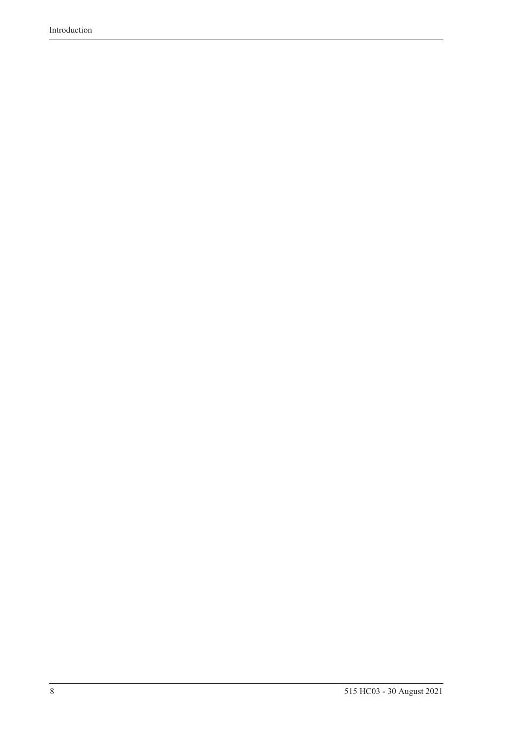Introduction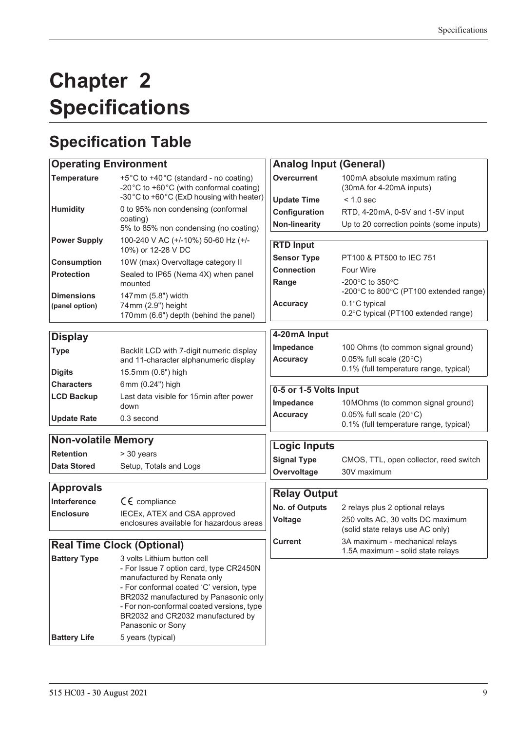# <span id="page-18-0"></span>**Chapter 2 Specifications**

## <span id="page-18-1"></span>**Specification Table**

| <b>Operating Environment</b>        |                                                                                                                                                                                                                                                                                                   | <b>Analog Input (General)</b> |                                                                               |  |  |
|-------------------------------------|---------------------------------------------------------------------------------------------------------------------------------------------------------------------------------------------------------------------------------------------------------------------------------------------------|-------------------------------|-------------------------------------------------------------------------------|--|--|
| <b>Temperature</b>                  | +5°C to +40°C (standard - no coating)<br>-20°C to +60°C (with conformal coating)                                                                                                                                                                                                                  | <b>Overcurrent</b>            | 100mA absolute maximum rating<br>(30mA for 4-20mA inputs)                     |  |  |
|                                     | -30°C to +60°C (ExD housing with heater)                                                                                                                                                                                                                                                          | <b>Update Time</b>            | $< 1.0$ sec                                                                   |  |  |
| <b>Humidity</b>                     | 0 to 95% non condensing (conformal                                                                                                                                                                                                                                                                | Configuration                 | RTD, 4-20mA, 0-5V and 1-5V input                                              |  |  |
|                                     | coating)<br>5% to 85% non condensing (no coating)                                                                                                                                                                                                                                                 | <b>Non-linearity</b>          | Up to 20 correction points (some inputs)                                      |  |  |
| <b>Power Supply</b>                 | 100-240 V AC (+/-10%) 50-60 Hz (+/-<br>10%) or 12-28 V DC                                                                                                                                                                                                                                         | <b>RTD Input</b>              |                                                                               |  |  |
| <b>Consumption</b>                  | 10W (max) Overvoltage category II                                                                                                                                                                                                                                                                 | <b>Sensor Type</b>            | PT100 & PT500 to IEC 751                                                      |  |  |
| <b>Protection</b>                   | Sealed to IP65 (Nema 4X) when panel                                                                                                                                                                                                                                                               | <b>Connection</b>             | Four Wire                                                                     |  |  |
|                                     | mounted                                                                                                                                                                                                                                                                                           | Range                         | -200 $\degree$ C to 350 $\degree$ C<br>-200°C to 800°C (PT100 extended range) |  |  |
| <b>Dimensions</b><br>(panel option) | 147mm (5.8") width<br>74mm (2.9") height<br>170mm (6.6") depth (behind the panel)                                                                                                                                                                                                                 | <b>Accuracy</b>               | 0.1°C typical<br>0.2°C typical (PT100 extended range)                         |  |  |
| <b>Display</b>                      |                                                                                                                                                                                                                                                                                                   | 4-20mA Input                  |                                                                               |  |  |
| <b>Type</b>                         | Backlit LCD with 7-digit numeric display                                                                                                                                                                                                                                                          | Impedance                     | 100 Ohms (to common signal ground)                                            |  |  |
|                                     | and 11-character alphanumeric display                                                                                                                                                                                                                                                             | <b>Accuracy</b>               | 0.05% full scale $(20^{\circ}C)$                                              |  |  |
| <b>Digits</b>                       | 15.5mm (0.6") high                                                                                                                                                                                                                                                                                |                               | 0.1% (full temperature range, typical)                                        |  |  |
| <b>Characters</b>                   | 6mm (0.24") high                                                                                                                                                                                                                                                                                  |                               |                                                                               |  |  |
| <b>LCD Backup</b>                   | Last data visible for 15 min after power                                                                                                                                                                                                                                                          | 0-5 or 1-5 Volts Input        |                                                                               |  |  |
|                                     | down                                                                                                                                                                                                                                                                                              | Impedance                     | 10MOhms (to common signal ground)                                             |  |  |
| <b>Update Rate</b>                  | 0.3 second                                                                                                                                                                                                                                                                                        | <b>Accuracy</b>               | 0.05% full scale $(20^{\circ}C)$<br>0.1% (full temperature range, typical)    |  |  |
| <b>Non-volatile Memory</b>          |                                                                                                                                                                                                                                                                                                   |                               |                                                                               |  |  |
| <b>Retention</b>                    | > 30 years                                                                                                                                                                                                                                                                                        | <b>Logic Inputs</b>           |                                                                               |  |  |
| <b>Data Stored</b>                  | Setup, Totals and Logs                                                                                                                                                                                                                                                                            | <b>Signal Type</b>            | CMOS, TTL, open collector, reed switch                                        |  |  |
|                                     |                                                                                                                                                                                                                                                                                                   | Overvoltage                   | 30V maximum                                                                   |  |  |
| <b>Approvals</b>                    |                                                                                                                                                                                                                                                                                                   | <b>Relay Output</b>           |                                                                               |  |  |
| Interference                        | $C \in \mathbb{C}$ compliance                                                                                                                                                                                                                                                                     | No. of Outputs                | 2 relays plus 2 optional relays                                               |  |  |
| <b>Enclosure</b>                    | IECEx, ATEX and CSA approved                                                                                                                                                                                                                                                                      | Voltage                       | 250 volts AC, 30 volts DC maximum                                             |  |  |
|                                     | enclosures available for hazardous areas                                                                                                                                                                                                                                                          |                               | (solid state relays use AC only)                                              |  |  |
|                                     | <b>Real Time Clock (Optional)</b>                                                                                                                                                                                                                                                                 | <b>Current</b>                | 3A maximum - mechanical relays<br>1.5A maximum - solid state relays           |  |  |
| <b>Battery Type</b>                 | 3 volts Lithium button cell<br>- For Issue 7 option card, type CR2450N<br>manufactured by Renata only<br>- For conformal coated 'C' version, type<br>BR2032 manufactured by Panasonic only<br>- For non-conformal coated versions, type<br>BR2032 and CR2032 manufactured by<br>Panasonic or Sony |                               |                                                                               |  |  |

**Battery Life** 5 years (typical)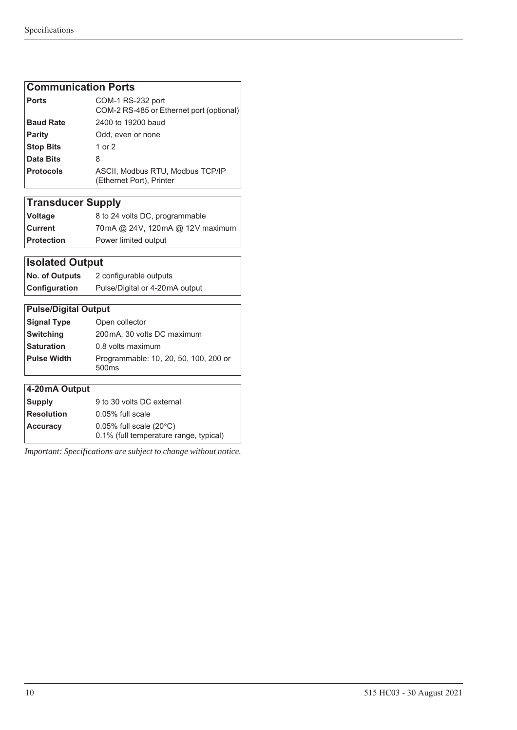#### **Communication Ports**

| <b>Ports</b>     | COM-1 RS-232 port<br>COM-2 RS-485 or Ethernet port (optional) |
|------------------|---------------------------------------------------------------|
| <b>Baud Rate</b> | 2400 to 19200 baud                                            |
| <b>Parity</b>    | Odd, even or none                                             |
| <b>Stop Bits</b> | 1 or 2                                                        |
| Data Bits        | 8                                                             |
| <b>Protocols</b> | ASCII, Modbus RTU, Modbus TCP/IP<br>(Ethernet Port), Printer  |

## **Transducer Supply**

| <b>Voltage</b>    | 8 to 24 volts DC, programmable  |
|-------------------|---------------------------------|
| Current           | 70mA @ 24V, 120mA @ 12V maximum |
| <b>Protection</b> | Power limited output            |

## **Isolated Output**

| <b>No. of Outputs</b> | 2 configurable outputs         |
|-----------------------|--------------------------------|
| Configuration         | Pulse/Digital or 4-20mA output |

#### **Pulse/Digital Output Signal Type** Open collector **Switching** 200mA, 30 volts DC maximum **Saturation** 0.8 volts maximum **Pulse Width** Programmable: 10, 20, 50, 100, 200 or 500ms **4-20 mA Output**

| 14-20MA Output    |                                        |
|-------------------|----------------------------------------|
| Supply            | 9 to 30 volts DC external              |
| <b>Resolution</b> | 0.05% full scale                       |
| <b>Accuracy</b>   | $0.05\%$ full scale (20 $\degree$ C)   |
|                   | 0.1% (full temperature range, typical) |

*Important: Specifications are subject to change without notice.*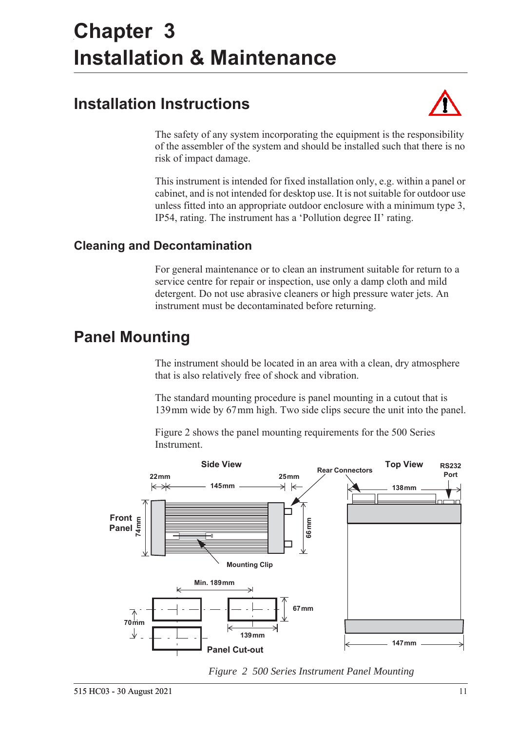# <span id="page-20-5"></span><span id="page-20-0"></span>**Chapter 3 Installation & Maintenance**

## <span id="page-20-1"></span>**Installation Instructions**



The safety of any system incorporating the equipment is the responsibility of the assembler of the system and should be installed such that there is no risk of impact damage.

This instrument is intended for fixed installation only, e.g. within a panel or cabinet, and is not intended for desktop use. It is not suitable for outdoor use unless fitted into an appropriate outdoor enclosure with a minimum type 3, IP54, rating. The instrument has a 'Pollution degree II' rating.

## <span id="page-20-2"></span>**Cleaning and Decontamination**

For general maintenance or to clean an instrument suitable for return to a service centre for repair or inspection, use only a damp cloth and mild detergent. Do not use abrasive cleaners or high pressure water jets. An instrument must be decontaminated before returning.

## <span id="page-20-3"></span>**Panel Mounting**

The instrument should be located in an area with a clean, dry atmosphere that is also relatively free of shock and vibration.

The standard mounting procedure is panel mounting in a cutout that is 139 mm wide by 67 mm high. Two side clips secure the unit into the panel.

[Figure 2](#page-20-4) shows the panel mounting requirements for the 500 Series Instrument.



<span id="page-20-4"></span>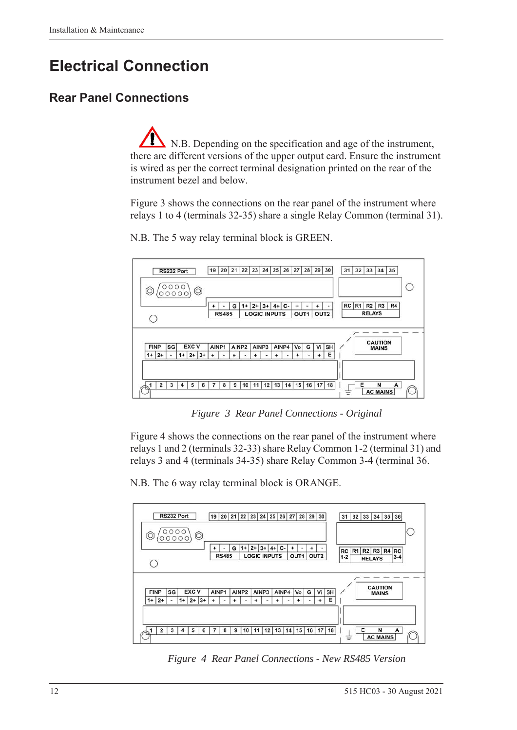## <span id="page-21-0"></span>**Electrical Connection**

## <span id="page-21-1"></span>**Rear Panel Connections**

N.B. Depending on the specification and age of the instrument, there are different versions of the upper output card. Ensure the instrument is wired as per the correct terminal designation printed on the rear of the instrument bezel and below.

[Figure 3](#page-21-2) shows the connections on the rear panel of the instrument where relays 1 to 4 (terminals 32-35) share a single Relay Common (terminal 31).



N.B. The 5 way relay terminal block is GREEN.

*Figure 3 Rear Panel Connections - Original*

<span id="page-21-2"></span>[Figure 4](#page-21-3) shows the connections on the rear panel of the instrument where relays 1 and 2 (terminals 32-33) share Relay Common 1-2 (terminal 31) and relays 3 and 4 (terminals 34-35) share Relay Common 3-4 (terminal 36.

N.B. The 6 way relay terminal block is ORANGE.



<span id="page-21-3"></span>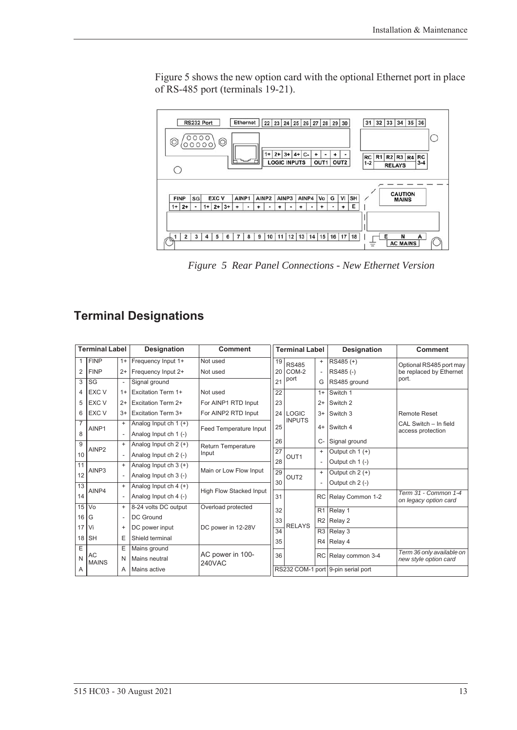[Figure 5](#page-22-1) shows the new option card with the optional Ethernet port in place of RS-485 port (terminals 19-21).



<span id="page-22-1"></span>*Figure 5 Rear Panel Connections - New Ethernet Version*

## <span id="page-22-0"></span>**Terminal Designations**

| <b>Terminal Label</b> |                    |                                                                | <b>Designation</b>        | <b>Comment</b>                 |                 | <b>Terminal Label</b> |                       | <b>Designation</b>                 | <b>Comment</b>                                |
|-----------------------|--------------------|----------------------------------------------------------------|---------------------------|--------------------------------|-----------------|-----------------------|-----------------------|------------------------------------|-----------------------------------------------|
| 1                     | FINP               | $1+$                                                           | Frequency Input 1+        | Not used                       | 19              | <b>RS485</b>          | $+$                   | RS485 (+)                          | Optional RS485 port may                       |
| 2                     | <b>FINP</b>        | $2+$                                                           | Frequency Input 2+        | Not used                       | 20              | COM-2                 |                       | RS485 (-)                          | be replaced by Ethernet                       |
| 3                     | <b>SG</b>          | $\blacksquare$                                                 | Signal ground             |                                | 21              | port                  | G                     | RS485 ground                       | port.                                         |
| 4                     | <b>EXC V</b>       | $1+$                                                           | <b>Excitation Term 1+</b> | Not used                       | 22              |                       | $1+$                  | Switch 1                           |                                               |
| 5                     | <b>EXC V</b>       | $2+$                                                           | <b>Excitation Term 2+</b> | For AINP1 RTD Input            | 23              |                       | $2+$                  | Switch 2                           |                                               |
| 6                     | <b>EXC V</b>       | $3+$                                                           | Excitation Term 3+        | For AINP2 RTD Input            | 24              | <b>LOGIC</b>          | $3+$                  | Switch 3                           | <b>Remote Reset</b>                           |
| $\overline{7}$        | AINP1              | Analog Input ch $1 (+)$<br>$\ddot{}$<br>Feed Temperature Input | 25                        | <b>INPUTS</b>                  | $4+$            | Switch 4              | CAL Switch - In field |                                    |                                               |
| 8                     |                    | $\overline{\phantom{a}}$                                       | Analog Input ch 1 (-)     |                                |                 |                       |                       |                                    | access protection                             |
| 9                     | AINP2              | $\ddot{}$                                                      | Analog Input ch $2 (+)$   | <b>Return Temperature</b>      | 26              |                       | $C-$                  | Signal ground                      |                                               |
| 10                    |                    | $\overline{\phantom{a}}$                                       | Analog Input ch 2 (-)     | Input                          | 27              | OUT <sub>1</sub>      | $\ddot{}$             | Output ch $1 (+)$                  |                                               |
| 11                    |                    | $\ddot{}$                                                      | Analog Input ch $3 (+)$   | Main or Low Flow Input         | 28              |                       |                       | Output ch 1 (-)                    |                                               |
| 12                    | AINP3              | $\overline{\phantom{a}}$                                       | Analog Input ch 3 (-)     |                                | $\overline{29}$ | OUT <sub>2</sub>      | $+$                   | Output ch $2 (+)$                  |                                               |
| 13                    |                    | Analog Input ch 4 (+)<br>$\ddot{}$                             | 30                        |                                |                 | Output $ch 2$ (-)     |                       |                                    |                                               |
| 14                    | AINP4              | $\overline{\phantom{a}}$                                       | Analog Input ch 4 (-)     | <b>High Flow Stacked Input</b> | 31              |                       | RC                    | Relay Common 1-2                   | Term 31 - Common 1-4<br>on legacy option card |
| 15                    | <b>Vo</b>          | $\ddot{}$                                                      | 8-24 volts DC output      | Overload protected             | 32              |                       |                       | R <sub>1</sub> Relay 1             |                                               |
| 16                    | G                  | $\overline{\phantom{a}}$                                       | DC Ground                 |                                | 33              |                       |                       | $R2$ Relay 2                       |                                               |
|                       | $17$ Vi            | $\ddot{}$                                                      | DC power input            | DC power in 12-28V             | $\overline{34}$ | <b>RELAYS</b>         |                       | $R3$ Relay 3                       |                                               |
| 18                    | <b>SH</b>          | E                                                              | Shield terminal           |                                | 35              |                       |                       | R4   Relay 4                       |                                               |
| E                     | AC<br><b>MAINS</b> | E                                                              | Mains ground              | AC power in 100-<br>240VAC     |                 |                       |                       |                                    | Term 36 only available on                     |
| N                     |                    | N                                                              | Mains neutral             |                                | 36              |                       |                       | RC Relay common 3-4                | new style option card                         |
| A                     |                    |                                                                | Mains active              |                                |                 |                       |                       | RS232 COM-1 port 9-pin serial port |                                               |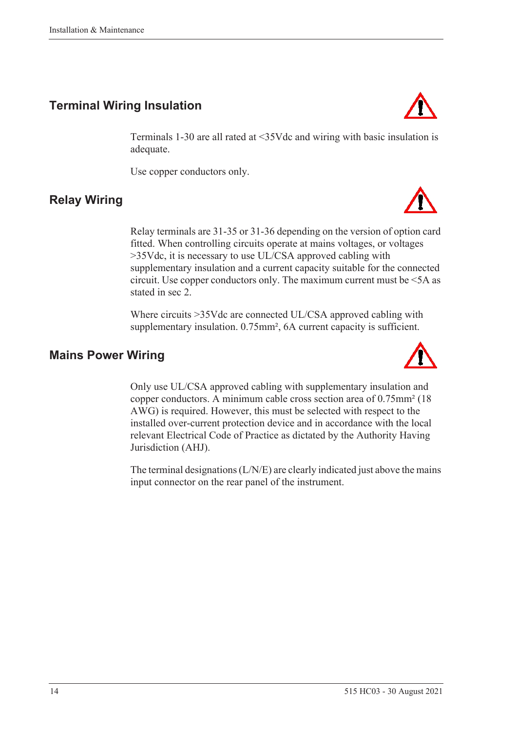## <span id="page-23-0"></span>**Terminal Wiring Insulation**

Terminals 1-30 are all rated at <35Vdc and wiring with basic insulation is adequate.

Use copper conductors only.

stated in sec 2.

## <span id="page-23-1"></span>**Relay Wiring**

Relay terminals are 31-35 or 31-36 depending on the version of option card fitted. When controlling circuits operate at mains voltages, or voltages >35Vdc, it is necessary to use UL/CSA approved cabling with supplementary insulation and a current capacity suitable for the connected circuit. Use copper conductors only. The maximum current must be <5A as

Where circuits >35Vdc are connected UL/CSA approved cabling with supplementary insulation. 0.75mm<sup>2</sup>, 6A current capacity is sufficient.

### <span id="page-23-2"></span>**Mains Power Wiring**

Only use UL/CSA approved cabling with supplementary insulation and copper conductors. A minimum cable cross section area of 0.75mm² (18 AWG) is required. However, this must be selected with respect to the installed over-current protection device and in accordance with the local relevant Electrical Code of Practice as dictated by the Authority Having Jurisdiction (AHJ).

The terminal designations (L/N/E) are clearly indicated just above the mains input connector on the rear panel of the instrument.







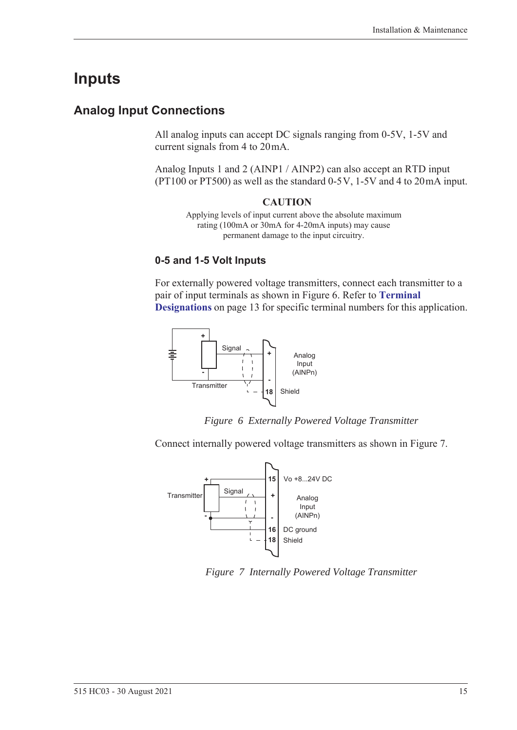## <span id="page-24-0"></span>**Inputs**

## <span id="page-24-1"></span>**Analog Input Connections**

All analog inputs can accept DC signals ranging from 0-5V, 1-5V and current signals from 4 to 20 mA.

Analog Inputs 1 and 2 (AINP1 / AINP2) can also accept an RTD input (PT100 or PT500) as well as the standard  $0-5V$ ,  $1-5V$  and 4 to  $20mA$  input.

#### **CAUTION**

Applying levels of input current above the absolute maximum rating (100mA or 30mA for 4-20mA inputs) may cause permanent damage to the input circuitry.

#### **0-5 and 1-5 Volt Inputs**

For externally powered voltage transmitters, connect each transmitter to a pair of input terminals as shown in [Figure 6.](#page-24-2) Refer to **[Terminal](#page-22-0)  [Designations](#page-22-0)** on page 13 for specific terminal numbers for this application.



*Figure 6 Externally Powered Voltage Transmitter*

<span id="page-24-2"></span>Connect internally powered voltage transmitters as shown in [Figure 7.](#page-24-3)



<span id="page-24-3"></span>*Figure 7 Internally Powered Voltage Transmitter*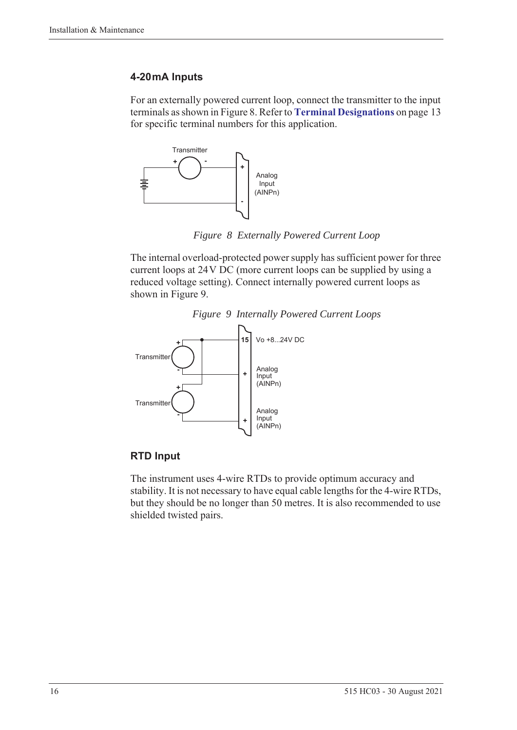#### **4-20 mA Inputs**

For an externally powered current loop, connect the transmitter to the input terminals as shown in [Figure 8](#page-25-0). Refer to **[Terminal Designations](#page-22-0)** on page 13 for specific terminal numbers for this application.



*Figure 8 Externally Powered Current Loop*

<span id="page-25-0"></span>The internal overload-protected power supply has sufficient power for three current loops at 24 V DC (more current loops can be supplied by using a reduced voltage setting). Connect internally powered current loops as shown in [Figure 9](#page-25-1).



<span id="page-25-1"></span>

#### **RTD Input**

The instrument uses 4-wire RTDs to provide optimum accuracy and stability. It is not necessary to have equal cable lengths for the 4-wire RTDs, but they should be no longer than 50 metres. It is also recommended to use shielded twisted pairs.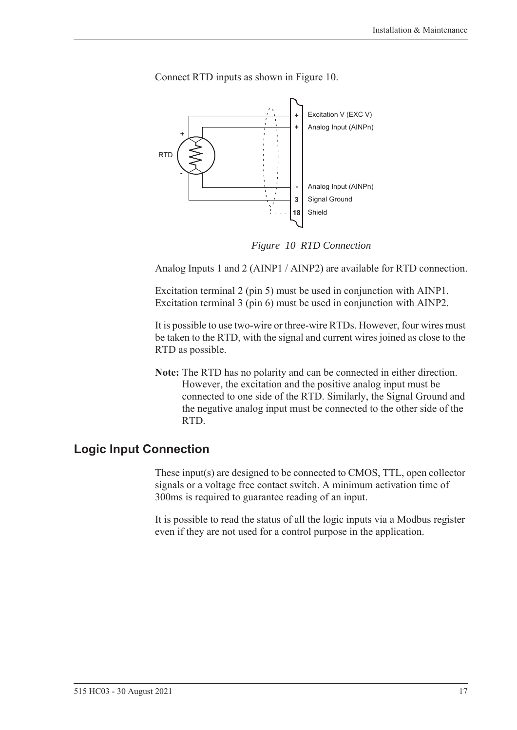

Connect RTD inputs as shown in [Figure 10.](#page-26-1)

*Figure 10 RTD Connection*

<span id="page-26-1"></span>Analog Inputs 1 and 2 (AINP1 / AINP2) are available for RTD connection.

Excitation terminal 2 (pin 5) must be used in conjunction with AINP1. Excitation terminal 3 (pin 6) must be used in conjunction with AINP2.

It is possible to use two-wire or three-wire RTDs. However, four wires must be taken to the RTD, with the signal and current wires joined as close to the RTD as possible.

**Note:** The RTD has no polarity and can be connected in either direction. However, the excitation and the positive analog input must be connected to one side of the RTD. Similarly, the Signal Ground and the negative analog input must be connected to the other side of the RTD.

### <span id="page-26-0"></span>**Logic Input Connection**

These input(s) are designed to be connected to CMOS, TTL, open collector signals or a voltage free contact switch. A minimum activation time of 300ms is required to guarantee reading of an input.

It is possible to read the status of all the logic inputs via a Modbus register even if they are not used for a control purpose in the application.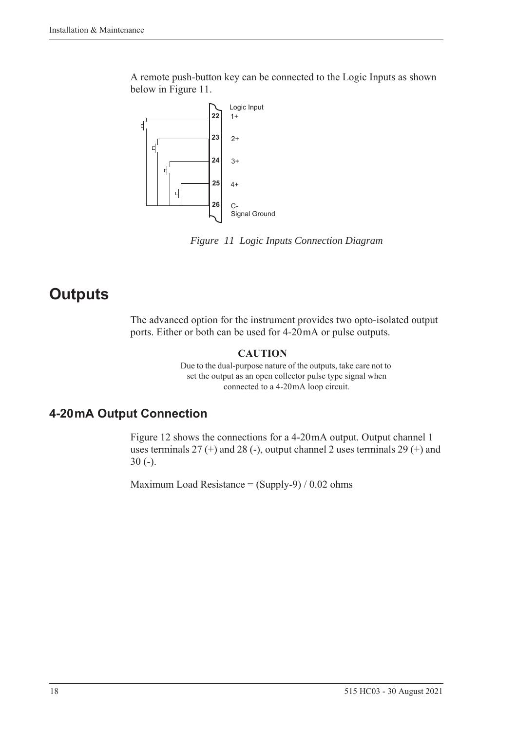A remote push-button key can be connected to the Logic Inputs as shown below in [Figure 11](#page-27-2).



<span id="page-27-2"></span>*Figure 11 Logic Inputs Connection Diagram*

## <span id="page-27-0"></span>**Outputs**

The advanced option for the instrument provides two opto-isolated output ports. Either or both can be used for 4-20 mA or pulse outputs.

#### **CAUTION**

Due to the dual-purpose nature of the outputs, take care not to set the output as an open collector pulse type signal when connected to a 4-20 mA loop circuit.

## <span id="page-27-1"></span>**4-20 mA Output Connection**

[Figure 12](#page-28-1) shows the connections for a 4-20 mA output. Output channel 1 uses terminals  $27 (+)$  and  $28 (-)$ , output channel 2 uses terminals  $29 (+)$  and 30 (-).

Maximum Load Resistance =  $(Supply-9) / 0.02$  ohms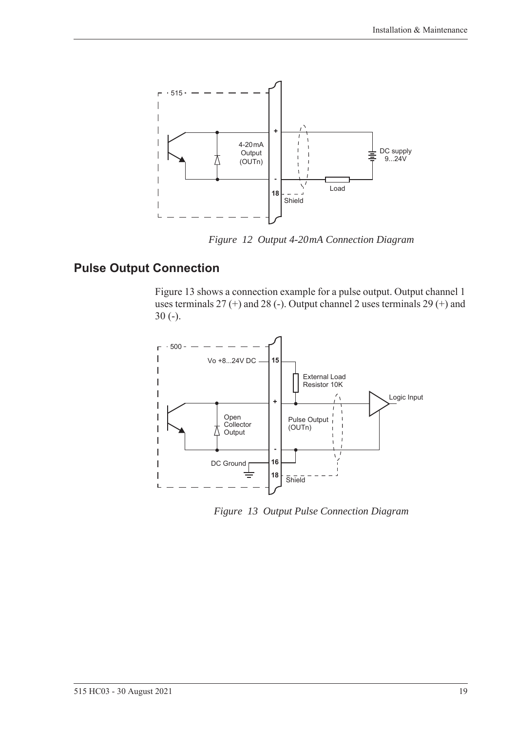

*Figure 12 Output 4-20 mA Connection Diagram*

## <span id="page-28-0"></span>**Pulse Output Connection**

<span id="page-28-1"></span>[Figure 13](#page-28-2) shows a connection example for a pulse output. Output channel 1 uses terminals 27 (+) and 28 (-). Output channel 2 uses terminals 29 (+) and 30 (-).



<span id="page-28-2"></span>*Figure 13 Output Pulse Connection Diagram*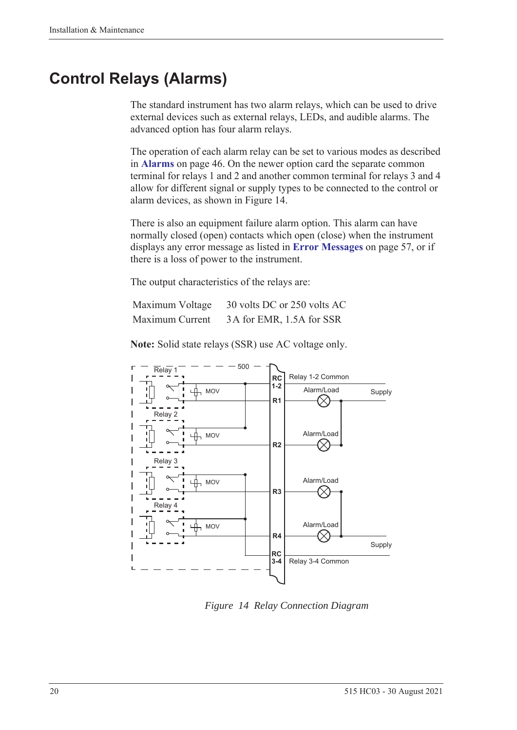## <span id="page-29-0"></span>**Control Relays (Alarms)**

The standard instrument has two alarm relays, which can be used to drive external devices such as external relays, LEDs, and audible alarms. The advanced option has four alarm relays.

The operation of each alarm relay can be set to various modes as described in **Alarms** [on page 46](#page-55-1). On the newer option card the separate common terminal for relays 1 and 2 and another common terminal for relays 3 and 4 allow for different signal or supply types to be connected to the control or alarm devices, as shown in [Figure 14.](#page-29-1)

There is also an equipment failure alarm option. This alarm can have normally closed (open) contacts which open (close) when the instrument displays any error message as listed in **[Error Messages](#page-66-2)** on page 57, or if there is a loss of power to the instrument.

The output characteristics of the relays are:

| Maximum Voltage | 30 volts DC or 250 volts AC              |
|-----------------|------------------------------------------|
|                 | Maximum Current 3A for EMR, 1.5A for SSR |

**Note:** Solid state relays (SSR) use AC voltage only.



<span id="page-29-1"></span>*Figure 14 Relay Connection Diagram*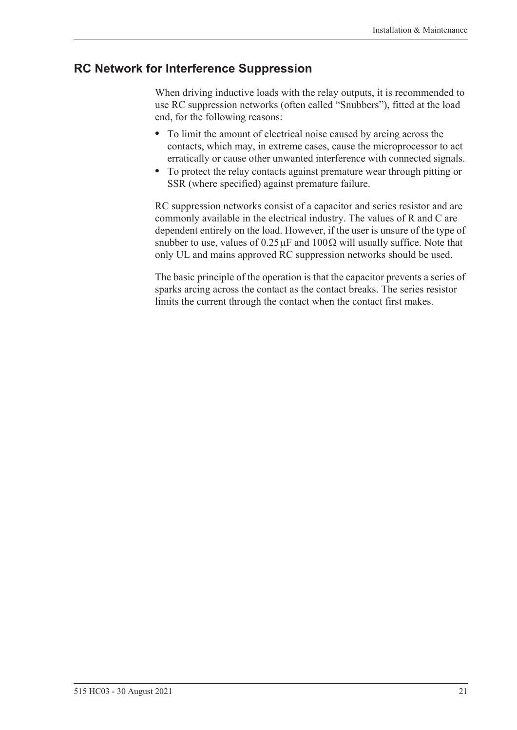### <span id="page-30-0"></span>**RC Network for Interference Suppression**

When driving inductive loads with the relay outputs, it is recommended to use RC suppression networks (often called "Snubbers"), fitted at the load end, for the following reasons:

- **•** To limit the amount of electrical noise caused by arcing across the contacts, which may, in extreme cases, cause the microprocessor to act erratically or cause other unwanted interference with connected signals.
- **•** To protect the relay contacts against premature wear through pitting or SSR (where specified) against premature failure.

RC suppression networks consist of a capacitor and series resistor and are commonly available in the electrical industry. The values of R and C are dependent entirely on the load. However, if the user is unsure of the type of snubber to use, values of  $0.25 \mu$ F and  $100 \Omega$  will usually suffice. Note that only UL and mains approved RC suppression networks should be used.

The basic principle of the operation is that the capacitor prevents a series of sparks arcing across the contact as the contact breaks. The series resistor limits the current through the contact when the contact first makes.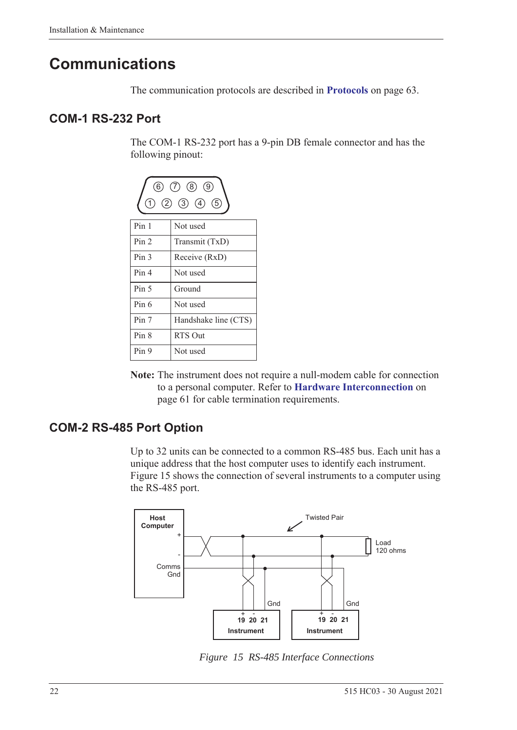## <span id="page-31-0"></span>**Communications**

The communication protocols are described in **Protocols** [on page 63.](#page-72-3)

### <span id="page-31-1"></span>**COM-1 RS-232 Port**

The COM-1 RS-232 port has a 9-pin DB female connector and has the following pinout:



**Note:** The instrument does not require a null-modem cable for connection to a personal computer. Refer to **[Hardware Interconnection](#page-70-4)** on [page 61](#page-70-4) for cable termination requirements.

## <span id="page-31-2"></span>**COM-2 RS-485 Port Option**

Up to 32 units can be connected to a common RS-485 bus. Each unit has a unique address that the host computer uses to identify each instrument. [Figure 15](#page-31-3) shows the connection of several instruments to a computer using the RS-485 port.



<span id="page-31-3"></span>*Figure 15 RS-485 Interface Connections*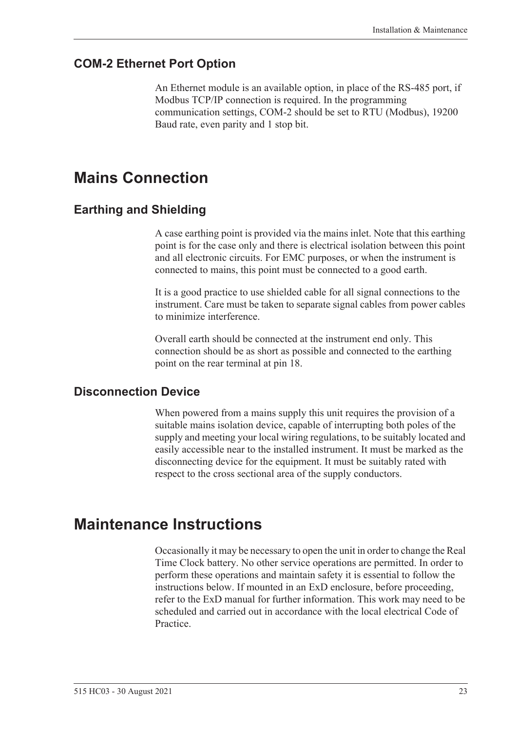### <span id="page-32-0"></span>**COM-2 Ethernet Port Option**

An Ethernet module is an available option, in place of the RS-485 port, if Modbus TCP/IP connection is required. In the programming communication settings, COM-2 should be set to RTU (Modbus), 19200 Baud rate, even parity and 1 stop bit.

## <span id="page-32-1"></span>**Mains Connection**

### <span id="page-32-2"></span>**Earthing and Shielding**

A case earthing point is provided via the mains inlet. Note that this earthing point is for the case only and there is electrical isolation between this point and all electronic circuits. For EMC purposes, or when the instrument is connected to mains, this point must be connected to a good earth.

It is a good practice to use shielded cable for all signal connections to the instrument. Care must be taken to separate signal cables from power cables to minimize interference.

Overall earth should be connected at the instrument end only. This connection should be as short as possible and connected to the earthing point on the rear terminal at pin 18.

### <span id="page-32-3"></span>**Disconnection Device**

When powered from a mains supply this unit requires the provision of a suitable mains isolation device, capable of interrupting both poles of the supply and meeting your local wiring regulations, to be suitably located and easily accessible near to the installed instrument. It must be marked as the disconnecting device for the equipment. It must be suitably rated with respect to the cross sectional area of the supply conductors.

## <span id="page-32-4"></span>**Maintenance Instructions**

Occasionally it may be necessary to open the unit in order to change the Real Time Clock battery. No other service operations are permitted. In order to perform these operations and maintain safety it is essential to follow the instructions below. If mounted in an ExD enclosure, before proceeding, refer to the ExD manual for further information. This work may need to be scheduled and carried out in accordance with the local electrical Code of Practice.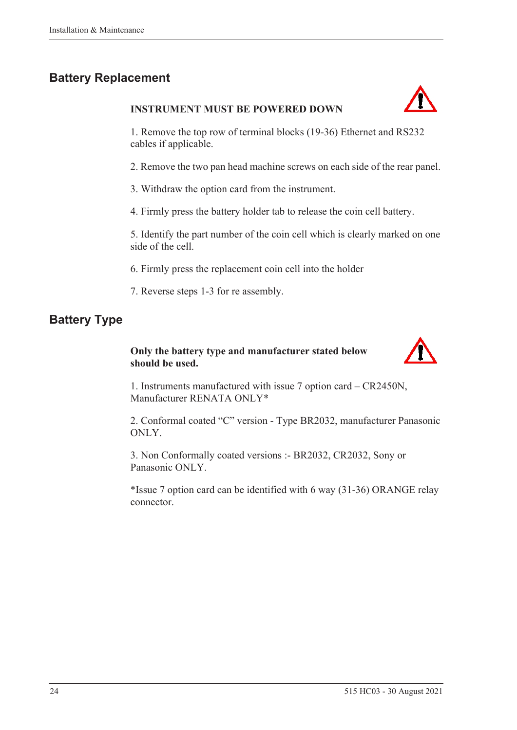## <span id="page-33-0"></span>**Battery Replacement**

#### **INSTRUMENT MUST BE POWERED DOWN**



1. Remove the top row of terminal blocks (19-36) Ethernet and RS232 cables if applicable.

2. Remove the two pan head machine screws on each side of the rear panel.

3. Withdraw the option card from the instrument.

4. Firmly press the battery holder tab to release the coin cell battery.

5. Identify the part number of the coin cell which is clearly marked on one side of the cell.

6. Firmly press the replacement coin cell into the holder

7. Reverse steps 1-3 for re assembly.

## <span id="page-33-1"></span>**Battery Type**

#### **Only the battery type and manufacturer stated below should be used.**



1. Instruments manufactured with issue 7 option card – CR2450N, Manufacturer RENATA ONLY\*

2. Conformal coated "C" version - Type BR2032, manufacturer Panasonic ONLY.

3. Non Conformally coated versions :- BR2032, CR2032, Sony or Panasonic ONLY.

\*Issue 7 option card can be identified with 6 way (31-36) ORANGE relay connector.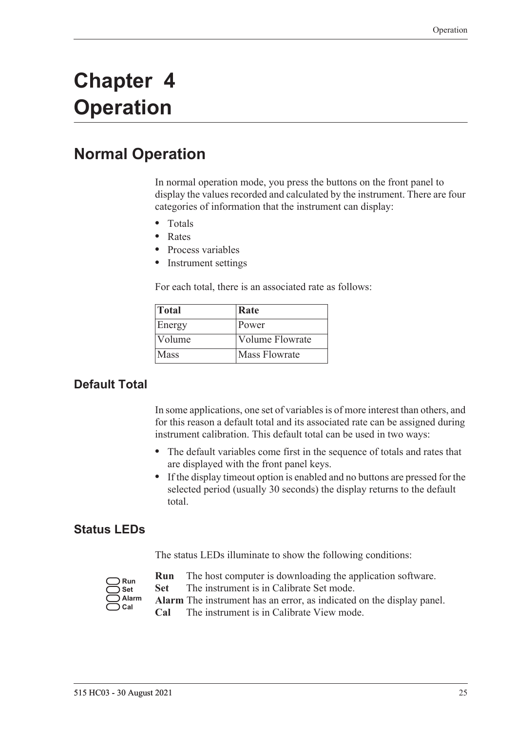# <span id="page-34-0"></span>**Chapter 4 Operation**

## <span id="page-34-1"></span>**Normal Operation**

In normal operation mode, you press the buttons on the front panel to display the values recorded and calculated by the instrument. There are four categories of information that the instrument can display:

- **•** Totals
- **•** Rates
- **•** Process variables
- **•** Instrument settings

For each total, there is an associated rate as follows:

| <b>Total</b> | Rate                   |
|--------------|------------------------|
| Energy       | Power                  |
| Volume       | <b>Volume Flowrate</b> |
| Mass         | Mass Flowrate          |

### <span id="page-34-2"></span>**Default Total**

In some applications, one set of variables is of more interest than others, and for this reason a default total and its associated rate can be assigned during instrument calibration. This default total can be used in two ways:

- **•** The default variables come first in the sequence of totals and rates that are displayed with the front panel keys.
- **•** If the display timeout option is enabled and no buttons are pressed for the selected period (usually 30 seconds) the display returns to the default total.

### <span id="page-34-3"></span>**Status LEDs**

The status LEDs illuminate to show the following conditions:

| Run   |
|-------|
| Set   |
| Alarm |
| :al   |

- **Run** The host computer is downloading the application software.
- **Set** The instrument is in Calibrate Set mode.
- **Alarm** The instrument has an error, as indicated on the display panel.
- **Cal** The instrument is in Calibrate View mode.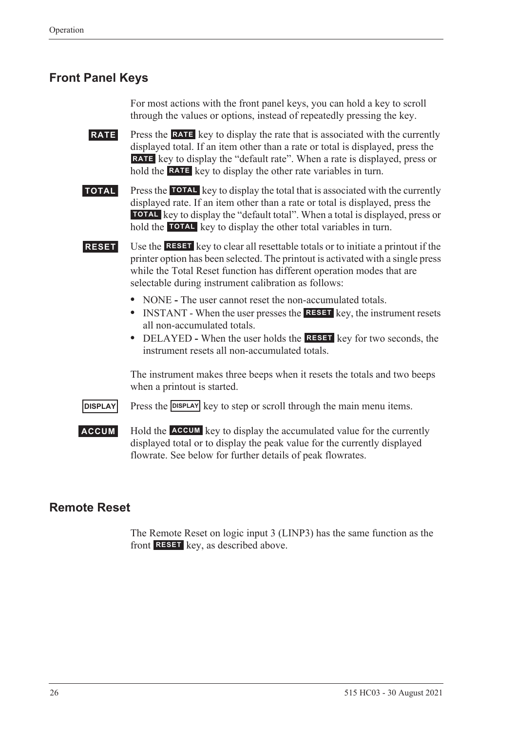## <span id="page-35-0"></span>**Front Panel Keys**

For most actions with the front panel keys, you can hold a key to scroll through the values or options, instead of repeatedly pressing the key.

**RATE** Press the **RATE** key to display the rate that is associated with the currently displayed total. If an item other than a rate or total is displayed, press the RATE key to display the "default rate". When a rate is displayed, press or hold the **RATE** key to display the other rate variables in turn.

**TOTAL** Press the TOTAL key to display the total that is associated with the currently displayed rate. If an item other than a rate or total is displayed, press the **TOTAL** key to display the "default total". When a total is displayed, press or hold the **TOTAL** key to display the other total variables in turn.

**RESET** Use the **RESET** key to clear all resettable totals or to initiate a printout if the printer option has been selected. The printout is activated with a single press while the Total Reset function has different operation modes that are selectable during instrument calibration as follows:

- NONE The user cannot reset the non-accumulated totals.
- INSTANT When the user presses the **RESET** key, the instrument resets all non-accumulated totals.
- DELAYED When the user holds the **RESET** key for two seconds, the instrument resets all non-accumulated totals.

The instrument makes three beeps when it resets the totals and two beeps when a printout is started.

**DISPLAY** Press the **DISPLAY** key to step or scroll through the main menu items.

**ACCUM** Hold the **ACCUM** key to display the accumulated value for the currently displayed total or to display the peak value for the currently displayed flowrate. See below for further details of peak flowrates.

### <span id="page-35-1"></span>**Remote Reset**

The Remote Reset on logic input 3 (LINP3) has the same function as the front **RESET** key, as described above.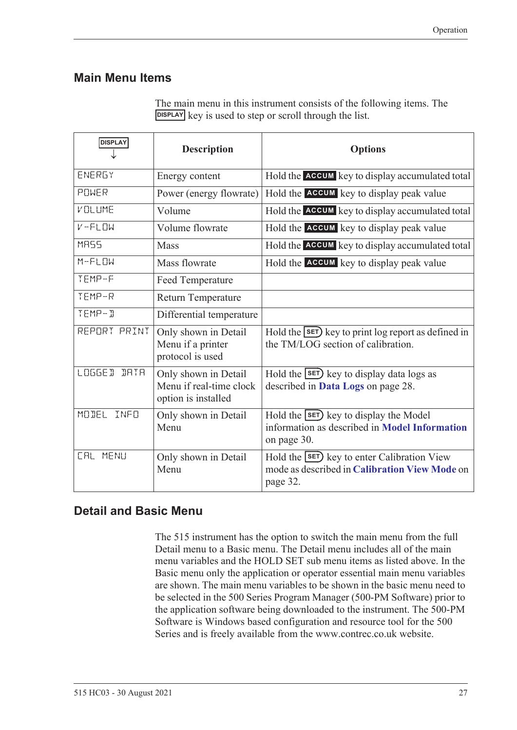### **Main Menu Items**

| The main menu in this instrument consists of the following items. The |
|-----------------------------------------------------------------------|
| DISPLAY key is used to step or scroll through the list.               |

| <b>DISPLAY</b>        | <b>Description</b>                                                     | <b>Options</b>                                                                                                 |
|-----------------------|------------------------------------------------------------------------|----------------------------------------------------------------------------------------------------------------|
| <b>ENERGY</b>         | Energy content                                                         | Hold the ACCUM key to display accumulated total                                                                |
| POWER                 | Power (energy flowrate)                                                | Hold the <b>ACCUM</b> key to display peak value                                                                |
| VOLUME                | Volume                                                                 | Hold the ACCUM key to display accumulated total                                                                |
| $V$ -FLOW             | Volume flowrate                                                        | Hold the ACCUM key to display peak value                                                                       |
| MR55                  | <b>Mass</b>                                                            | Hold the ACCUM key to display accumulated total                                                                |
| M-FLOW                | Mass flowrate                                                          | Hold the <b>ACCUM</b> key to display peak value                                                                |
| TEMP-F                | Feed Temperature                                                       |                                                                                                                |
| TEMP-R                | Return Temperature                                                     |                                                                                                                |
| TEMP-D                | Differential temperature                                               |                                                                                                                |
| REPORT PRINT          | Only shown in Detail<br>Menu if a printer<br>protocol is used          | Hold the SET key to print log report as defined in<br>the TM/LOG section of calibration.                       |
| LOGGED<br><b>IRTR</b> | Only shown in Detail<br>Menu if real-time clock<br>option is installed | Hold the SET) key to display data logs as<br>described in Data Logs on page 28.                                |
| MODEL INFO            | Only shown in Detail<br>Menu                                           | Hold the <b>SET</b> ) key to display the Model<br>information as described in Model Information<br>on page 30. |
| <b>CAL MENU</b>       | Only shown in Detail<br>Menu                                           | Hold the <b>SET</b> key to enter Calibration View<br>mode as described in Calibration View Mode on<br>page 32. |

### **Detail and Basic Menu**

The 515 instrument has the option to switch the main menu from the full Detail menu to a Basic menu. The Detail menu includes all of the main menu variables and the HOLD SET sub menu items as listed above. In the Basic menu only the application or operator essential main menu variables are shown. The main menu variables to be shown in the basic menu need to be selected in the 500 Series Program Manager (500-PM Software) prior to the application software being downloaded to the instrument. The 500-PM Software is Windows based configuration and resource tool for the 500 Series and is freely available from the www.contrec.co.uk website.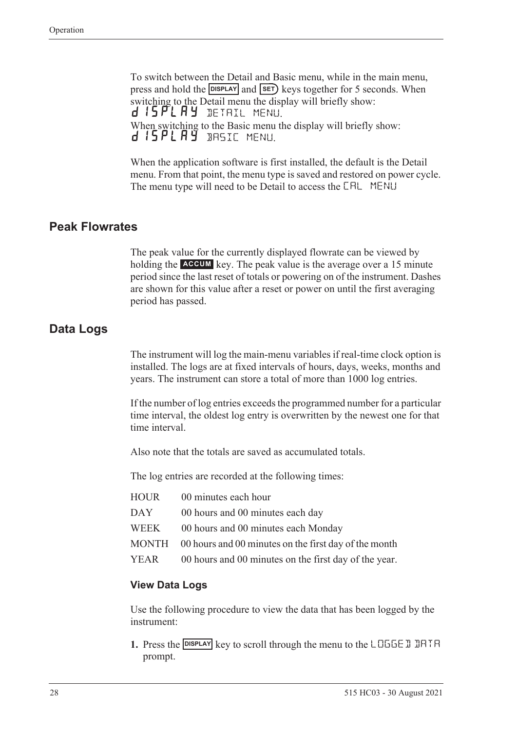To switch between the Detail and Basic menu, while in the main menu, press and hold the **DISPLAY** and **SET**) keys together for 5 seconds. When switching to the Detail menu the display will briefly show: d 15 PL A Y DETAIL MENU. When switching to the Basic menu the display will briefly show: d 15PLAY BASIC MENU.

When the application software is first installed, the default is the Detail menu. From that point, the menu type is saved and restored on power cycle. The menu type will need to be Detail to access the CAL MENU

#### **Peak Flowrates**

The peak value for the currently displayed flowrate can be viewed by holding the **ACCUM** key. The peak value is the average over a 15 minute period since the last reset of totals or powering on of the instrument. Dashes are shown for this value after a reset or power on until the first averaging period has passed.

#### <span id="page-37-0"></span>**Data Logs**

The instrument will log the main-menu variables if real-time clock option is installed. The logs are at fixed intervals of hours, days, weeks, months and years. The instrument can store a total of more than 1000 log entries.

If the number of log entries exceeds the programmed number for a particular time interval, the oldest log entry is overwritten by the newest one for that time interval.

Also note that the totals are saved as accumulated totals.

The log entries are recorded at the following times:

| HOUR | 00 minutes each hour                                        |
|------|-------------------------------------------------------------|
| DAY  | 00 hours and 00 minutes each day                            |
| WEEK | 00 hours and 00 minutes each Monday                         |
|      | MONTH 00 hours and 00 minutes on the first day of the month |
| YEAR | 00 hours and 00 minutes on the first day of the year.       |

#### **View Data Logs**

Use the following procedure to view the data that has been logged by the instrument:

**1.** Press the **DISPLAY** key to scroll through the menu to the LOGGE D DATA prompt.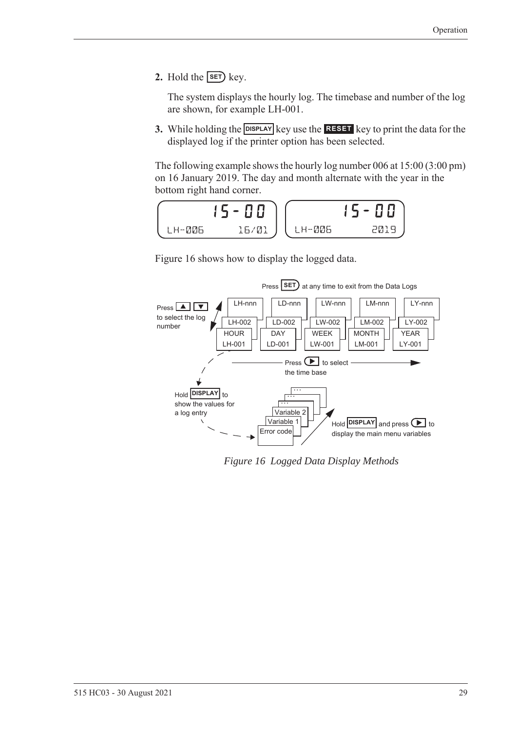**2.** Hold the  $\overline{\text{SET}}$  key.

The system displays the hourly log. The timebase and number of the log are shown, for example LH-001.

**3.** While holding the **DISPLAY** key use the **RESET** key to print the data for the displayed log if the printer option has been selected.

The following example shows the hourly log number 006 at 15:00 (3:00 pm) on 16 January 2019. The day and month alternate with the year in the bottom right hand corner.



[Figure 16](#page-38-0) shows how to display the logged data.



<span id="page-38-0"></span>*Figure 16 Logged Data Display Methods*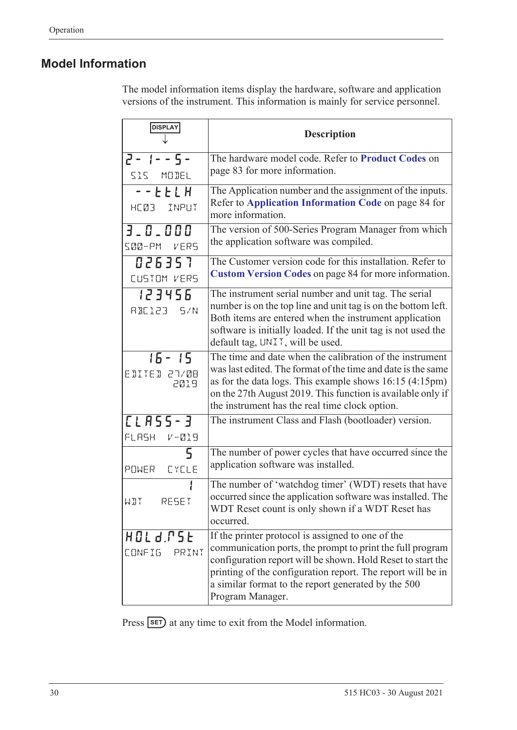## <span id="page-39-1"></span><span id="page-39-0"></span>**Model Information**

The model information items display the hardware, software and application versions of the instrument. This information is mainly for service personnel.

| <b>DISPLAY</b>                     | <b>Description</b>                                                                                                                                                                                                                                                                                                      |
|------------------------------------|-------------------------------------------------------------------------------------------------------------------------------------------------------------------------------------------------------------------------------------------------------------------------------------------------------------------------|
| $2 - 1 - 5 -$<br>515 MODEL         | The hardware model code. Refer to Product Codes on<br>page 83 for more information.                                                                                                                                                                                                                                     |
| $- - EELH$<br>HE03 INPUT           | The Application number and the assignment of the inputs.<br>Refer to Application Information Code on page 84 for<br>more information.                                                                                                                                                                                   |
| 3.0.000<br>SØØ-PM VERS             | The version of 500-Series Program Manager from which<br>the application software was compiled.                                                                                                                                                                                                                          |
| 026357<br>CUSTOM VERS              | The Customer version code for this installation. Refer to<br><b>Custom Version Codes on page 84 for more information.</b>                                                                                                                                                                                               |
| 123456<br>RBE123 5/N               | The instrument serial number and unit tag. The serial<br>number is on the top line and unit tag is on the bottom left.<br>Both items are entered when the instrument application<br>software is initially loaded. If the unit tag is not used the<br>default tag, UNIT, will be used.                                   |
| $15 - 15$<br>EDITED 27/08<br>2019  | The time and date when the calibration of the instrument<br>was last edited. The format of the time and date is the same<br>as for the data logs. This example shows $16:15(4:15pm)$<br>on the 27th August 2019. This function is available only if<br>the instrument has the real time clock option.                   |
| [LASS-3<br>FLASH<br>$V - 019$      | The instrument Class and Flash (bootloader) version.                                                                                                                                                                                                                                                                    |
| 5<br>POWER EYELE                   | The number of power cycles that have occurred since the<br>application software was installed.                                                                                                                                                                                                                          |
| RESET<br>WIT                       | The number of 'watchdog timer' (WDT) resets that have<br>occurred since the application software was installed. The<br>WDT Reset count is only shown if a WDT Reset has<br>occurred.                                                                                                                                    |
| HOLd.PSE<br><b>CONFIG</b><br>PRINT | If the printer protocol is assigned to one of the<br>communication ports, the prompt to print the full program<br>configuration report will be shown. Hold Reset to start the<br>printing of the configuration report. The report will be in<br>a similar format to the report generated by the 500<br>Program Manager. |

Press **SET**) at any time to exit from the Model information.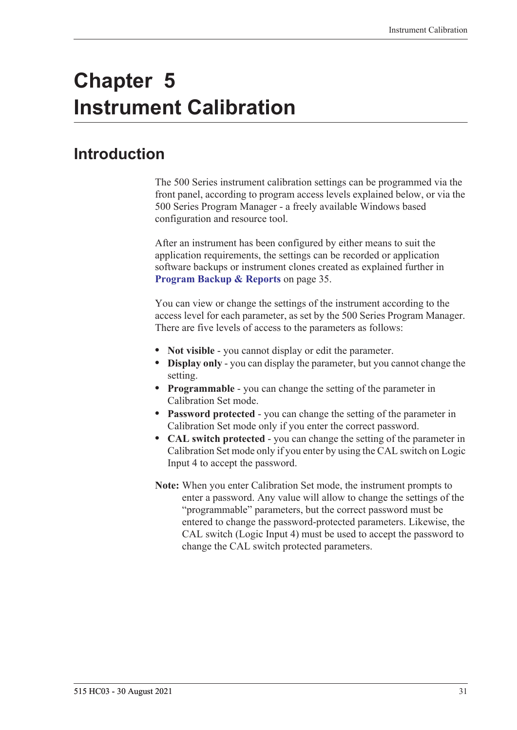# **Chapter 5 Instrument Calibration**

## **Introduction**

The 500 Series instrument calibration settings can be programmed via the front panel, according to program access levels explained below, or via the 500 Series Program Manager - a freely available Windows based configuration and resource tool.

After an instrument has been configured by either means to suit the application requirements, the settings can be recorded or application software backups or instrument clones created as explained further in **[Program Backup & Reports](#page-44-0)** on page 35.

You can view or change the settings of the instrument according to the access level for each parameter, as set by the 500 Series Program Manager. There are five levels of access to the parameters as follows:

- **• Not visible** you cannot display or edit the parameter.
- **• Display only** you can display the parameter, but you cannot change the setting.
- **• Programmable** you can change the setting of the parameter in Calibration Set mode.
- **• Password protected** you can change the setting of the parameter in Calibration Set mode only if you enter the correct password.
- **• CAL switch protected**  you can change the setting of the parameter in Calibration Set mode only if you enter by using the CAL switch on Logic Input 4 to accept the password.
- **Note:** When you enter Calibration Set mode, the instrument prompts to enter a password. Any value will allow to change the settings of the "programmable" parameters, but the correct password must be entered to change the password-protected parameters. Likewise, the CAL switch (Logic Input 4) must be used to accept the password to change the CAL switch protected parameters.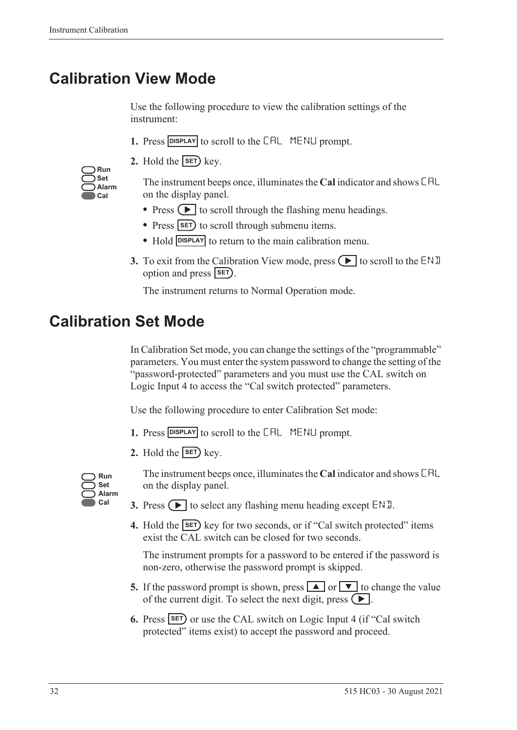## <span id="page-41-0"></span>**Calibration View Mode**

Use the following procedure to view the calibration settings of the instrument:

- 1. Press **DISPLAY** to scroll to the **CAL** MENLI prompt.
- **2.** Hold the  $\overline{\text{SET}}$  key.

| Run   |
|-------|
| Set   |
| Alarm |
| Cal   |

The instrument beeps once, illuminates the **Cal** indicator and shows CAL on the display panel.

- Press  $\left( \blacktriangleright \right)$  to scroll through the flashing menu headings.
- Press **SET**) to scroll through submenu items.
- Hold **DISPLAY** to return to the main calibration menu.
- **3.** To exit from the Calibration View mode, press  $\Box$  to scroll to the END option and press **SET**).

The instrument returns to Normal Operation mode.

## **Calibration Set Mode**

In Calibration Set mode, you can change the settings of the "programmable" parameters. You must enter the system password to change the setting of the "password-protected" parameters and you must use the CAL switch on Logic Input 4 to access the "Cal switch protected" parameters.

Use the following procedure to enter Calibration Set mode:

- **1.** Press **DISPLAY** to scroll to the **CAL** MENLI prompt.
- **2.** Hold the  $\overline{\text{SET}}$  key.



The instrument beeps once, illuminates the **Cal** indicator and shows CAL on the display panel.

- **3.** Press  $\left( \blacktriangleright \right)$  to select any flashing menu heading except END.
- **4.** Hold the **SET** key for two seconds, or if "Cal switch protected" items exist the CAL switch can be closed for two seconds.

The instrument prompts for a password to be entered if the password is non-zero, otherwise the password prompt is skipped.

- **5.** If the password prompt is shown, press  $\boxed{\blacktriangle}$  or  $\boxed{\blacktriangledown}$  to change the value of the current digit. To select the next digit, press  $\left( \blacktriangleright \right)$ .
- **6.** Press **SET** or use the CAL switch on Logic Input 4 (if "Cal switch protected" items exist) to accept the password and proceed.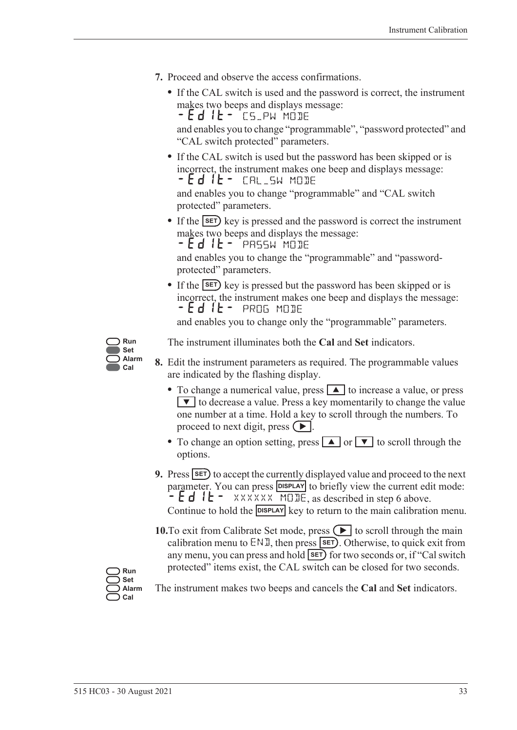- **7.** Proceed and observe the access confirmations.
	- **•** If the CAL switch is used and the password is correct, the instrument makes two beeps and displays message: - Ed IL - CS\_PW MODE

and enables you to change "programmable", "password protected" and "CAL switch protected" parameters.

**•** If the CAL switch is used but the password has been skipped or is incorrect, the instrument makes one beep and displays message: -EDIT- CAL\_SW MODE

and enables you to change "programmable" and "CAL switch protected" parameters.

• If the **SET**) key is pressed and the password is correct the instrument makes two beeps and displays the message:

 $-$  **E**  $d$   $l$  **L**  $-$  PASSW MODE

and enables you to change the "programmable" and "passwordprotected" parameters.

• If the **SET**) key is pressed but the password has been skipped or is incorrect, the instrument makes one beep and displays the message: -EDIT- PROG MODE

and enables you to change only the "programmable" parameters.



The instrument illuminates both the **Cal** and **Set** indicators.

- **8.** Edit the instrument parameters as required. The programmable values are indicated by the flashing display.
	- To change a numerical value, press **A** to increase a value, or press  $\blacktriangledown$  to decrease a value. Press a key momentarily to change the value one number at a time. Hold a key to scroll through the numbers. To proceed to next digit, press  $( \blacktriangleright ).$
	- To change an option setting, press **A** or  $\bullet$  to scroll through the options.
- **9.** Press **SET** to accept the currently displayed value and proceed to the next parameter. You can press **DISPLAY** to briefly view the current edit mode:  $-Ed$   $E - \frac{2}{x}$  XXXXXX MODE, as described in step 6 above. Continue to hold the **DISPLAY** key to return to the main calibration menu.
- **10.**To exit from Calibrate Set mode, press  $\left( \blacktriangleright \right)$  to scroll through the main calibration menu to  $ENI$ , then press  $SET$ . Otherwise, to quick exit from any menu, you can press and hold **SET** for two seconds or, if "Cal switch protected" items exist, the CAL switch can be closed for two seconds.

**Run Set Alarm Cal**

The instrument makes two beeps and cancels the **Cal** and **Set** indicators.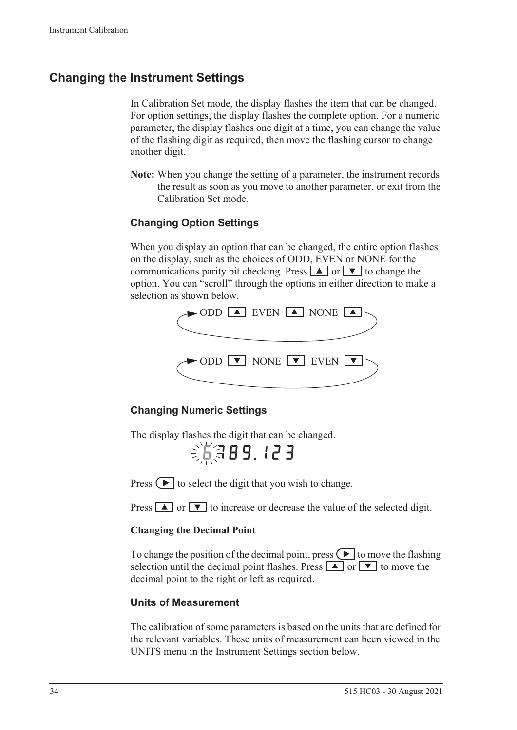### **Changing the Instrument Settings**

In Calibration Set mode, the display flashes the item that can be changed. For option settings, the display flashes the complete option. For a numeric parameter, the display flashes one digit at a time, you can change the value of the flashing digit as required, then move the flashing cursor to change another digit.

**Note:** When you change the setting of a parameter, the instrument records the result as soon as you move to another parameter, or exit from the Calibration Set mode.

#### **Changing Option Settings**

When you display an option that can be changed, the entire option flashes on the display, such as the choices of ODD, EVEN or NONE for the communications parity bit checking. Press  $\boxed{\blacktriangle}$  or  $\boxed{\blacktriangledown}$  to change the option. You can "scroll" through the options in either direction to make a selection as shown below.



#### **Changing Numeric Settings**

The display flashes the digit that can be changed.

第第89.123

Press  $\left( \blacktriangleright \right)$  to select the digit that you wish to change.

Press  $\boxed{\blacktriangle}$  or  $\boxed{\blacktriangledown}$  to increase or decrease the value of the selected digit.

#### **Changing the Decimal Point**

To change the position of the decimal point, press  $\Box$  to move the flashing selection until the decimal point flashes. Press  $\boxed{\blacktriangle}$  or  $\boxed{\blacktriangledown}$  to move the decimal point to the right or left as required.

#### **Units of Measurement**

The calibration of some parameters is based on the units that are defined for the relevant variables. These units of measurement can been viewed in the UNITS menu in the Instrument Settings section below.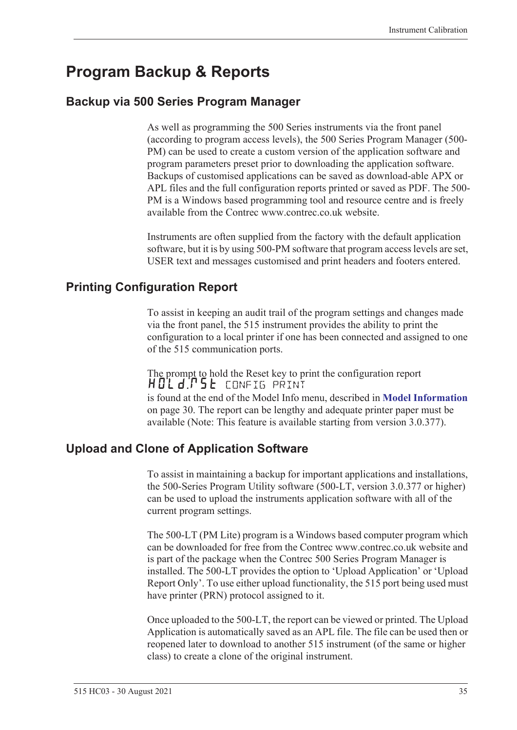## <span id="page-44-0"></span>**Program Backup & Reports**

### **Backup via 500 Series Program Manager**

As well as programming the 500 Series instruments via the front panel (according to program access levels), the 500 Series Program Manager (500- PM) can be used to create a custom version of the application software and program parameters preset prior to downloading the application software. Backups of customised applications can be saved as download-able APX or APL files and the full configuration reports printed or saved as PDF. The 500- PM is a Windows based programming tool and resource centre and is freely available from the Contrec www.contrec.co.uk website.

Instruments are often supplied from the factory with the default application software, but it is by using 500-PM software that program access levels are set, USER text and messages customised and print headers and footers entered.

### **Printing Configuration Report**

To assist in keeping an audit trail of the program settings and changes made via the front panel, the 515 instrument provides the ability to print the configuration to a local printer if one has been connected and assigned to one of the 515 communication ports.

The prompt to hold the Reset key to print the configuration report HOLd:P5E config print is found at the end of the Model Info menu, described in **[Model Information](#page-39-1)** [on page 30](#page-39-1). The report can be lengthy and adequate printer paper must be available (Note: This feature is available starting from version 3.0.377).

### **Upload and Clone of Application Software**

To assist in maintaining a backup for important applications and installations, the 500-Series Program Utility software (500-LT, version 3.0.377 or higher) can be used to upload the instruments application software with all of the current program settings.

The 500-LT (PM Lite) program is a Windows based computer program which can be downloaded for free from the Contrec www.contrec.co.uk website and is part of the package when the Contrec 500 Series Program Manager is installed. The 500-LT provides the option to 'Upload Application' or 'Upload Report Only'. To use either upload functionality, the 515 port being used must have printer (PRN) protocol assigned to it.

Once uploaded to the 500-LT, the report can be viewed or printed. The Upload Application is automatically saved as an APL file. The file can be used then or reopened later to download to another 515 instrument (of the same or higher class) to create a clone of the original instrument.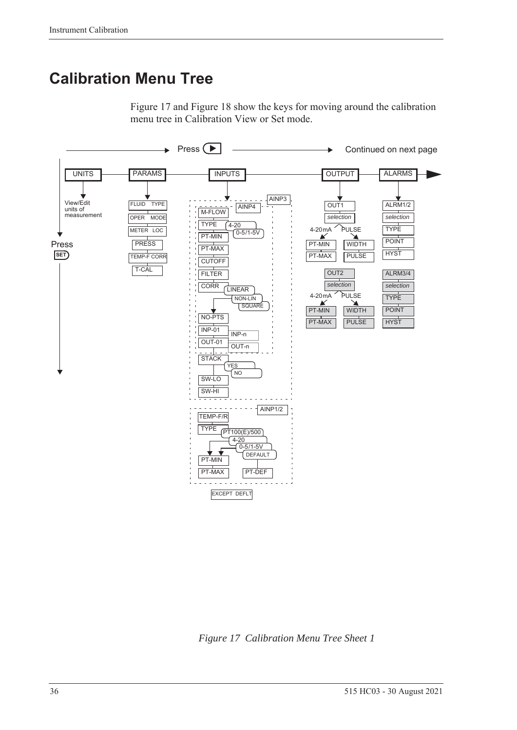## **Calibration Menu Tree**

[Figure 17](#page-45-0) and [Figure 18](#page-46-0) show the keys for moving around the calibration menu tree in Calibration View or Set mode.



<span id="page-45-0"></span>*Figure 17 Calibration Menu Tree Sheet 1*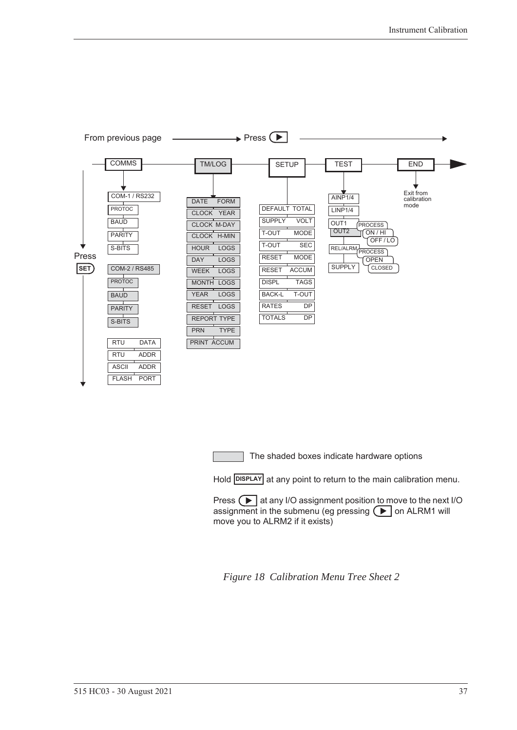

The shaded boxes indicate hardware options

Hold **DISPLAY** at any point to return to the main calibration menu.

Press  $\Box$  at any I/O assignment position to move to the next I/O assignment in the submenu (eg pressing  $\left( \blacktriangleright \right)$  on ALRM1 will move you to ALRM2 if it exists)

<span id="page-46-0"></span>*Figure 18 Calibration Menu Tree Sheet 2*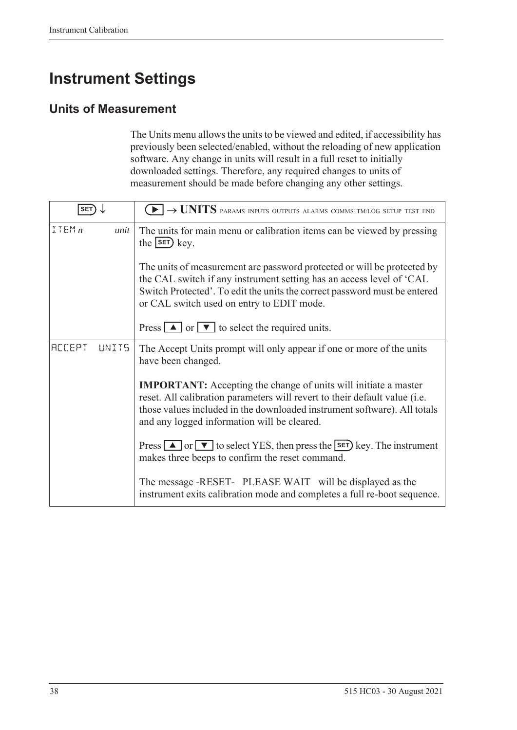## **Instrument Settings**

### **Units of Measurement**

The Units menu allows the units to be viewed and edited, if accessibility has previously been selected/enabled, without the reloading of new application software. Any change in units will result in a full reset to initially downloaded settings. Therefore, any required changes to units of measurement should be made before changing any other settings.

| <b>SET</b>              | $\blacktriangleright$ $\rightarrow$ UNITS params inputs outputs alarms comms tm/log setup test end                                                                                                                                                                              |  |
|-------------------------|---------------------------------------------------------------------------------------------------------------------------------------------------------------------------------------------------------------------------------------------------------------------------------|--|
| ITEMn<br>unit           | The units for main menu or calibration items can be viewed by pressing<br>the $s$ $F$ $k$ ey.                                                                                                                                                                                   |  |
|                         | The units of measurement are password protected or will be protected by<br>the CAL switch if any instrument setting has an access level of 'CAL<br>Switch Protected'. To edit the units the correct password must be entered<br>or CAL switch used on entry to EDIT mode.       |  |
|                         | Press $\boxed{\blacktriangle}$ or $\boxed{\blacktriangledown}$ to select the required units.                                                                                                                                                                                    |  |
| <b>ACCEPT</b><br>LINIT5 | The Accept Units prompt will only appear if one or more of the units<br>have been changed.                                                                                                                                                                                      |  |
|                         | <b>IMPORTANT:</b> Accepting the change of units will initiate a master<br>reset. All calibration parameters will revert to their default value (i.e.<br>those values included in the downloaded instrument software). All totals<br>and any logged information will be cleared. |  |
|                         | Press $\Box$ or $\nabla$ to select YES, then press the <b>SET</b> ) key. The instrument<br>makes three beeps to confirm the reset command.                                                                                                                                      |  |
|                         | The message -RESET- PLEASE WAIT will be displayed as the<br>instrument exits calibration mode and completes a full re-boot sequence.                                                                                                                                            |  |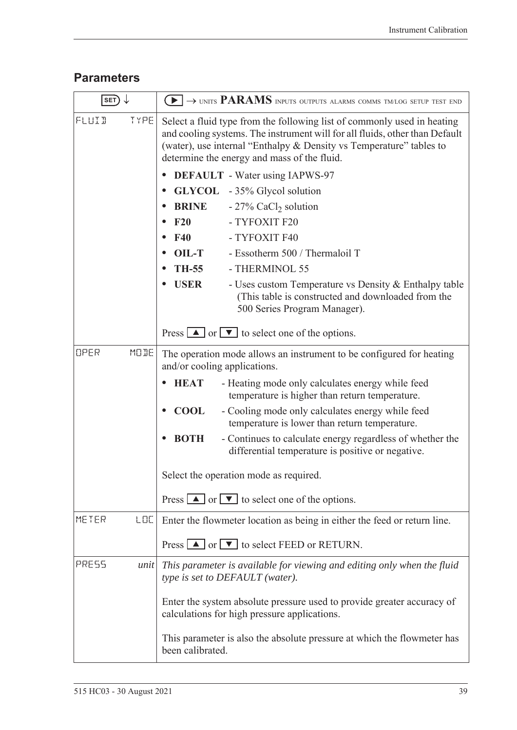### **Parameters**

| SET)          | $\blacktriangleright$ $\rightarrow$ units PARAMS inputs outputs alarms comms tm/log setup test end                                                                                                                                                                           |  |
|---------------|------------------------------------------------------------------------------------------------------------------------------------------------------------------------------------------------------------------------------------------------------------------------------|--|
| TYPE<br>FLUID | Select a fluid type from the following list of commonly used in heating<br>and cooling systems. The instrument will for all fluids, other than Default<br>(water), use internal "Enthalpy & Density vs Temperature" tables to<br>determine the energy and mass of the fluid. |  |
|               | <b>DEFAULT</b> - Water using IAPWS-97<br>$\bullet$                                                                                                                                                                                                                           |  |
|               | GLYCOL - 35% Glycol solution                                                                                                                                                                                                                                                 |  |
|               | <b>BRINE</b><br>- 27% CaCl <sub>2</sub> solution                                                                                                                                                                                                                             |  |
|               | - TYFOXIT F20<br>F20                                                                                                                                                                                                                                                         |  |
|               | <b>F40</b><br>- TYFOXIT F40                                                                                                                                                                                                                                                  |  |
|               | OIL-T<br>- Essotherm 500 / Thermaloil T                                                                                                                                                                                                                                      |  |
|               | <b>TH-55</b><br>- THERMINOL 55                                                                                                                                                                                                                                               |  |
|               | <b>USER</b><br>- Uses custom Temperature vs Density & Enthalpy table<br>(This table is constructed and downloaded from the<br>500 Series Program Manager).                                                                                                                   |  |
|               | Press $\boxed{\blacktriangle}$ or $\boxed{\blacktriangledown}$ to select one of the options.                                                                                                                                                                                 |  |
| MODE<br>OPER  | The operation mode allows an instrument to be configured for heating<br>and/or cooling applications.                                                                                                                                                                         |  |
|               | <b>HEAT</b><br>- Heating mode only calculates energy while feed<br>temperature is higher than return temperature.                                                                                                                                                            |  |
|               | <b>COOL</b><br>- Cooling mode only calculates energy while feed<br>$\bullet$<br>temperature is lower than return temperature.                                                                                                                                                |  |
|               | <b>BOTH</b><br>- Continues to calculate energy regardless of whether the<br>differential temperature is positive or negative.                                                                                                                                                |  |
|               | Select the operation mode as required.                                                                                                                                                                                                                                       |  |
|               | Press $\boxed{\blacktriangle}$ or $\boxed{\blacktriangledown}$ to select one of the options.                                                                                                                                                                                 |  |
| METER<br>LOC  | Enter the flowmeter location as being in either the feed or return line.                                                                                                                                                                                                     |  |
|               | Press $\Box$ or $\nabla$ to select FEED or RETURN.                                                                                                                                                                                                                           |  |
| PRESS<br>unit | This parameter is available for viewing and editing only when the fluid<br>type is set to DEFAULT (water).                                                                                                                                                                   |  |
|               | Enter the system absolute pressure used to provide greater accuracy of<br>calculations for high pressure applications.                                                                                                                                                       |  |
|               | This parameter is also the absolute pressure at which the flowmeter has<br>been calibrated.                                                                                                                                                                                  |  |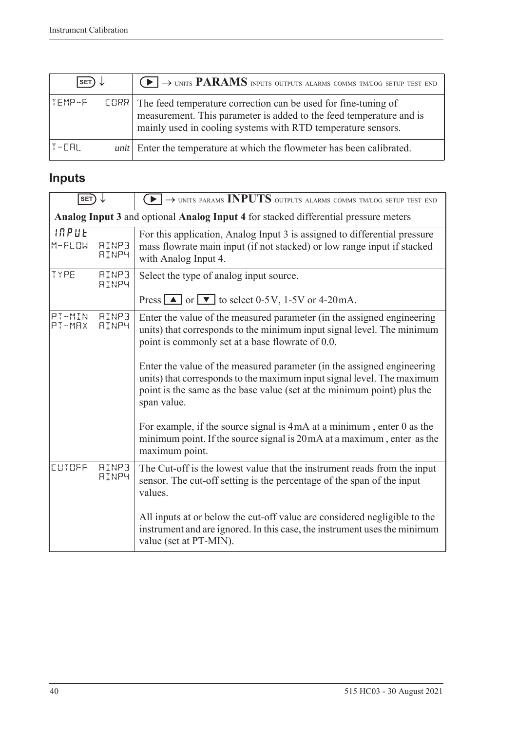| SET) ↓    |       | $\left(\rightarrow\right)$ $\rightarrow$ units <b>PARAMS</b> inputs outputs alarms comms tm/log setup test end                                                                                        |
|-----------|-------|-------------------------------------------------------------------------------------------------------------------------------------------------------------------------------------------------------|
| TEMP-F    | [DRR] | The feed temperature correction can be used for fine-tuning of<br>measurement. This parameter is added to the feed temperature and is<br>mainly used in cooling systems with RTD temperature sensors. |
| $T - E H$ |       | <i>unit</i> Enter the temperature at which the flowmeter has been calibrated.                                                                                                                         |

## **Inputs**

| SET)                                                                                |                              | $\blacktriangleright$ $\rightarrow$ units params INPUTS outputs alarms comms tmlog setup test end                                                                                                                                                                                                                                                                                                                                                                                                                                                                                                                       |  |
|-------------------------------------------------------------------------------------|------------------------------|-------------------------------------------------------------------------------------------------------------------------------------------------------------------------------------------------------------------------------------------------------------------------------------------------------------------------------------------------------------------------------------------------------------------------------------------------------------------------------------------------------------------------------------------------------------------------------------------------------------------------|--|
| Analog Input 3 and optional Analog Input 4 for stacked differential pressure meters |                              |                                                                                                                                                                                                                                                                                                                                                                                                                                                                                                                                                                                                                         |  |
| <b>INPUE</b><br>$M-FLDW$                                                            | <b>AINP3</b><br><b>AINP4</b> | For this application, Analog Input 3 is assigned to differential pressure<br>mass flowrate main input (if not stacked) or low range input if stacked<br>with Analog Input 4.                                                                                                                                                                                                                                                                                                                                                                                                                                            |  |
| TYPE                                                                                | <b>RINP3</b><br><b>AINP4</b> | Select the type of analog input source.<br>Press $\boxed{\blacktriangle}$ or $\boxed{\blacktriangledown}$ to select 0-5V, 1-5V or 4-20mA.                                                                                                                                                                                                                                                                                                                                                                                                                                                                               |  |
| PT-MIN<br>PT-MAX                                                                    | <b>AINP3</b><br><b>AINP4</b> | Enter the value of the measured parameter (in the assigned engineering<br>units) that corresponds to the minimum input signal level. The minimum<br>point is commonly set at a base flowrate of 0.0.<br>Enter the value of the measured parameter (in the assigned engineering<br>units) that corresponds to the maximum input signal level. The maximum<br>point is the same as the base value (set at the minimum point) plus the<br>span value.<br>For example, if the source signal is 4mA at a minimum, enter 0 as the<br>minimum point. If the source signal is 20mA at a maximum, enter as the<br>maximum point. |  |
| CUTOFF                                                                              | RINP3<br><b>AINP4</b>        | The Cut-off is the lowest value that the instrument reads from the input<br>sensor. The cut-off setting is the percentage of the span of the input<br>values.<br>All inputs at or below the cut-off value are considered negligible to the<br>instrument and are ignored. In this case, the instrument uses the minimum<br>value (set at PT-MIN).                                                                                                                                                                                                                                                                       |  |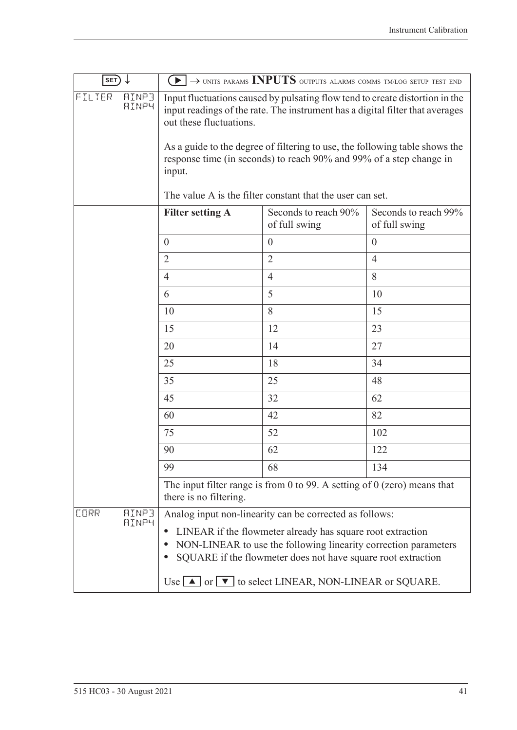| SET)                                        |                                                                                                                                                                                                                                                                                                                                                | $\blacktriangleright$ $\rightarrow$ units params INPUTS outputs alarms comms tm/log setup test end                                                                                                                                                                                                                       |                                       |
|---------------------------------------------|------------------------------------------------------------------------------------------------------------------------------------------------------------------------------------------------------------------------------------------------------------------------------------------------------------------------------------------------|--------------------------------------------------------------------------------------------------------------------------------------------------------------------------------------------------------------------------------------------------------------------------------------------------------------------------|---------------------------------------|
| FILTER<br>RINP3<br><b>AINP4</b>             | Input fluctuations caused by pulsating flow tend to create distortion in the<br>input readings of the rate. The instrument has a digital filter that averages<br>out these fluctuations.<br>As a guide to the degree of filtering to use, the following table shows the<br>response time (in seconds) to reach 90% and 99% of a step change in |                                                                                                                                                                                                                                                                                                                          |                                       |
|                                             | input.                                                                                                                                                                                                                                                                                                                                         |                                                                                                                                                                                                                                                                                                                          |                                       |
|                                             |                                                                                                                                                                                                                                                                                                                                                | The value A is the filter constant that the user can set.                                                                                                                                                                                                                                                                |                                       |
|                                             | <b>Filter setting A</b>                                                                                                                                                                                                                                                                                                                        | Seconds to reach 90%<br>of full swing                                                                                                                                                                                                                                                                                    | Seconds to reach 99%<br>of full swing |
|                                             | $\overline{0}$                                                                                                                                                                                                                                                                                                                                 | $\overline{0}$                                                                                                                                                                                                                                                                                                           | $\theta$                              |
|                                             | $\overline{2}$                                                                                                                                                                                                                                                                                                                                 | $\overline{2}$                                                                                                                                                                                                                                                                                                           | $\overline{4}$                        |
|                                             | $\overline{4}$                                                                                                                                                                                                                                                                                                                                 | $\overline{4}$                                                                                                                                                                                                                                                                                                           | 8                                     |
|                                             | 6                                                                                                                                                                                                                                                                                                                                              | 5                                                                                                                                                                                                                                                                                                                        | 10                                    |
|                                             | 10                                                                                                                                                                                                                                                                                                                                             | 8                                                                                                                                                                                                                                                                                                                        | 15                                    |
|                                             | 15                                                                                                                                                                                                                                                                                                                                             | 12                                                                                                                                                                                                                                                                                                                       | 23                                    |
|                                             | 20                                                                                                                                                                                                                                                                                                                                             | 14                                                                                                                                                                                                                                                                                                                       | 27                                    |
|                                             | 25                                                                                                                                                                                                                                                                                                                                             | 18                                                                                                                                                                                                                                                                                                                       | 34                                    |
|                                             | 35                                                                                                                                                                                                                                                                                                                                             | 25                                                                                                                                                                                                                                                                                                                       | 48                                    |
|                                             | 45                                                                                                                                                                                                                                                                                                                                             | 32                                                                                                                                                                                                                                                                                                                       | 62                                    |
|                                             | 60                                                                                                                                                                                                                                                                                                                                             | 42                                                                                                                                                                                                                                                                                                                       | 82                                    |
|                                             | 75                                                                                                                                                                                                                                                                                                                                             | 52                                                                                                                                                                                                                                                                                                                       | 102                                   |
|                                             | 90                                                                                                                                                                                                                                                                                                                                             | 62                                                                                                                                                                                                                                                                                                                       | 122                                   |
|                                             | 99                                                                                                                                                                                                                                                                                                                                             | 68                                                                                                                                                                                                                                                                                                                       | 134                                   |
|                                             | there is no filtering.                                                                                                                                                                                                                                                                                                                         | The input filter range is from 0 to 99. A setting of 0 (zero) means that                                                                                                                                                                                                                                                 |                                       |
| <b>CORR</b><br><b>AINP3</b><br><b>AINP4</b> |                                                                                                                                                                                                                                                                                                                                                | Analog input non-linearity can be corrected as follows:<br>LINEAR if the flowmeter already has square root extraction<br>NON-LINEAR to use the following linearity correction parameters<br>SQUARE if the flowmeter does not have square root extraction<br>Use $\Box$ or $\neg$ to select LINEAR, NON-LINEAR or SQUARE. |                                       |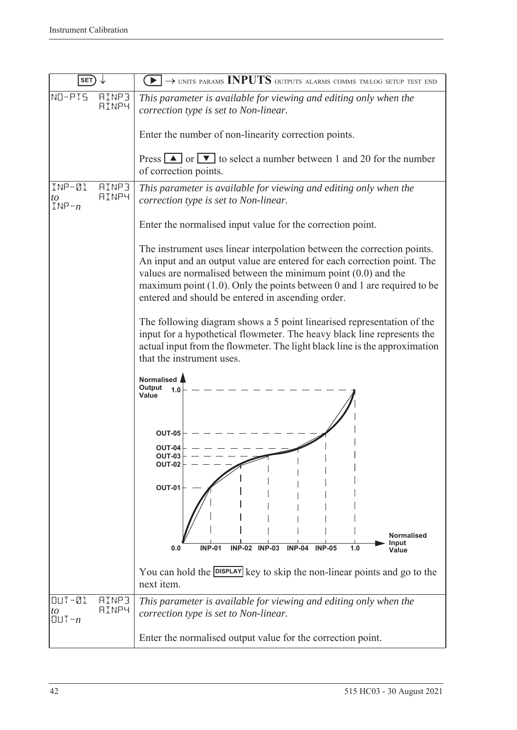| <b>SET</b>                                                          | $\rightarrow$ units params INPUTS outputs alarms comms tm/log setup test end                                                                                                                                                                                                                                                                             |  |  |
|---------------------------------------------------------------------|----------------------------------------------------------------------------------------------------------------------------------------------------------------------------------------------------------------------------------------------------------------------------------------------------------------------------------------------------------|--|--|
| NO-PIS<br><b>AINP3</b><br><b>AINP4</b>                              | This parameter is available for viewing and editing only when the<br>correction type is set to Non-linear.                                                                                                                                                                                                                                               |  |  |
|                                                                     | Enter the number of non-linearity correction points.                                                                                                                                                                                                                                                                                                     |  |  |
|                                                                     | Press $\boxed{\blacktriangle}$ or $\boxed{\blacktriangledown}$ to select a number between 1 and 20 for the number<br>of correction points.                                                                                                                                                                                                               |  |  |
| $INP - Q1$<br><b>AINP3</b><br><b>AINP4</b><br>to<br>$INP - n$       | This parameter is available for viewing and editing only when the<br>correction type is set to Non-linear.                                                                                                                                                                                                                                               |  |  |
|                                                                     | Enter the normalised input value for the correction point.                                                                                                                                                                                                                                                                                               |  |  |
|                                                                     | The instrument uses linear interpolation between the correction points.<br>An input and an output value are entered for each correction point. The<br>values are normalised between the minimum point $(0.0)$ and the<br>maximum point $(1.0)$ . Only the points between 0 and 1 are required to be<br>entered and should be entered in ascending order. |  |  |
|                                                                     | The following diagram shows a 5 point linearised representation of the<br>input for a hypothetical flowmeter. The heavy black line represents the<br>actual input from the flowmeter. The light black line is the approximation<br>that the instrument uses.                                                                                             |  |  |
|                                                                     | Normalised<br>Output<br>1.0<br>Value                                                                                                                                                                                                                                                                                                                     |  |  |
|                                                                     | <b>OUT-05</b><br>OUT-04<br>$OUT-03$<br><b>OUT-02</b><br><b>OUT-01</b>                                                                                                                                                                                                                                                                                    |  |  |
|                                                                     | Normalised<br>Input<br>0.0<br><b>INP-01</b><br><b>INP-02</b><br><b>INP-03</b><br><b>INP-04</b><br><b>INP-05</b><br>1.0<br>Value                                                                                                                                                                                                                          |  |  |
|                                                                     | You can hold the DISPLAY key to skip the non-linear points and go to the<br>next item.                                                                                                                                                                                                                                                                   |  |  |
| $UUT - 0I$<br><b>AINP3</b><br><b>AINP4</b><br>to<br>$[[] \cup [-n]$ | This parameter is available for viewing and editing only when the<br>correction type is set to Non-linear.                                                                                                                                                                                                                                               |  |  |
|                                                                     | Enter the normalised output value for the correction point.                                                                                                                                                                                                                                                                                              |  |  |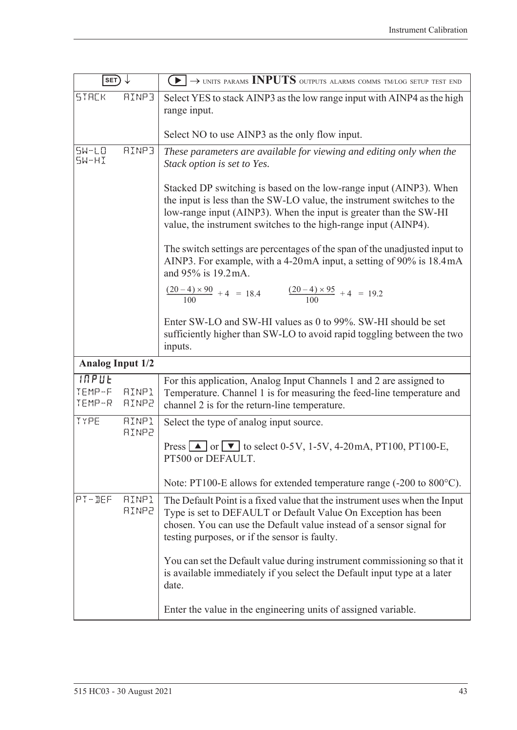| $ $ SET $)$                      |                              | $\left(\blacktriangleright\right)\rightarrow$ units params INPUTS outputs alarms comms tm/log setup test end                                                                                                                                                                         |
|----------------------------------|------------------------------|--------------------------------------------------------------------------------------------------------------------------------------------------------------------------------------------------------------------------------------------------------------------------------------|
| <b>STACK</b>                     | RINP3                        | Select YES to stack AINP3 as the low range input with AINP4 as the high<br>range input.                                                                                                                                                                                              |
|                                  |                              | Select NO to use AINP3 as the only flow input.                                                                                                                                                                                                                                       |
| $5W - L0$<br>5W-HI               | <b>AINP3</b>                 | These parameters are available for viewing and editing only when the<br>Stack option is set to Yes.                                                                                                                                                                                  |
|                                  |                              | Stacked DP switching is based on the low-range input (AINP3). When<br>the input is less than the SW-LO value, the instrument switches to the<br>low-range input (AINP3). When the input is greater than the SW-HI<br>value, the instrument switches to the high-range input (AINP4). |
|                                  |                              | The switch settings are percentages of the span of the unadjusted input to<br>AINP3. For example, with a 4-20mA input, a setting of 90% is 18.4mA<br>and 95% is 19.2mA.                                                                                                              |
|                                  |                              | $\frac{(20-4)\times 90}{100} + 4 = 18.4$ $\frac{(20-4)\times 95}{100} + 4 = 19.2$                                                                                                                                                                                                    |
|                                  |                              | Enter SW-LO and SW-HI values as 0 to 99%. SW-HI should be set<br>sufficiently higher than SW-LO to avoid rapid toggling between the two<br>inputs.                                                                                                                                   |
| <b>Analog Input 1/2</b>          |                              |                                                                                                                                                                                                                                                                                      |
| <b>INPUE</b><br>TEMP-F<br>TEMP-R | <b>AINP1</b><br><b>AINP2</b> | For this application, Analog Input Channels 1 and 2 are assigned to<br>Temperature. Channel 1 is for measuring the feed-line temperature and<br>channel 2 is for the return-line temperature.                                                                                        |
| TYPE                             | <b>AINP1</b><br><b>AINP2</b> | Select the type of analog input source.                                                                                                                                                                                                                                              |
|                                  |                              | Press $\Box$ or $\Box$ to select 0-5V, 1-5V, 4-20mA, PT100, PT100-E,<br>PT500 or DEFAULT.                                                                                                                                                                                            |
|                                  |                              | Note: PT100-E allows for extended temperature range (-200 to 800 °C).                                                                                                                                                                                                                |
| PT-DEF                           | <b>AINP1</b><br><b>AINP2</b> | The Default Point is a fixed value that the instrument uses when the Input<br>Type is set to DEFAULT or Default Value On Exception has been<br>chosen. You can use the Default value instead of a sensor signal for<br>testing purposes, or if the sensor is faulty.                 |
|                                  |                              | You can set the Default value during instrument commissioning so that it<br>is available immediately if you select the Default input type at a later<br>date.                                                                                                                        |
|                                  |                              | Enter the value in the engineering units of assigned variable.                                                                                                                                                                                                                       |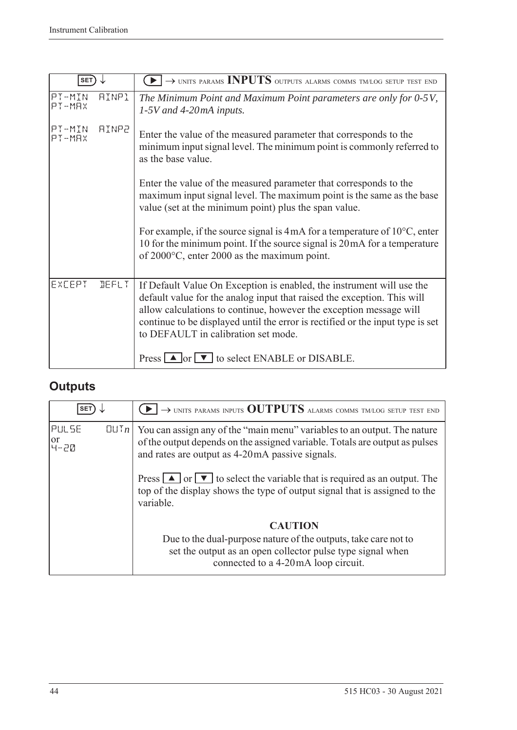| <b>SET</b>         |              | $\rightarrow$ UNITS PARAMS INPUTS OUTPUTS ALARMS COMMS TM/LOG SETUP TEST END                                                                                                                                                                                                                                                                    |
|--------------------|--------------|-------------------------------------------------------------------------------------------------------------------------------------------------------------------------------------------------------------------------------------------------------------------------------------------------------------------------------------------------|
| PT-MIN<br>PT-MAX   | AINP1        | The Minimum Point and Maximum Point parameters are only for 0-5V,<br>$1-5V$ and 4-20mA inputs.                                                                                                                                                                                                                                                  |
| PT-MIN<br>$PT-MAX$ | <b>AINP2</b> | Enter the value of the measured parameter that corresponds to the<br>minimum input signal level. The minimum point is commonly referred to<br>as the base value.                                                                                                                                                                                |
|                    |              | Enter the value of the measured parameter that corresponds to the<br>maximum input signal level. The maximum point is the same as the base<br>value (set at the minimum point) plus the span value.                                                                                                                                             |
|                    |              | For example, if the source signal is $4mA$ for a temperature of $10^{\circ}$ C, enter<br>10 for the minimum point. If the source signal is 20 mA for a temperature<br>of 2000°C, enter 2000 as the maximum point.                                                                                                                               |
| EXCEPT             | <b>DEFLT</b> | If Default Value On Exception is enabled, the instrument will use the<br>default value for the analog input that raised the exception. This will<br>allow calculations to continue, however the exception message will<br>continue to be displayed until the error is rectified or the input type is set<br>to DEFAULT in calibration set mode. |
|                    |              | Press $\Box$ or $\nabla$ to select ENABLE or DISABLE.                                                                                                                                                                                                                                                                                           |

## **Outputs**

| <b>SET</b>                                    | $\rightarrow$ units params inputs OUTPUTS alarms comms tm/log setup test end                                                                                                                                |
|-----------------------------------------------|-------------------------------------------------------------------------------------------------------------------------------------------------------------------------------------------------------------|
| <b>PULSE</b><br>$[[] \cup [n]$<br>or<br> 4-근M | You can assign any of the "main menu" variables to an output. The nature<br>of the output depends on the assigned variable. Totals are output as pulses<br>and rates are output as 4-20 mA passive signals. |
|                                               | Press $\Box$ or $\nabla$ to select the variable that is required as an output. The<br>top of the display shows the type of output signal that is assigned to the<br>variable.                               |
|                                               | <b>CAUTION</b><br>Due to the dual-purpose nature of the outputs, take care not to<br>set the output as an open collector pulse type signal when<br>connected to a 4-20mA loop circuit.                      |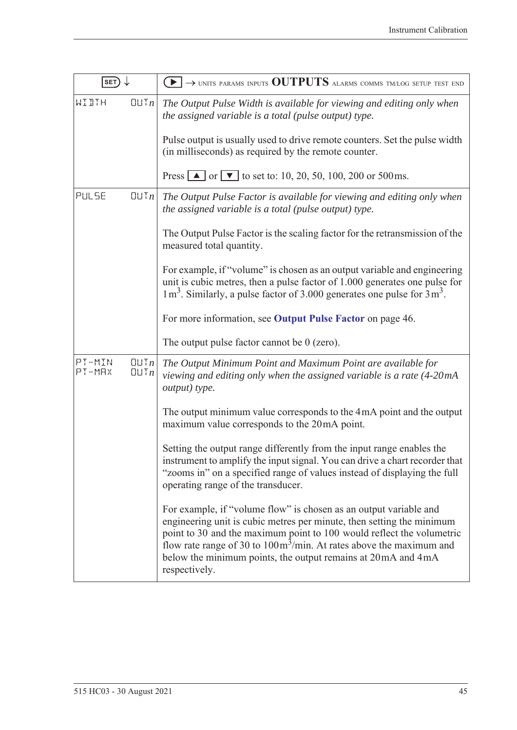| SET)             |              | $\blacktriangleright$ $\rightarrow$ units params inputs <b>OUTPUTS</b> alarms comms tm/log setup test end                                                                                                                                                                                                                                                                                     |
|------------------|--------------|-----------------------------------------------------------------------------------------------------------------------------------------------------------------------------------------------------------------------------------------------------------------------------------------------------------------------------------------------------------------------------------------------|
| WIJTH            | QUTn         | The Output Pulse Width is available for viewing and editing only when<br>the assigned variable is a total (pulse output) type.                                                                                                                                                                                                                                                                |
|                  |              | Pulse output is usually used to drive remote counters. Set the pulse width<br>(in milliseconds) as required by the remote counter.                                                                                                                                                                                                                                                            |
|                  |              | Press $\boxed{\triangle}$ or $\boxed{\triangledown}$ to set to: 10, 20, 50, 100, 200 or 500 ms.                                                                                                                                                                                                                                                                                               |
| PULSE            | QUTn         | The Output Pulse Factor is available for viewing and editing only when<br>the assigned variable is a total (pulse output) type.                                                                                                                                                                                                                                                               |
|                  |              | The Output Pulse Factor is the scaling factor for the retransmission of the<br>measured total quantity.                                                                                                                                                                                                                                                                                       |
|                  |              | For example, if "volume" is chosen as an output variable and engineering<br>unit is cubic metres, then a pulse factor of 1.000 generates one pulse for<br>$1 m3$ . Similarly, a pulse factor of 3.000 generates one pulse for $3 m3$ .                                                                                                                                                        |
|                  |              | For more information, see Output Pulse Factor on page 46.                                                                                                                                                                                                                                                                                                                                     |
|                  |              | The output pulse factor cannot be $0$ (zero).                                                                                                                                                                                                                                                                                                                                                 |
| PT-MIN<br>PT-MRX | QUTn<br>QUTn | The Output Minimum Point and Maximum Point are available for<br>viewing and editing only when the assigned variable is a rate (4-20mA<br>output) type.                                                                                                                                                                                                                                        |
|                  |              | The output minimum value corresponds to the 4mA point and the output<br>maximum value corresponds to the 20mA point.                                                                                                                                                                                                                                                                          |
|                  |              | Setting the output range differently from the input range enables the<br>instrument to amplify the input signal. You can drive a chart recorder that<br>"zooms in" on a specified range of values instead of displaying the full<br>operating range of the transducer.                                                                                                                        |
|                  |              | For example, if "volume flow" is chosen as an output variable and<br>engineering unit is cubic metres per minute, then setting the minimum<br>point to 30 and the maximum point to 100 would reflect the volumetric<br>flow rate range of 30 to $100 \text{m}^3/\text{min}$ . At rates above the maximum and<br>below the minimum points, the output remains at 20mA and 4mA<br>respectively. |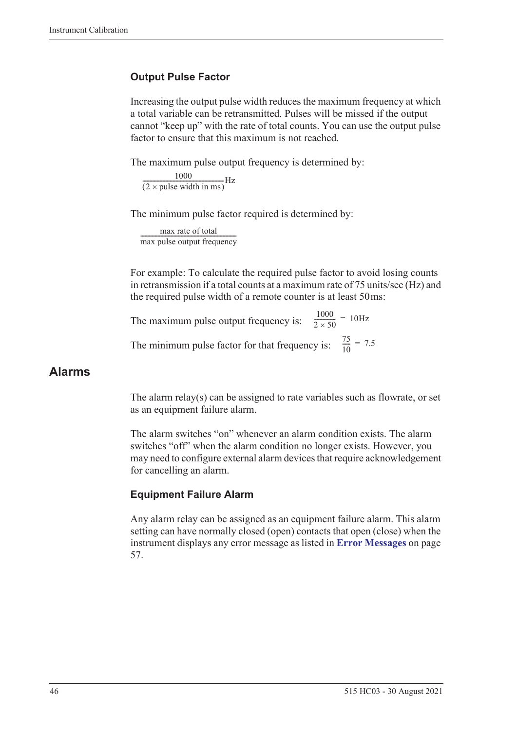#### <span id="page-55-0"></span>**Output Pulse Factor**

Increasing the output pulse width reduces the maximum frequency at which a total variable can be retransmitted. Pulses will be missed if the output cannot "keep up" with the rate of total counts. You can use the output pulse factor to ensure that this maximum is not reached.

The maximum pulse output frequency is determined by:

 $\frac{1000}{(2 \times \text{pulse width in ms})} \text{Hz}$ 

The minimum pulse factor required is determined by:

max rate of total max pulse output frequency ------------------------------------------------------------------

For example: To calculate the required pulse factor to avoid losing counts in retransmission if a total counts at a maximum rate of 75 units/sec (Hz) and the required pulse width of a remote counter is at least 50 ms:

The maximum pulse output frequency is:  $\frac{1000}{2 \times 50}$  = 10Hz The minimum pulse factor for that frequency is:  $\frac{75}{10}$  $\frac{73}{10}$  = 7.5

#### **Alarms**

The alarm relay(s) can be assigned to rate variables such as flowrate, or set as an equipment failure alarm.

The alarm switches "on" whenever an alarm condition exists. The alarm switches "off" when the alarm condition no longer exists. However, you may need to configure external alarm devices that require acknowledgement for cancelling an alarm.

#### **Equipment Failure Alarm**

Any alarm relay can be assigned as an equipment failure alarm. This alarm setting can have normally closed (open) contacts that open (close) when the instrument displays any error message as listed in **[Error Messages](#page-66-0)** on page [57](#page-66-0).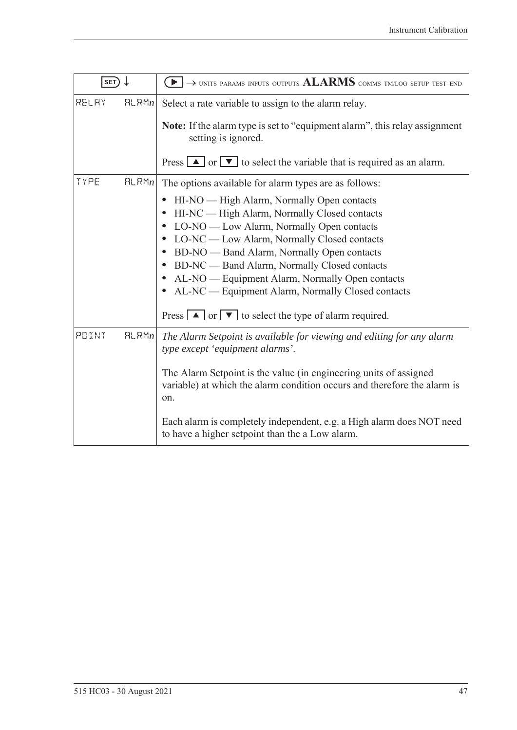| SET)  |       | $\rightarrow$ units params inputs outputs $ALARMS$ comms tm/log setup test end                                                                       |
|-------|-------|------------------------------------------------------------------------------------------------------------------------------------------------------|
| RELAY | HLRMn | Select a rate variable to assign to the alarm relay.                                                                                                 |
|       |       | Note: If the alarm type is set to "equipment alarm", this relay assignment<br>setting is ignored.                                                    |
|       |       | Press $\boxed{\blacktriangle}$ or $\boxed{\blacktriangledown}$ to select the variable that is required as an alarm.                                  |
| TYPE  | HLRMn | The options available for alarm types are as follows:                                                                                                |
|       |       | HI-NO — High Alarm, Normally Open contacts<br>$\bullet$                                                                                              |
|       |       | HI-NC — High Alarm, Normally Closed contacts                                                                                                         |
|       |       | LO-NO — Low Alarm, Normally Open contacts<br>$\bullet$                                                                                               |
|       |       | LO-NC — Low Alarm, Normally Closed contacts                                                                                                          |
|       |       | BD-NO — Band Alarm, Normally Open contacts<br>BD-NC — Band Alarm, Normally Closed contacts<br>٠                                                      |
|       |       | AL-NO — Equipment Alarm, Normally Open contacts                                                                                                      |
|       |       | AL-NC — Equipment Alarm, Normally Closed contacts                                                                                                    |
|       |       | Press $\Box$ or $\nabla$ to select the type of alarm required.                                                                                       |
| POINT | HLRMn | The Alarm Setpoint is available for viewing and editing for any alarm<br>type except 'equipment alarms'.                                             |
|       |       | The Alarm Setpoint is the value (in engineering units of assigned<br>variable) at which the alarm condition occurs and therefore the alarm is<br>on. |
|       |       | Each alarm is completely independent, e.g. a High alarm does NOT need<br>to have a higher setpoint than the a Low alarm.                             |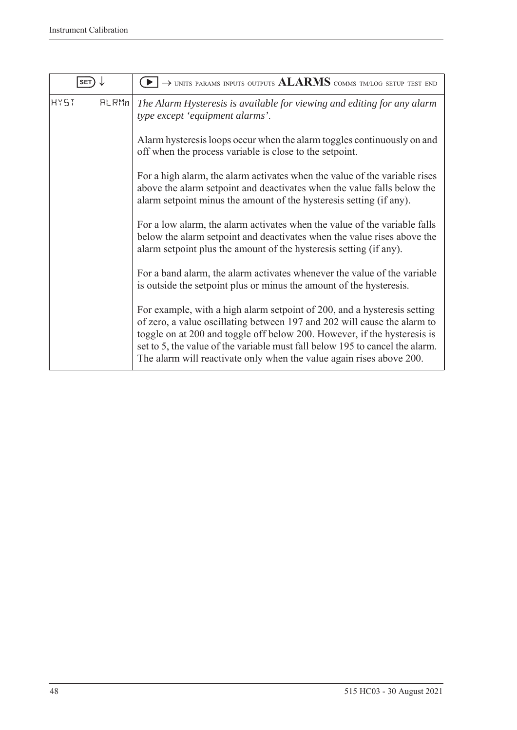| SET                  | $\rightarrow$ units params inputs outputs $ALARNING$ comms tm/log setup test end                                                                                                                                                                                                                                                                                                         |
|----------------------|------------------------------------------------------------------------------------------------------------------------------------------------------------------------------------------------------------------------------------------------------------------------------------------------------------------------------------------------------------------------------------------|
| <b>HY5T</b><br>FLRMn | The Alarm Hysteresis is available for viewing and editing for any alarm<br>type except 'equipment alarms'.                                                                                                                                                                                                                                                                               |
|                      | Alarm hysteresis loops occur when the alarm toggles continuously on and<br>off when the process variable is close to the setpoint.                                                                                                                                                                                                                                                       |
|                      | For a high alarm, the alarm activates when the value of the variable rises<br>above the alarm setpoint and deactivates when the value falls below the<br>alarm setpoint minus the amount of the hysteresis setting (if any).                                                                                                                                                             |
|                      | For a low alarm, the alarm activates when the value of the variable falls<br>below the alarm setpoint and deactivates when the value rises above the<br>alarm setpoint plus the amount of the hysteresis setting (if any).                                                                                                                                                               |
|                      | For a band alarm, the alarm activates whenever the value of the variable<br>is outside the setpoint plus or minus the amount of the hysteresis.                                                                                                                                                                                                                                          |
|                      | For example, with a high alarm setpoint of 200, and a hysteresis setting<br>of zero, a value oscillating between 197 and 202 will cause the alarm to<br>toggle on at 200 and toggle off below 200. However, if the hysteresis is<br>set to 5, the value of the variable must fall below 195 to cancel the alarm.<br>The alarm will reactivate only when the value again rises above 200. |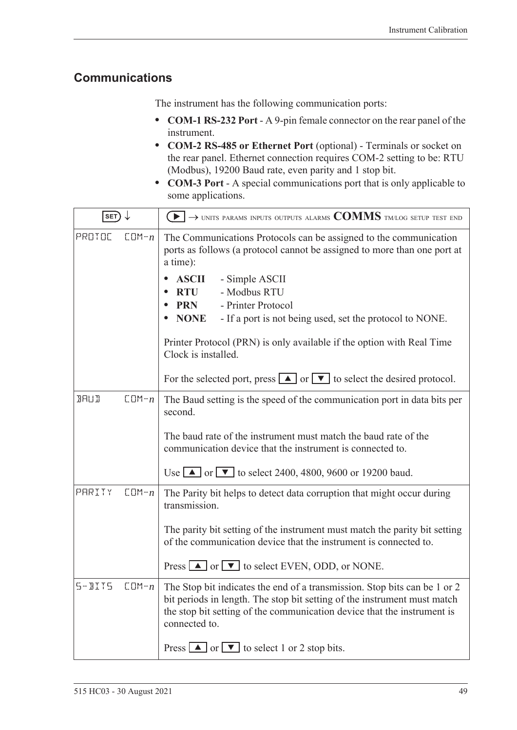### **Communications**

The instrument has the following communication ports:

- **• COM-1 RS-232 Port** A 9-pin female connector on the rear panel of the instrument.
- **• COM-2 RS-485 or Ethernet Port** (optional) Terminals or socket on the rear panel. Ethernet connection requires COM-2 setting to be: RTU (Modbus), 19200 Baud rate, even parity and 1 stop bit.
- **• COM-3 Port** A special communications port that is only applicable to some applications.

| SET)        |           | $\textcolor{blue}{\blacktriangleright} \rightarrow$ units params inputs outputs alarms $\textcolor{blue}{\mathbf{COMMS}}$ tmlog setup test end                                                                                                    |
|-------------|-----------|---------------------------------------------------------------------------------------------------------------------------------------------------------------------------------------------------------------------------------------------------|
| PROTOC      | $CDM - n$ | The Communications Protocols can be assigned to the communication<br>ports as follows (a protocol cannot be assigned to more than one port at<br>a time):                                                                                         |
|             |           | <b>ASCII</b><br>- Simple ASCII<br>- Modbus RTU<br><b>RTU</b>                                                                                                                                                                                      |
|             |           | <b>PRN</b><br>- Printer Protocol                                                                                                                                                                                                                  |
|             |           | <b>NONE</b><br>- If a port is not being used, set the protocol to NONE.                                                                                                                                                                           |
|             |           | Printer Protocol (PRN) is only available if the option with Real Time<br>Clock is installed.                                                                                                                                                      |
|             |           | For the selected port, press $\Box$ or $\Box$ to select the desired protocol.                                                                                                                                                                     |
| <b>BRUD</b> | $CDM - n$ | The Baud setting is the speed of the communication port in data bits per<br>second.                                                                                                                                                               |
|             |           | The baud rate of the instrument must match the baud rate of the<br>communication device that the instrument is connected to.                                                                                                                      |
|             |           | Use $\blacksquare$ or $\blacksquare$ to select 2400, 4800, 9600 or 19200 baud.                                                                                                                                                                    |
| PARITY      | $CDM - n$ | The Parity bit helps to detect data corruption that might occur during<br>transmission.                                                                                                                                                           |
|             |           | The parity bit setting of the instrument must match the parity bit setting<br>of the communication device that the instrument is connected to.                                                                                                    |
|             |           | Press $\Box$ or $\nabla$ to select EVEN, ODD, or NONE.                                                                                                                                                                                            |
| $5 - 3115$  | $CDM - n$ | The Stop bit indicates the end of a transmission. Stop bits can be 1 or 2<br>bit periods in length. The stop bit setting of the instrument must match<br>the stop bit setting of the communication device that the instrument is<br>connected to. |
|             |           | Press $\boxed{\blacktriangle}$ or $\boxed{\blacktriangledown}$ to select 1 or 2 stop bits.                                                                                                                                                        |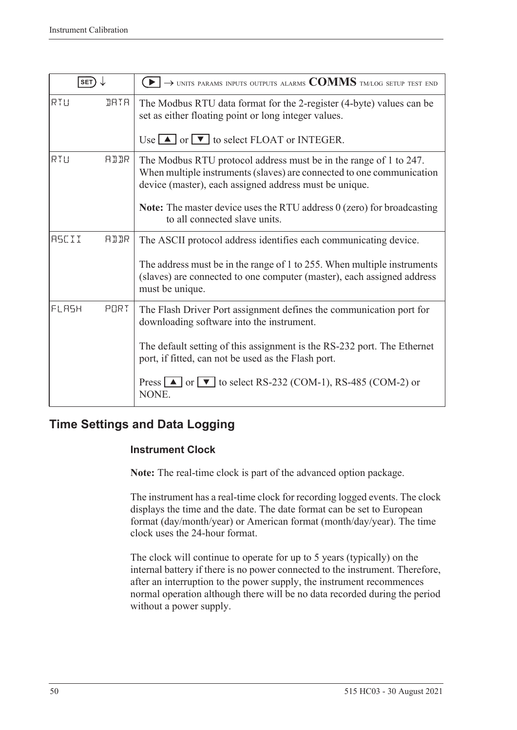| SET)         |             | $\rightarrow$ units params inputs outputs alarms $\text{COMMS}$ tm/log setup test end                                                                                                                |
|--------------|-------------|------------------------------------------------------------------------------------------------------------------------------------------------------------------------------------------------------|
| RTU          | <b>IRTR</b> | The Modbus RTU data format for the 2-register (4-byte) values can be<br>set as either floating point or long integer values.                                                                         |
|              |             | Use $\Box$ or $\nabla$ to select FLOAT or INTEGER.                                                                                                                                                   |
| RTU          | AIIR        | The Modbus RTU protocol address must be in the range of 1 to 247.<br>When multiple instruments (slaves) are connected to one communication<br>device (master), each assigned address must be unique. |
|              |             | <b>Note:</b> The master device uses the RTU address $0$ (zero) for broadcasting<br>to all connected slave units.                                                                                     |
| <b>RSCII</b> | <b>ATTR</b> | The ASCII protocol address identifies each communicating device.                                                                                                                                     |
|              |             | The address must be in the range of 1 to 255. When multiple instruments<br>(slaves) are connected to one computer (master), each assigned address<br>must be unique.                                 |
| FLASH        | PORT        | The Flash Driver Port assignment defines the communication port for<br>downloading software into the instrument.                                                                                     |
|              |             | The default setting of this assignment is the RS-232 port. The Ethernet<br>port, if fitted, can not be used as the Flash port.                                                                       |
|              |             | Press $\Box$ or $\nabla$ to select RS-232 (COM-1), RS-485 (COM-2) or<br>NONE.                                                                                                                        |

### **Time Settings and Data Logging**

#### **Instrument Clock**

**Note:** The real-time clock is part of the advanced option package.

The instrument has a real-time clock for recording logged events. The clock displays the time and the date. The date format can be set to European format (day/month/year) or American format (month/day/year). The time clock uses the 24-hour format.

The clock will continue to operate for up to 5 years (typically) on the internal battery if there is no power connected to the instrument. Therefore, after an interruption to the power supply, the instrument recommences normal operation although there will be no data recorded during the period without a power supply.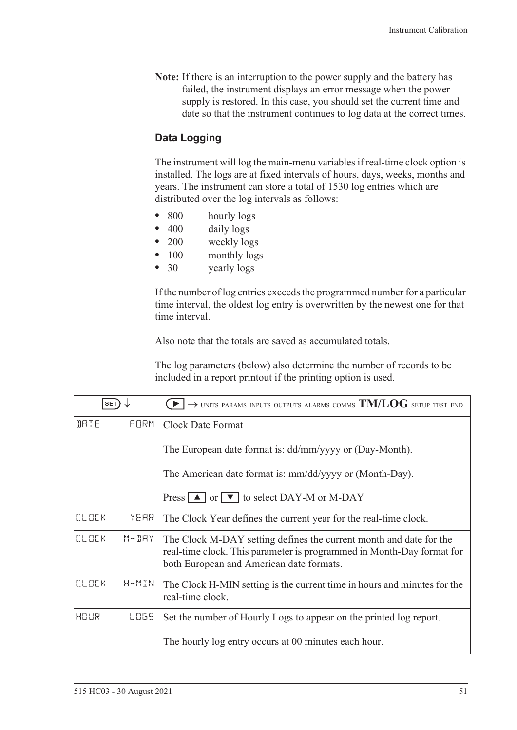**Note:** If there is an interruption to the power supply and the battery has failed, the instrument displays an error message when the power supply is restored. In this case, you should set the current time and date so that the instrument continues to log data at the correct times.

#### **Data Logging**

The instrument will log the main-menu variables if real-time clock option is installed. The logs are at fixed intervals of hours, days, weeks, months and years. The instrument can store a total of 1530 log entries which are distributed over the log intervals as follows:

- 800 hourly logs
- 400 daily logs
- **•** 200 weekly logs
- 100 monthly logs
- **•** 30 yearly logs

If the number of log entries exceeds the programmed number for a particular time interval, the oldest log entry is overwritten by the newest one for that time interval.

Also note that the totals are saved as accumulated totals.

The log parameters (below) also determine the number of records to be included in a report printout if the printing option is used.

| <b>SET</b>   |           | $\rightarrow$ units params inputs outputs alarms comms $TM/LOG$ setup test end                                                                                                          |
|--------------|-----------|-----------------------------------------------------------------------------------------------------------------------------------------------------------------------------------------|
| <b>IRTE</b>  | FORM      | Clock Date Format                                                                                                                                                                       |
|              |           | The European date format is: dd/mm/yyyy or (Day-Month).                                                                                                                                 |
|              |           | The American date format is: mm/dd/yyyy or (Month-Day).                                                                                                                                 |
|              |           | Press $\boxed{\blacktriangle}$ or $\boxed{\blacktriangledown}$ to select DAY-M or M-DAY                                                                                                 |
| <b>CLOCK</b> | YEAR      | The Clock Year defines the current year for the real-time clock.                                                                                                                        |
| <b>CLOCK</b> | $M - JHY$ | The Clock M-DAY setting defines the current month and date for the<br>real-time clock. This parameter is programmed in Month-Day format for<br>both European and American date formats. |
| <b>CLOCK</b> | H-MIN     | The Clock H-MIN setting is the current time in hours and minutes for the<br>real-time clock.                                                                                            |
| HOUR         | LOGS.     | Set the number of Hourly Logs to appear on the printed log report.                                                                                                                      |
|              |           | The hourly log entry occurs at 00 minutes each hour.                                                                                                                                    |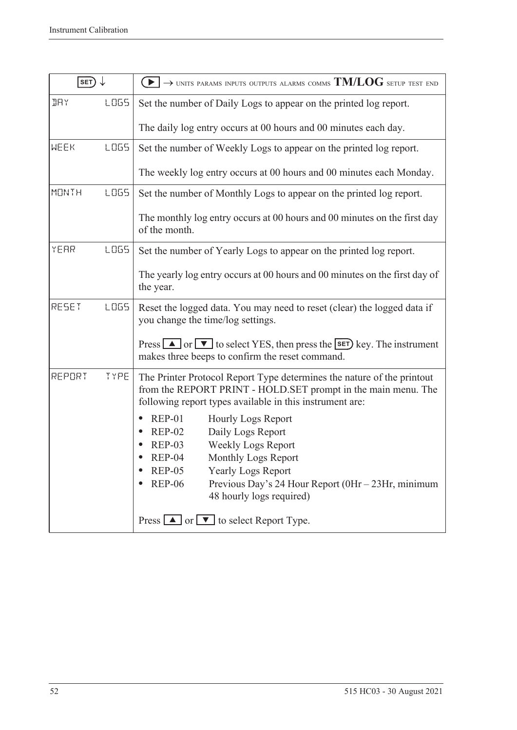| SET)         |             | $\rightarrow$ units params inputs outputs alarms comms $TM/LOG$ setup test end                                                                                                                                                                                                                              |
|--------------|-------------|-------------------------------------------------------------------------------------------------------------------------------------------------------------------------------------------------------------------------------------------------------------------------------------------------------------|
| <b>IRY</b>   | LOG5        | Set the number of Daily Logs to appear on the printed log report.                                                                                                                                                                                                                                           |
|              |             | The daily log entry occurs at 00 hours and 00 minutes each day.                                                                                                                                                                                                                                             |
| MEEK         | <b>LOGS</b> | Set the number of Weekly Logs to appear on the printed log report.                                                                                                                                                                                                                                          |
|              |             | The weekly log entry occurs at 00 hours and 00 minutes each Monday.                                                                                                                                                                                                                                         |
| <b>MONTH</b> | LO65        | Set the number of Monthly Logs to appear on the printed log report.                                                                                                                                                                                                                                         |
|              |             | The monthly log entry occurs at 00 hours and 00 minutes on the first day<br>of the month.                                                                                                                                                                                                                   |
| YEAR         | LO65        | Set the number of Yearly Logs to appear on the printed log report.                                                                                                                                                                                                                                          |
|              |             | The yearly log entry occurs at 00 hours and 00 minutes on the first day of<br>the year.                                                                                                                                                                                                                     |
| RESET        | <b>LOGS</b> | Reset the logged data. You may need to reset (clear) the logged data if<br>you change the time/log settings.                                                                                                                                                                                                |
|              |             | Press $\Box$ or $\nabla$ to select YES, then press the <b>SET</b> ) key. The instrument<br>makes three beeps to confirm the reset command.                                                                                                                                                                  |
| REPORT       | TYPE        | The Printer Protocol Report Type determines the nature of the printout<br>from the REPORT PRINT - HOLD.SET prompt in the main menu. The<br>following report types available in this instrument are:                                                                                                         |
|              |             | <b>REP-01</b><br><b>Hourly Logs Report</b><br>Daily Logs Report<br><b>REP-02</b><br>Weekly Logs Report<br><b>REP-03</b><br>$REP-04$<br>Monthly Logs Report<br><b>REP-05</b><br><b>Yearly Logs Report</b><br><b>REP-06</b><br>Previous Day's 24 Hour Report (0Hr - 23Hr, minimum<br>48 hourly logs required) |
|              |             | Press $\boxed{\blacktriangle}$ or $\boxed{\blacktriangledown}$ to select Report Type.                                                                                                                                                                                                                       |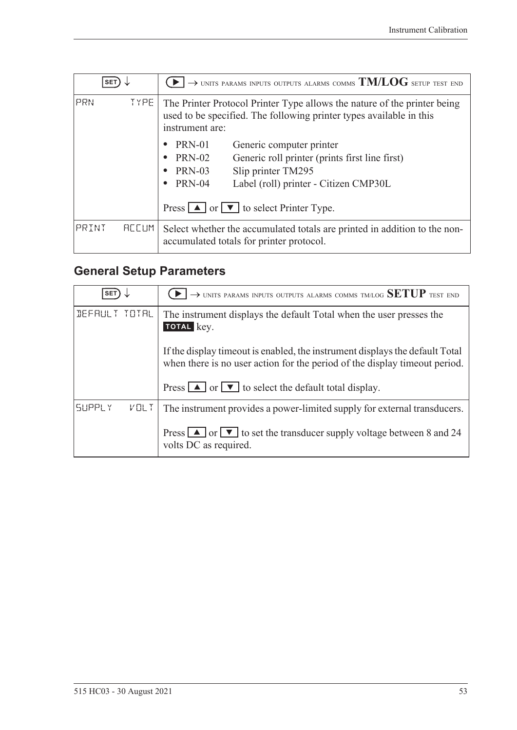| <b>SET</b> |                   | $\rightarrow$ units params inputs outputs alarms comms $\mathrm{TM/LOG}$ setup test end                                                                            |
|------------|-------------------|--------------------------------------------------------------------------------------------------------------------------------------------------------------------|
| PRN        | TYPE <sup>1</sup> | The Printer Protocol Printer Type allows the nature of the printer being<br>used to be specified. The following printer types available in this<br>instrument are: |
|            |                   | <b>PRN-01</b><br>Generic computer printer                                                                                                                          |
|            |                   | <b>PRN-02</b><br>Generic roll printer (prints first line first)                                                                                                    |
|            |                   | Slip printer TM295<br><b>PRN-03</b><br>$\bullet$                                                                                                                   |
|            |                   | <b>PRN-04</b><br>Label (roll) printer - Citizen CMP30L<br>٠                                                                                                        |
|            |                   | Press $\boxed{\blacktriangle}$ or $\boxed{\blacktriangledown}$ to select Printer Type.                                                                             |
| PRINT      | <b>REEUM</b>      | Select whether the accumulated totals are printed in addition to the non-<br>accumulated totals for printer protocol.                                              |

## <span id="page-62-0"></span>**General Setup Parameters**

| <b>SET</b>            | $\rightarrow$ units params inputs outputs alarms comms tm/log SETUP test end                                                                                 |
|-----------------------|--------------------------------------------------------------------------------------------------------------------------------------------------------------|
| DEFAULT TOTAL         | The instrument displays the default Total when the user presses the<br>TOTAL key.                                                                            |
|                       | If the display time out is enabled, the instrument displays the default Total<br>when there is no user action for the period of the display time out period. |
|                       | Press $\Box$ or $\Box$ to select the default total display.                                                                                                  |
| <b>SUPPLY</b><br>VOLT | The instrument provides a power-limited supply for external transducers.                                                                                     |
|                       | Press $\boxed{\blacktriangle}$ or $\boxed{\blacktriangledown}$ to set the transducer supply voltage between 8 and 24<br>volts DC as required.                |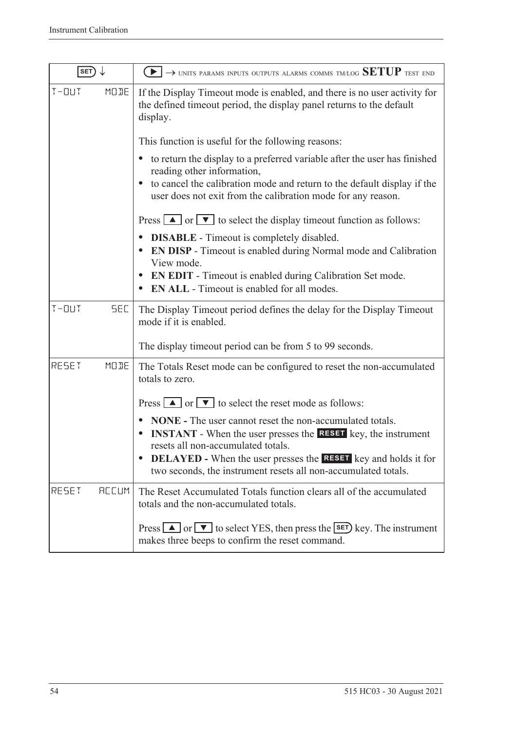| SET)                    | $\rightarrow$ units params inputs outputs alarms comms tmlog $\operatorname{SETUP}$ test end                                                                                         |
|-------------------------|--------------------------------------------------------------------------------------------------------------------------------------------------------------------------------------|
| $T - 11T$<br>MODE       | If the Display Timeout mode is enabled, and there is no user activity for<br>the defined timeout period, the display panel returns to the default<br>display.                        |
|                         | This function is useful for the following reasons:                                                                                                                                   |
|                         | to return the display to a preferred variable after the user has finished<br>$\bullet$<br>reading other information,                                                                 |
|                         | to cancel the calibration mode and return to the default display if the<br>user does not exit from the calibration mode for any reason.                                              |
|                         | Press $\Box$ or $\nabla$ to select the display timeout function as follows:                                                                                                          |
|                         | <b>DISABLE</b> - Timeout is completely disabled.<br>$\bullet$<br><b>EN DISP</b> - Timeout is enabled during Normal mode and Calibration<br>$\bullet$<br>View mode.                   |
|                         | <b>EN EDIT</b> - Timeout is enabled during Calibration Set mode.<br>$\bullet$<br><b>EN ALL</b> - Timeout is enabled for all modes.                                                   |
| $T - 11T$<br><b>SEC</b> | The Display Timeout period defines the delay for the Display Timeout<br>mode if it is enabled.                                                                                       |
|                         | The display timeout period can be from 5 to 99 seconds.                                                                                                                              |
| RESET<br>MODE           | The Totals Reset mode can be configured to reset the non-accumulated<br>totals to zero.                                                                                              |
|                         | Press $\boxed{\blacktriangle}$ or $\boxed{\blacktriangledown}$ to select the reset mode as follows:                                                                                  |
|                         | <b>NONE</b> - The user cannot reset the non-accumulated totals.<br><b>INSTANT</b> - When the user presses the <b>RESET</b> key, the instrument<br>resets all non-accumulated totals. |
|                         | <b>DELAYED</b> - When the user presses the <b>RESET</b> key and holds it for<br>two seconds, the instrument resets all non-accumulated totals.                                       |
| RESET<br><b>REEUM</b>   | The Reset Accumulated Totals function clears all of the accumulated<br>totals and the non-accumulated totals.                                                                        |
|                         | Press $\Box$ or $\nabla$ to select YES, then press the <b>SET</b> ) key. The instrument<br>makes three beeps to confirm the reset command.                                           |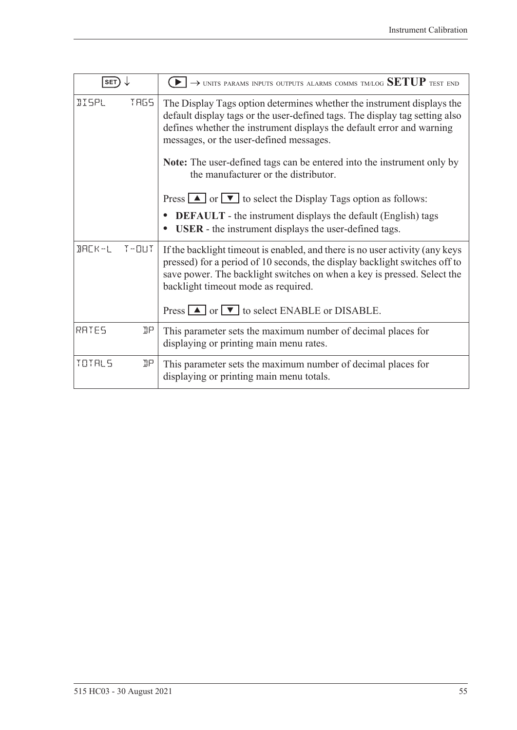| <b>SET</b>   |             | $\rightarrow$ units params inputs outputs alarms comms tm/log SETUP test end                                                                                                                                                                                                                                                                               |
|--------------|-------------|------------------------------------------------------------------------------------------------------------------------------------------------------------------------------------------------------------------------------------------------------------------------------------------------------------------------------------------------------------|
| DISPL        | <b>TRGS</b> | The Display Tags option determines whether the instrument displays the<br>default display tags or the user-defined tags. The display tag setting also<br>defines whether the instrument displays the default error and warning<br>messages, or the user-defined messages.<br><b>Note:</b> The user-defined tags can be entered into the instrument only by |
|              |             | the manufacturer or the distributor.                                                                                                                                                                                                                                                                                                                       |
|              |             | Press $\Box$ or $\nabla$ to select the Display Tags option as follows:                                                                                                                                                                                                                                                                                     |
|              |             | <b>DEFAULT</b> - the instrument displays the default (English) tags<br><b>USER</b> - the instrument displays the user-defined tags.                                                                                                                                                                                                                        |
| BACK-L T-OUT |             | If the backlight timeout is enabled, and there is no user activity (any keys<br>pressed) for a period of 10 seconds, the display backlight switches off to<br>save power. The backlight switches on when a key is pressed. Select the<br>backlight timeout mode as required.                                                                               |
|              |             | Press $\Box$ or $\Box$ to select ENABLE or DISABLE.                                                                                                                                                                                                                                                                                                        |
| RATES        | ηp          | This parameter sets the maximum number of decimal places for<br>displaying or printing main menu rates.                                                                                                                                                                                                                                                    |
| TOTALS       | ηp          | This parameter sets the maximum number of decimal places for<br>displaying or printing main menu totals.                                                                                                                                                                                                                                                   |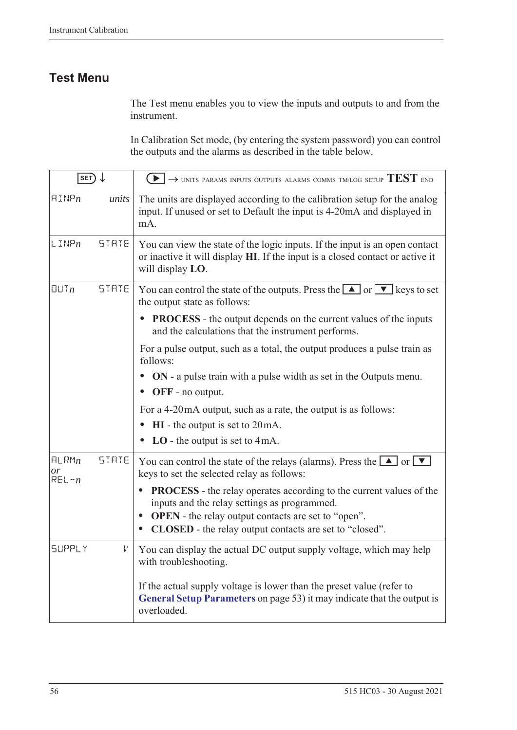### **Test Menu**

The Test menu enables you to view the inputs and outputs to and from the instrument.

In Calibration Set mode, (by entering the system password) you can control the outputs and the alarms as described in the table below.

| $\overline{\text{SET}}$  |              | $\blacktriangleright$ $\rightarrow$ units params inputs outputs alarms comms tm/log setup TEST end                                                                                                                                                                      |
|--------------------------|--------------|-------------------------------------------------------------------------------------------------------------------------------------------------------------------------------------------------------------------------------------------------------------------------|
| $\text{HIMP}_n$          | units        | The units are displayed according to the calibration setup for the analog<br>input. If unused or set to Default the input is 4-20mA and displayed in<br>mA.                                                                                                             |
| $L$ INP $n$              | <b>STRTE</b> | You can view the state of the logic inputs. If the input is an open contact<br>or inactive it will display HI. If the input is a closed contact or active it<br>will display LO.                                                                                        |
| QUTn                     | STRTE        | You can control the state of the outputs. Press the $\Box$ or $\nabla$ keys to set<br>the output state as follows:                                                                                                                                                      |
|                          |              | <b>PROCESS</b> - the output depends on the current values of the inputs<br>and the calculations that the instrument performs.                                                                                                                                           |
|                          |              | For a pulse output, such as a total, the output produces a pulse train as<br>follows:                                                                                                                                                                                   |
|                          |              | ON - a pulse train with a pulse width as set in the Outputs menu.<br><b>OFF</b> - no output.                                                                                                                                                                            |
|                          |              | For a 4-20 mA output, such as a rate, the output is as follows:                                                                                                                                                                                                         |
|                          |              | $HI$ - the output is set to $20mA$ .                                                                                                                                                                                                                                    |
|                          |              | $LO$ - the output is set to 4mA.                                                                                                                                                                                                                                        |
| HLRMn<br>or<br>$REL - n$ | <b>STRTE</b> | You can control the state of the relays (alarms). Press the $\boxed{\triangle}$ or $\boxed{\triangledown}$<br>keys to set the selected relay as follows:                                                                                                                |
|                          |              | <b>PROCESS</b> - the relay operates according to the current values of the<br>inputs and the relay settings as programmed.<br><b>OPEN</b> - the relay output contacts are set to "open".<br>$\bullet$<br><b>CLOSED</b> - the relay output contacts are set to "closed". |
| <b>SUPPLY</b>            | V            | You can display the actual DC output supply voltage, which may help<br>with troubleshooting.                                                                                                                                                                            |
|                          |              | If the actual supply voltage is lower than the preset value (refer to<br>General Setup Parameters on page 53) it may indicate that the output is<br>overloaded.                                                                                                         |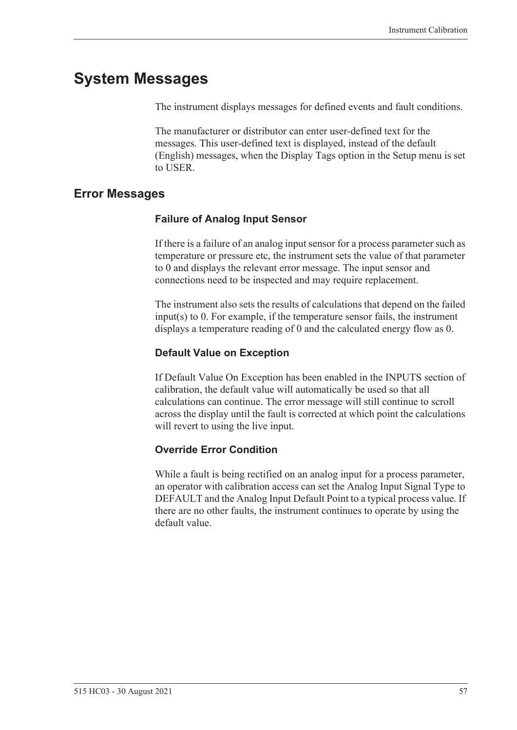## **System Messages**

The instrument displays messages for defined events and fault conditions.

The manufacturer or distributor can enter user-defined text for the messages. This user-defined text is displayed, instead of the default (English) messages, when the Display Tags option in the Setup menu is set to USER.

### <span id="page-66-0"></span>**Error Messages**

#### **Failure of Analog Input Sensor**

If there is a failure of an analog input sensor for a process parameter such as temperature or pressure etc, the instrument sets the value of that parameter to 0 and displays the relevant error message. The input sensor and connections need to be inspected and may require replacement.

The instrument also sets the results of calculations that depend on the failed input(s) to 0. For example, if the temperature sensor fails, the instrument displays a temperature reading of 0 and the calculated energy flow as 0.

#### **Default Value on Exception**

If Default Value On Exception has been enabled in the INPUTS section of calibration, the default value will automatically be used so that all calculations can continue. The error message will still continue to scroll across the display until the fault is corrected at which point the calculations will revert to using the live input.

#### **Override Error Condition**

While a fault is being rectified on an analog input for a process parameter, an operator with calibration access can set the Analog Input Signal Type to DEFAULT and the Analog Input Default Point to a typical process value. If there are no other faults, the instrument continues to operate by using the default value.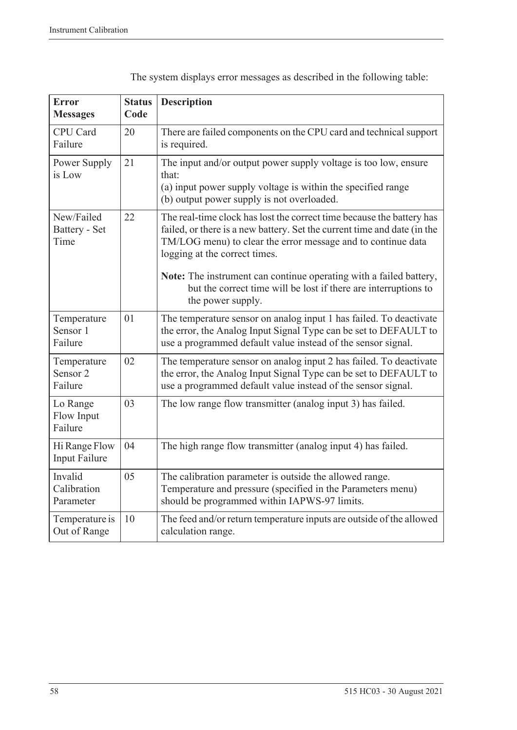| <b>Error</b><br><b>Messages</b>               | <b>Status</b><br>Code | <b>Description</b>                                                                                                                                                                                                                                 |
|-----------------------------------------------|-----------------------|----------------------------------------------------------------------------------------------------------------------------------------------------------------------------------------------------------------------------------------------------|
| <b>CPU</b> Card<br>Failure                    | 20                    | There are failed components on the CPU card and technical support<br>is required.                                                                                                                                                                  |
| Power Supply<br>is Low                        | 21                    | The input and/or output power supply voltage is too low, ensure<br>that:<br>(a) input power supply voltage is within the specified range<br>(b) output power supply is not overloaded.                                                             |
| New/Failed<br>Battery - Set<br>Time           | 22                    | The real-time clock has lost the correct time because the battery has<br>failed, or there is a new battery. Set the current time and date (in the<br>TM/LOG menu) to clear the error message and to continue data<br>logging at the correct times. |
|                                               |                       | Note: The instrument can continue operating with a failed battery,<br>but the correct time will be lost if there are interruptions to<br>the power supply.                                                                                         |
| Temperature<br>Sensor 1<br>Failure            | 01                    | The temperature sensor on analog input 1 has failed. To deactivate<br>the error, the Analog Input Signal Type can be set to DEFAULT to<br>use a programmed default value instead of the sensor signal.                                             |
| Temperature<br>Sensor <sub>2</sub><br>Failure | 02                    | The temperature sensor on analog input 2 has failed. To deactivate<br>the error, the Analog Input Signal Type can be set to DEFAULT to<br>use a programmed default value instead of the sensor signal.                                             |
| Lo Range<br>Flow Input<br>Failure             | 03                    | The low range flow transmitter (analog input 3) has failed.                                                                                                                                                                                        |
| Hi Range Flow<br><b>Input Failure</b>         | 04                    | The high range flow transmitter (analog input 4) has failed.                                                                                                                                                                                       |
| Invalid<br>Calibration<br>Parameter           | 05                    | The calibration parameter is outside the allowed range.<br>Temperature and pressure (specified in the Parameters menu)<br>should be programmed within IAPWS-97 limits.                                                                             |
| Temperature is<br>Out of Range                | 10                    | The feed and/or return temperature inputs are outside of the allowed<br>calculation range.                                                                                                                                                         |

The system displays error messages as described in the following table: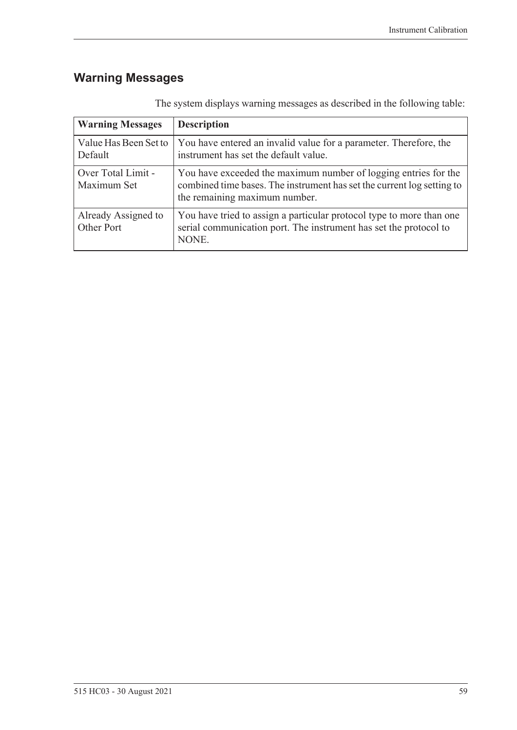## **Warning Messages**

| <b>Warning Messages</b>           | <b>Description</b>                                                                                                                                                         |
|-----------------------------------|----------------------------------------------------------------------------------------------------------------------------------------------------------------------------|
| Value Has Been Set to<br>Default  | You have entered an invalid value for a parameter. Therefore, the<br>instrument has set the default value.                                                                 |
| Over Total Limit -<br>Maximum Set | You have exceeded the maximum number of logging entries for the<br>combined time bases. The instrument has set the current log setting to<br>the remaining maximum number. |
| Already Assigned to<br>Other Port | You have tried to assign a particular protocol type to more than one<br>serial communication port. The instrument has set the protocol to<br>NONE.                         |

The system displays warning messages as described in the following table: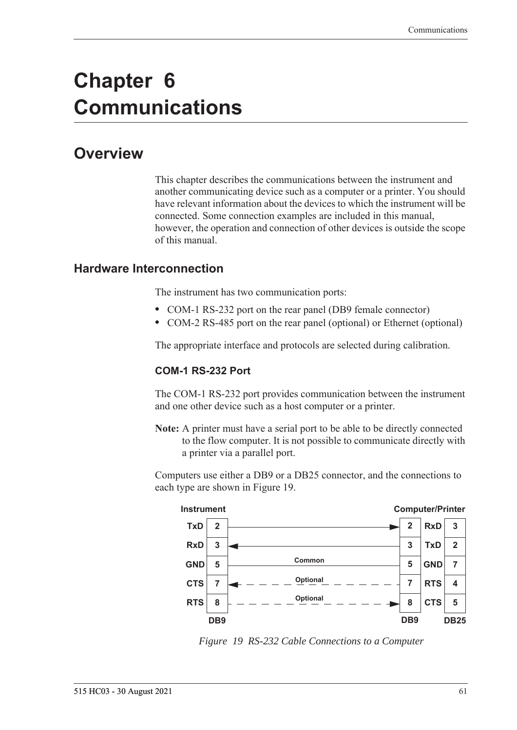# **Chapter 6 Communications**

## **Overview**

This chapter describes the communications between the instrument and another communicating device such as a computer or a printer. You should have relevant information about the devices to which the instrument will be connected. Some connection examples are included in this manual, however, the operation and connection of other devices is outside the scope of this manual.

#### **Hardware Interconnection**

The instrument has two communication ports:

- **•** COM-1 RS-232 port on the rear panel (DB9 female connector)
- **•** COM-2 RS-485 port on the rear panel (optional) or Ethernet (optional)

The appropriate interface and protocols are selected during calibration.

#### **COM-1 RS-232 Port**

The COM-1 RS-232 port provides communication between the instrument and one other device such as a host computer or a printer.

**Note:** A printer must have a serial port to be able to be directly connected to the flow computer. It is not possible to communicate directly with a printer via a parallel port.

Computers use either a DB9 or a DB25 connector, and the connections to each type are shown in [Figure 19.](#page-70-0)



<span id="page-70-0"></span>*Figure 19 RS-232 Cable Connections to a Computer*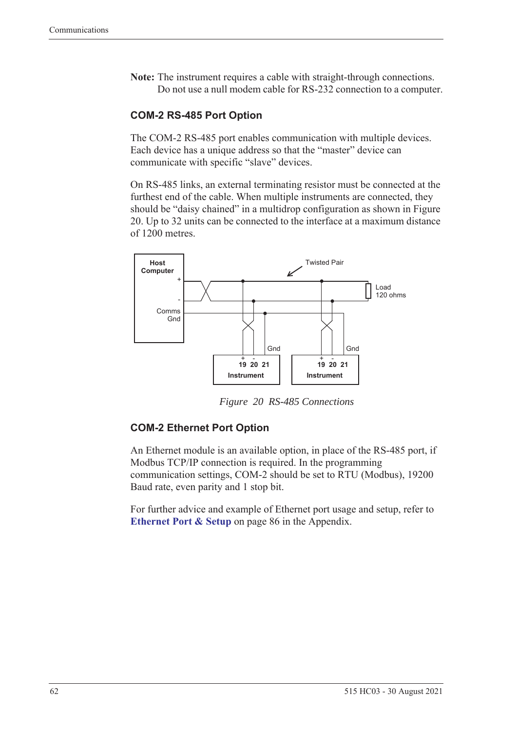**Note:** The instrument requires a cable with straight-through connections. Do not use a null modem cable for RS-232 connection to a computer.

#### **COM-2 RS-485 Port Option**

The COM-2 RS-485 port enables communication with multiple devices. Each device has a unique address so that the "master" device can communicate with specific "slave" devices.

On RS-485 links, an external terminating resistor must be connected at the furthest end of the cable. When multiple instruments are connected, they should be "daisy chained" in a multidrop configuration as shown in Figure [20](#page-71-0). Up to 32 units can be connected to the interface at a maximum distance of 1200 metres.



*Figure 20 RS-485 Connections*

#### <span id="page-71-0"></span>**COM-2 Ethernet Port Option**

An Ethernet module is an available option, in place of the RS-485 port, if Modbus TCP/IP connection is required. In the programming communication settings, COM-2 should be set to RTU (Modbus), 19200 Baud rate, even parity and 1 stop bit.

For further advice and example of Ethernet port usage and setup, refer to **[Ethernet Port & Setup](#page-95-0)** on page 86 in the Appendix.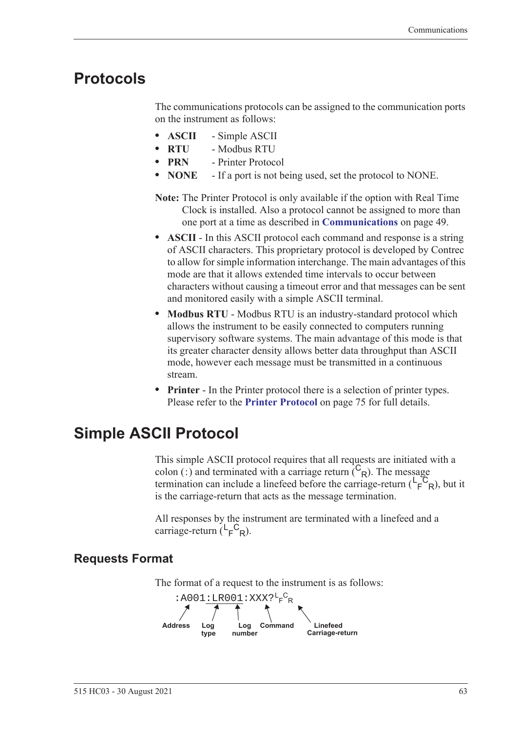# **Protocols**

<span id="page-72-1"></span>The communications protocols can be assigned to the communication ports on the instrument as follows:

- **• ASCII** Simple ASCII
- **• RTU** Modbus RTU
- **• PRN** Printer Protocol
- **• NONE** If a port is not being used, set the protocol to NONE.
- **Note:** The Printer Protocol is only available if the option with Real Time Clock is installed. Also a protocol cannot be assigned to more than one port at a time as described in **[Communications](#page-58-0)** on page 49.
- **• ASCII** In this ASCII protocol each command and response is a string of ASCII characters. This proprietary protocol is developed by Contrec to allow for simple information interchange. The main advantages of this mode are that it allows extended time intervals to occur between characters without causing a timeout error and that messages can be sent and monitored easily with a simple ASCII terminal.
- **• Modbus RTU** Modbus RTU is an industry-standard protocol which allows the instrument to be easily connected to computers running supervisory software systems. The main advantage of this mode is that its greater character density allows better data throughput than ASCII mode, however each message must be transmitted in a continuous stream.
- <span id="page-72-0"></span>**• Printer** - In the Printer protocol there is a selection of printer types. Please refer to the **[Printer Protocol](#page-84-0)** on page 75 for full details.

# **Simple ASCII Protocol**

This simple ASCII protocol requires that all requests are initiated with a colon (:) and terminated with a carriage return  $\binom{C_R}{R}$ . The message termination can include a linefeed before the carriage-return  $(\mathsf{L}_\mathsf{F}^\mathsf{C}_{\mathsf{R}})$ , but it is the carriage-return that acts as the message termination.

<span id="page-72-2"></span>All responses by the instrument are terminated with a linefeed and a carriage-return  $(L_F^C_R)$ .

# **Requests Format**

The format of a request to the instrument is as follows:

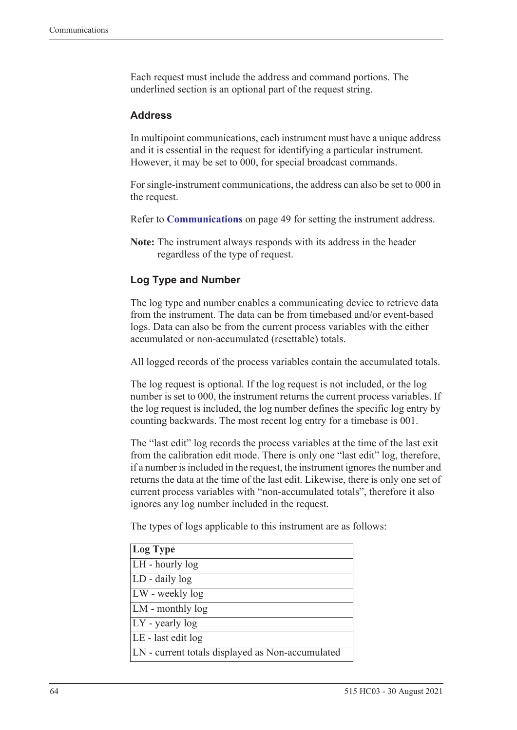Each request must include the address and command portions. The underlined section is an optional part of the request string.

#### <span id="page-73-0"></span>**Address**

In multipoint communications, each instrument must have a unique address and it is essential in the request for identifying a particular instrument. However, it may be set to 000, for special broadcast commands.

For single-instrument communications, the address can also be set to 000 in the request.

Refer to **[Communications](#page-58-0)** on page 49 for setting the instrument address.

**Note:** The instrument always responds with its address in the header regardless of the type of request.

#### **Log Type and Number**

The log type and number enables a communicating device to retrieve data from the instrument. The data can be from timebased and/or event-based logs. Data can also be from the current process variables with the either accumulated or non-accumulated (resettable) totals.

All logged records of the process variables contain the accumulated totals.

The log request is optional. If the log request is not included, or the log number is set to 000, the instrument returns the current process variables. If the log request is included, the log number defines the specific log entry by counting backwards. The most recent log entry for a timebase is 001.

The "last edit" log records the process variables at the time of the last exit from the calibration edit mode. There is only one "last edit" log, therefore, if a number is included in the request, the instrument ignores the number and returns the data at the time of the last edit. Likewise, there is only one set of current process variables with "non-accumulated totals", therefore it also ignores any log number included in the request.

The types of logs applicable to this instrument are as follows:

| Log Type                                         |
|--------------------------------------------------|
| LH - hourly log                                  |
| LD - daily log                                   |
| LW - weekly log                                  |
| LM - monthly log                                 |
| $LY$ - yearly log                                |
| LE - last edit log                               |
| LN - current totals displayed as Non-accumulated |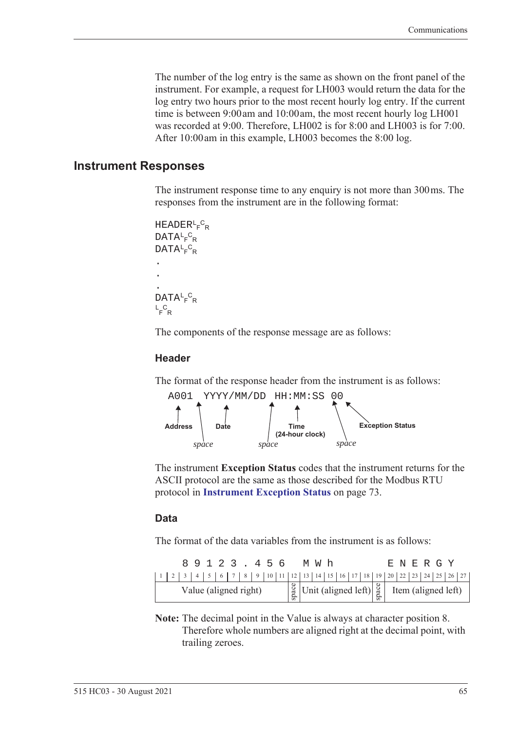The number of the log entry is the same as shown on the front panel of the instrument. For example, a request for LH003 would return the data for the log entry two hours prior to the most recent hourly log entry. If the current time is between 9:00 am and 10:00 am, the most recent hourly log LH001 was recorded at 9:00. Therefore, LH002 is for 8:00 and LH003 is for 7:00. After 10:00 am in this example, LH003 becomes the 8:00 log.

#### **Instrument Responses**

<span id="page-74-1"></span>The instrument response time to any enquiry is not more than 300 ms. The responses from the instrument are in the following format:

```
HEADER<sup>L</sup>F<sup>C</sup>R
DATA<sup>L</sup>F<sup>C</sup>R
DATA<sup>L</sup>F<sup>C</sup>R
.
.
.
DATA<sup>L</sup>F<sup>C</sup>R
L_F^C<sub>R</sub>
```
The components of the response message are as follows:

#### **Header**

The format of the response header from the instrument is as follows:



<span id="page-74-0"></span>The instrument **Exception Status** codes that the instrument returns for the ASCII protocol are the same as those described for the Modbus RTU protocol in **[Instrument Exception Status](#page-82-0)** on page 73.

#### **Data**

The format of the data variables from the instrument is as follows:

|                       |  |  |  |  | 89123.456 |  |  |                                                                                                                                                               |  | M W h |  |  |  |  | E N E R G Y |  |  |
|-----------------------|--|--|--|--|-----------|--|--|---------------------------------------------------------------------------------------------------------------------------------------------------------------|--|-------|--|--|--|--|-------------|--|--|
|                       |  |  |  |  |           |  |  |                                                                                                                                                               |  |       |  |  |  |  |             |  |  |
| Value (aligned right) |  |  |  |  |           |  |  | $\begin{bmatrix} \frac{8}{9} \\ \frac{8}{9} \end{bmatrix}$ Unit (aligned left) $\begin{bmatrix} \frac{8}{9} \\ \frac{8}{9} \end{bmatrix}$ Item (aligned left) |  |       |  |  |  |  |             |  |  |

**Note:** The decimal point in the Value is always at character position 8. Therefore whole numbers are aligned right at the decimal point, with trailing zeroes.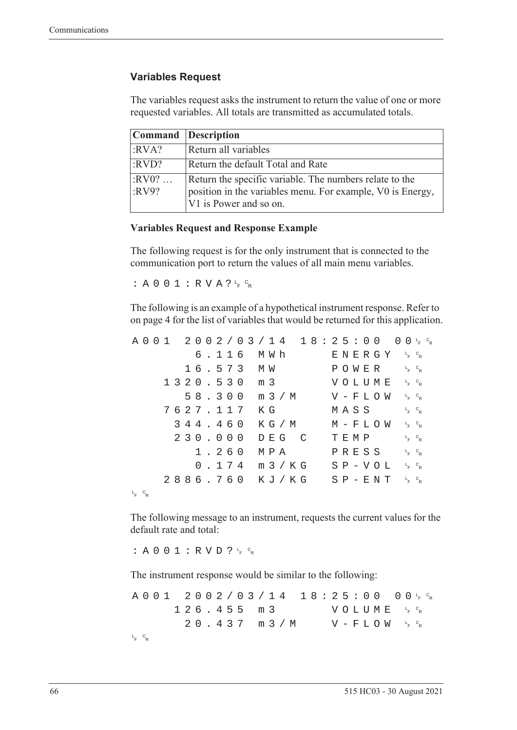#### **Variables Request**

The variables request asks the instrument to return the value of one or more requested variables. All totals are transmitted as accumulated totals.

|                  | <b>Command</b> Description                                                                                                                      |
|------------------|-------------------------------------------------------------------------------------------------------------------------------------------------|
| :RVA?            | Return all variables                                                                                                                            |
| :RVD?            | Return the default Total and Rate                                                                                                               |
| $:RV0?$<br>:RV9? | Return the specific variable. The numbers relate to the<br>position in the variables menu. For example, V0 is Energy,<br>V1 is Power and so on. |

#### **Variables Request and Response Example**

The following request is for the only instrument that is connected to the communication port to return the values of all main menu variables.

: A 0 0 1 : R V A ?  $L_F$   $C_R$ 

The following is an example of a hypothetical instrument response. Refer to [on page 4](#page-13-0) for the list of variables that would be returned for this application.

|             |  |  |  |  |          |  |                  |  |       | $A\ 0\ 0\ 1\quad 2\ 0\ 0\ 2\ / \ 0\ 3\ / \ 1\ 4\quad 1\ 8:2\ 5:0\ 0\quad 0\ 0\ _{F}\ ^{c}{}_{R}$ |  |      |  |               |                                              |                                   |  |
|-------------|--|--|--|--|----------|--|------------------|--|-------|--------------------------------------------------------------------------------------------------|--|------|--|---------------|----------------------------------------------|-----------------------------------|--|
|             |  |  |  |  |          |  | 6.116 MWh        |  |       |                                                                                                  |  |      |  |               | ENERGY 'F <sup>c</sup> r                     |                                   |  |
|             |  |  |  |  |          |  | 16.573 MW        |  |       |                                                                                                  |  |      |  |               | POWER                                        | $L_{F}$ $C_{R}$                   |  |
|             |  |  |  |  |          |  | 1320.530 m 3     |  |       |                                                                                                  |  |      |  |               | VOLUME <sup>L<sub>E</sub>C<sub>R</sub></sup> |                                   |  |
|             |  |  |  |  |          |  |                  |  |       | 58.300 m 3/M                                                                                     |  |      |  |               | $V - F L O W \leftarrow c_R$                 |                                   |  |
|             |  |  |  |  | 7627.117 |  | КG               |  |       |                                                                                                  |  |      |  | MASS          |                                              | $L_{F}$ $C_{R}$                   |  |
|             |  |  |  |  | 344.460  |  |                  |  |       | K G / M                                                                                          |  |      |  |               | M – F L O W                                  | $L$ <sub>F</sub> $C$ <sub>R</sub> |  |
|             |  |  |  |  | 230.000  |  |                  |  | DEG C |                                                                                                  |  | TEMP |  |               |                                              | $L_F$ $C_R$                       |  |
|             |  |  |  |  | 1.260    |  | МРА              |  |       |                                                                                                  |  |      |  | PRESS         |                                              | $L_{F}$ $C_{R}$                   |  |
|             |  |  |  |  |          |  | $0.174$ m $3/KG$ |  |       |                                                                                                  |  |      |  | $S P - V O L$ |                                              | $L_{F}$ $C_{R}$                   |  |
|             |  |  |  |  |          |  |                  |  |       | 2886.760 KJ/KG SP-ENT FR                                                                         |  |      |  |               |                                              |                                   |  |
| $L_F$ $C_R$ |  |  |  |  |          |  |                  |  |       |                                                                                                  |  |      |  |               |                                              |                                   |  |

The following message to an instrument, requests the current values for the default rate and total:

: A 0 0 1 : R V D ?  $L_F$   $C_R$ 

The instrument response would be similar to the following:

A001 2002/03/14 18:25:00  $F$   $\circ$ <sub>R</sub>  $126.455 m3$ <sup>F</sup> <sup>C</sup> R  $20.437$  m  $3/M$  $F$   $\circ$ <sub>R</sub> L <sup>F</sup> <sup>C</sup> R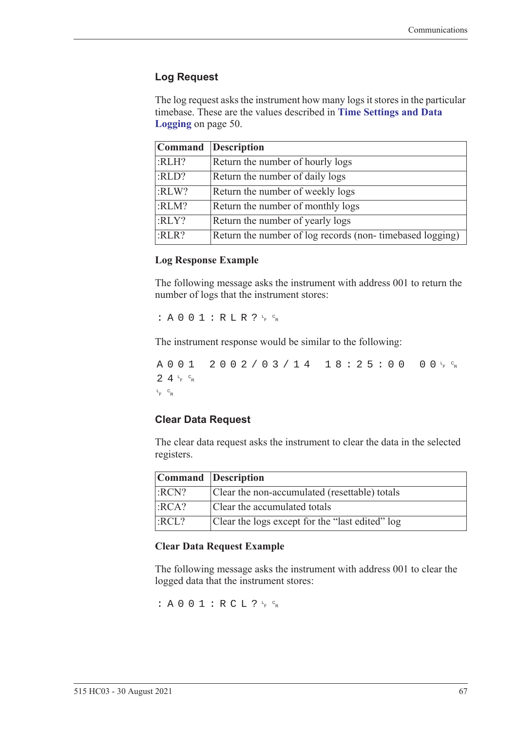#### **Log Request**

The log request asks the instrument how many logs it stores in the particular timebase. These are the values described in **[Time Settings and Data](#page-59-0)  Logging** [on page 50](#page-59-0).

|       | Command Description                                      |
|-------|----------------------------------------------------------|
| :RLH? | Return the number of hourly logs                         |
| :RLD? | Return the number of daily logs                          |
| :RLW? | Return the number of weekly logs                         |
| :RLM? | Return the number of monthly logs                        |
| :RLY? | Return the number of yearly logs                         |
| :RLR? | Return the number of log records (non-timebased logging) |

#### **Log Response Example**

The following message asks the instrument with address 001 to return the number of logs that the instrument stores:

 $: A 0 0 1 : R L R ? \nmid R$ 

The instrument response would be similar to the following:

A001 2002/03/14 18:25:00  $F$   $\circ$ R  $24r$ <sub>F</sub>  $c_R$ L <sup>F</sup> <sup>C</sup> R

#### **Clear Data Request**

The clear data request asks the instrument to clear the data in the selected registers.

| Command Description |                                                 |
|---------------------|-------------------------------------------------|
| :RCN?               | Clear the non-accumulated (resettable) totals   |
| :RCA?               | Clear the accumulated totals                    |
| :RCL?               | Clear the logs except for the "last edited" log |

#### **Clear Data Request Example**

The following message asks the instrument with address 001 to clear the logged data that the instrument stores:

: A 0 0 1 : R C L ?  $L_F$   $c_R$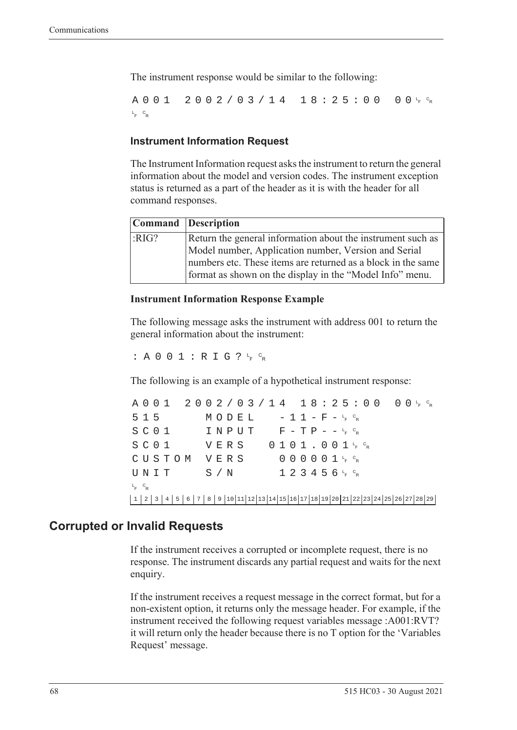The instrument response would be similar to the following:

A001 2002/03/14 18:25:00  $F$   $\circ$ <sub>R</sub> L <sup>F</sup> <sup>C</sup> R

#### **Instrument Information Request**

The Instrument Information request asks the instrument to return the general information about the model and version codes. The instrument exception status is returned as a part of the header as it is with the header for all command responses.

|      | Command Description                                                                                                      |
|------|--------------------------------------------------------------------------------------------------------------------------|
| RIG? | Return the general information about the instrument such as                                                              |
|      | Model number, Application number, Version and Serial                                                                     |
|      | numbers etc. These items are returned as a block in the same<br>format as shown on the display in the "Model Info" menu. |

#### **Instrument Information Response Example**

The following message asks the instrument with address 001 to return the general information about the instrument:

: A 0 0 1 : R I G ?  $L_F$   $C_R$ 

The following is an example of a hypothetical instrument response:

A001 2002/03/14 18:25:00 <sup>F</sup> <sup>C</sup> R  $515$   $MODEL$   $-11-F-F_{R}^{c}$  $S$  C O  $1$  I N P U T F - T P - - <sup>L</sup><sub>F</sub> <sup>C</sup>R  $S$  C O  $1$  V E R S O  $1$  O  $1$  J  $1$  , O  $0$   $1$   $1$   $1$   $6$   $8$ CUSTOM VERS 000001<sup>t</sup>F<sup>c</sup>r  $\texttt{UNIT}$  S/N 123456<sup>L</sup>F <sup>C</sup>R L <sup>F</sup> <sup>C</sup> R 1 2 3 4 5 6 7 8 9 10 11 12 13 14 15 16 17 18 19 20 21 22 23 24 25 26 27 28 29

#### **Corrupted or Invalid Requests**

If the instrument receives a corrupted or incomplete request, there is no response. The instrument discards any partial request and waits for the next enquiry.

If the instrument receives a request message in the correct format, but for a non-existent option, it returns only the message header. For example, if the instrument received the following request variables message :A001:RVT? it will return only the header because there is no T option for the 'Variables Request' message.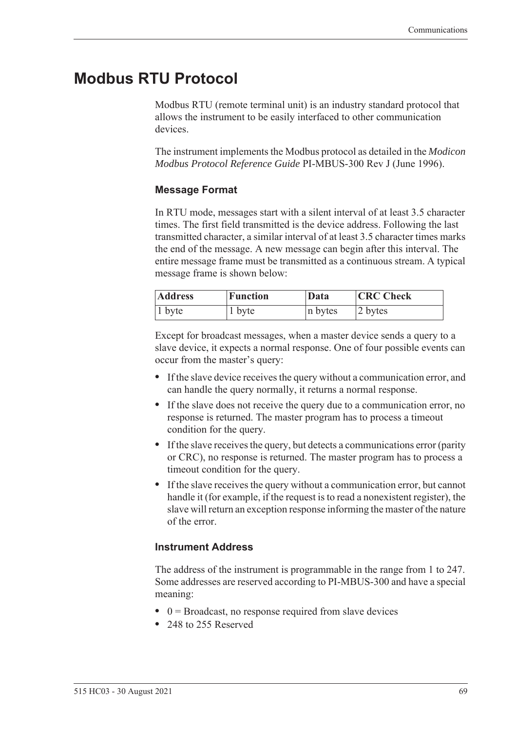# **Modbus RTU Protocol**

<span id="page-78-0"></span>Modbus RTU (remote terminal unit) is an industry standard protocol that allows the instrument to be easily interfaced to other communication devices.

The instrument implements the Modbus protocol as detailed in the *Modicon Modbus Protocol Reference Guide* PI-MBUS-300 Rev J (June 1996).

#### **Message Format**

In RTU mode, messages start with a silent interval of at least 3.5 character times. The first field transmitted is the device address. Following the last transmitted character, a similar interval of at least 3.5 character times marks the end of the message. A new message can begin after this interval. The entire message frame must be transmitted as a continuous stream. A typical message frame is shown below:

| <b>Address</b> | <b>Function</b> | Data    | <b>CRC</b> Check |  |  |  |  |
|----------------|-----------------|---------|------------------|--|--|--|--|
| $ 1$ byte      | 1 byte          | n bytes | 2 bytes          |  |  |  |  |

Except for broadcast messages, when a master device sends a query to a slave device, it expects a normal response. One of four possible events can occur from the master's query:

- **•** If the slave device receives the query without a communication error, and can handle the query normally, it returns a normal response.
- **•** If the slave does not receive the query due to a communication error, no response is returned. The master program has to process a timeout condition for the query.
- **•** If the slave receives the query, but detects a communications error (parity or CRC), no response is returned. The master program has to process a timeout condition for the query.
- **•** If the slave receives the query without a communication error, but cannot handle it (for example, if the request is to read a nonexistent register), the slave will return an exception response informing the master of the nature of the error.

#### **Instrument Address**

The address of the instrument is programmable in the range from 1 to 247. Some addresses are reserved according to PI-MBUS-300 and have a special meaning:

- 0 = Broadcast, no response required from slave devices
- **•** 248 to 255 Reserved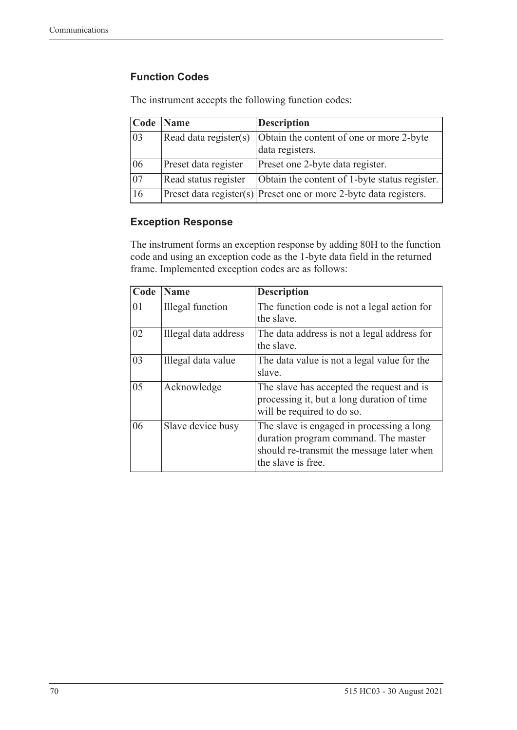### **Function Codes**

| Code            | <b>Name</b>           | <b>Description</b>                                                    |
|-----------------|-----------------------|-----------------------------------------------------------------------|
| 03              | Read data register(s) | Obtain the content of one or more 2-byte<br>data registers.           |
| 06              | Preset data register  | Preset one 2-byte data register.                                      |
| $\overline{07}$ | Read status register  | Obtain the content of 1-byte status register.                         |
| 16              |                       | $ $ Preset data register(s) Preset one or more 2-byte data registers. |

The instrument accepts the following function codes:

#### **Exception Response**

The instrument forms an exception response by adding 80H to the function code and using an exception code as the 1-byte data field in the returned frame. Implemented exception codes are as follows:

| Code | <b>Name</b>             | <b>Description</b>                                                                                                                                   |
|------|-------------------------|------------------------------------------------------------------------------------------------------------------------------------------------------|
| 01   | <b>Illegal</b> function | The function code is not a legal action for<br>the slave.                                                                                            |
| 02   | Illegal data address    | The data address is not a legal address for<br>the slave.                                                                                            |
| 03   | Illegal data value      | The data value is not a legal value for the<br>slave.                                                                                                |
| 05   | Acknowledge             | The slave has accepted the request and is<br>processing it, but a long duration of time<br>will be required to do so.                                |
| 06   | Slave device busy       | The slave is engaged in processing a long<br>duration program command. The master<br>should re-transmit the message later when<br>the slave is free. |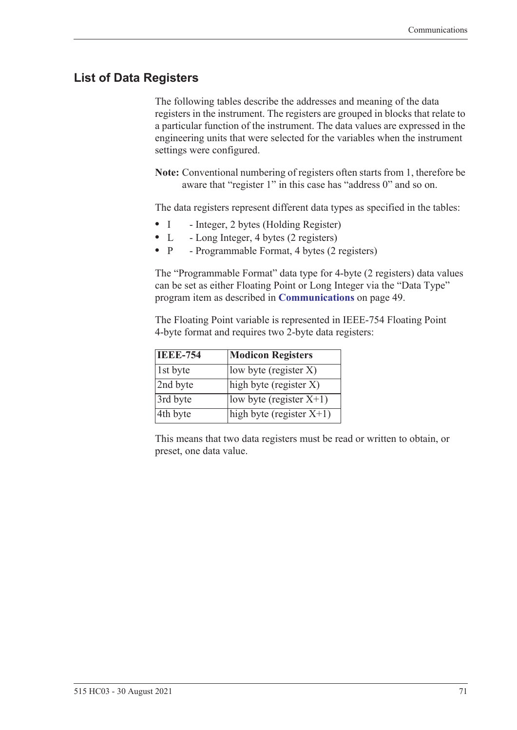## **List of Data Registers**

The following tables describe the addresses and meaning of the data registers in the instrument. The registers are grouped in blocks that relate to a particular function of the instrument. The data values are expressed in the engineering units that were selected for the variables when the instrument settings were configured.

**Note:** Conventional numbering of registers often starts from 1, therefore be aware that "register 1" in this case has "address 0" and so on.

The data registers represent different data types as specified in the tables:

- I Integer, 2 bytes (Holding Register)
- L Long Integer, 4 bytes (2 registers)
- P Programmable Format, 4 bytes (2 registers)

The "Programmable Format" data type for 4-byte (2 registers) data values can be set as either Floating Point or Long Integer via the "Data Type" program item as described in **[Communications](#page-58-0)** on page 49.

The Floating Point variable is represented in IEEE-754 Floating Point 4-byte format and requires two 2-byte data registers:

| <b>IEEE-754</b> | <b>Modicon Registers</b>                       |
|-----------------|------------------------------------------------|
| 1st byte        | low byte (register $X$ )                       |
| 2nd byte        | $\left  \text{high byte (register X)} \right $ |
| 3rd byte        | low byte (register $X+1$ )                     |
| 4th byte        | high byte (register $X+1$ )                    |

This means that two data registers must be read or written to obtain, or preset, one data value.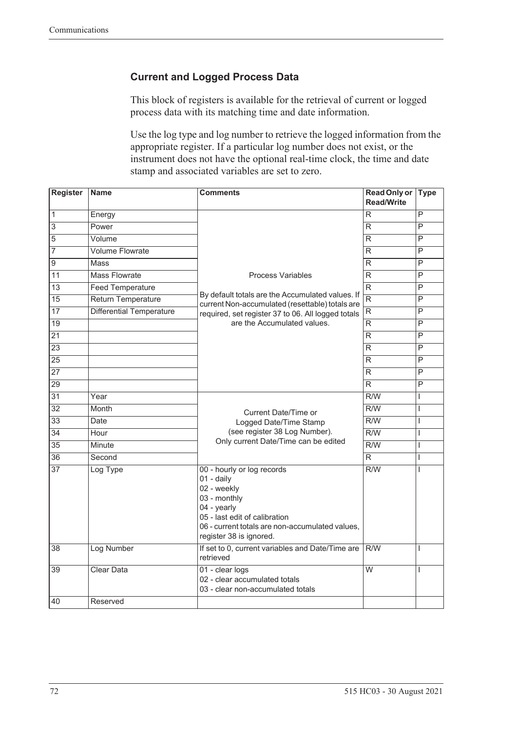### **Current and Logged Process Data**

This block of registers is available for the retrieval of current or logged process data with its matching time and date information.

Use the log type and log number to retrieve the logged information from the appropriate register. If a particular log number does not exist, or the instrument does not have the optional real-time clock, the time and date stamp and associated variables are set to zero.

| Register         | <b>Name</b>                     | <b>Comments</b>                                                                                                                                                                                                | <b>Read Only or</b><br><b>Read/Write</b> | <b>Type</b>             |
|------------------|---------------------------------|----------------------------------------------------------------------------------------------------------------------------------------------------------------------------------------------------------------|------------------------------------------|-------------------------|
| $\overline{1}$   | Energy                          |                                                                                                                                                                                                                | R                                        | P                       |
| $\overline{3}$   | Power                           |                                                                                                                                                                                                                | R                                        | P                       |
| $\overline{5}$   | Volume                          |                                                                                                                                                                                                                | R                                        | P                       |
| $\overline{7}$   | <b>Volume Flowrate</b>          |                                                                                                                                                                                                                | R                                        | P                       |
| $\boldsymbol{9}$ | Mass                            |                                                                                                                                                                                                                | R                                        | P                       |
| $\overline{11}$  | <b>Mass Flowrate</b>            | <b>Process Variables</b>                                                                                                                                                                                       | R                                        | $\overline{P}$          |
| $\overline{13}$  | <b>Feed Temperature</b>         |                                                                                                                                                                                                                | $\overline{R}$                           | P                       |
| $\overline{15}$  | <b>Return Temperature</b>       | By default totals are the Accumulated values. If<br>current Non-accumulated (resettable) totals are                                                                                                            | $\overline{R}$                           | P                       |
| $\overline{17}$  | <b>Differential Temperature</b> | required, set register 37 to 06. All logged totals                                                                                                                                                             | $\overline{\mathsf{R}}$                  | $\overline{P}$          |
| $\overline{19}$  |                                 | are the Accumulated values.                                                                                                                                                                                    | R                                        | P                       |
| 21               |                                 |                                                                                                                                                                                                                | $\overline{R}$                           | P                       |
| $\overline{23}$  |                                 |                                                                                                                                                                                                                | R                                        | P                       |
| $\overline{25}$  |                                 |                                                                                                                                                                                                                | R                                        | P                       |
| $\overline{27}$  |                                 |                                                                                                                                                                                                                | R                                        | $\overline{\mathsf{P}}$ |
| 29               |                                 |                                                                                                                                                                                                                | $\overline{R}$                           | P                       |
| $\overline{31}$  | Year                            |                                                                                                                                                                                                                | R/W                                      | T                       |
| $\overline{32}$  | Month                           | <b>Current Date/Time or</b>                                                                                                                                                                                    | $\overline{R/W}$                         | L                       |
| $\overline{33}$  | Date                            | Logged Date/Time Stamp                                                                                                                                                                                         | $\overline{R/W}$                         | $\overline{1}$          |
| $\overline{34}$  | Hour                            | (see register 38 Log Number).                                                                                                                                                                                  | R/W                                      | $\overline{1}$          |
| $\overline{35}$  | Minute                          | Only current Date/Time can be edited                                                                                                                                                                           | $\overline{R/W}$                         | $\mathsf{I}$            |
| $\overline{36}$  | Second                          |                                                                                                                                                                                                                | $\overline{\mathsf{R}}$                  | $\mathsf{I}$            |
| $\overline{37}$  | Log Type                        | 00 - hourly or log records<br>$01 - \text{daily}$<br>02 - weekly<br>03 - monthly<br>04 - yearly<br>05 - last edit of calibration<br>06 - current totals are non-accumulated values,<br>register 38 is ignored. | R/W                                      | I                       |
| 38               | Log Number                      | If set to 0, current variables and Date/Time are<br>retrieved                                                                                                                                                  | R/W                                      | T                       |
| 39               | <b>Clear Data</b>               | 01 - clear logs<br>02 - clear accumulated totals<br>03 - clear non-accumulated totals                                                                                                                          | $\overline{W}$                           | T                       |
| 40               | Reserved                        |                                                                                                                                                                                                                |                                          |                         |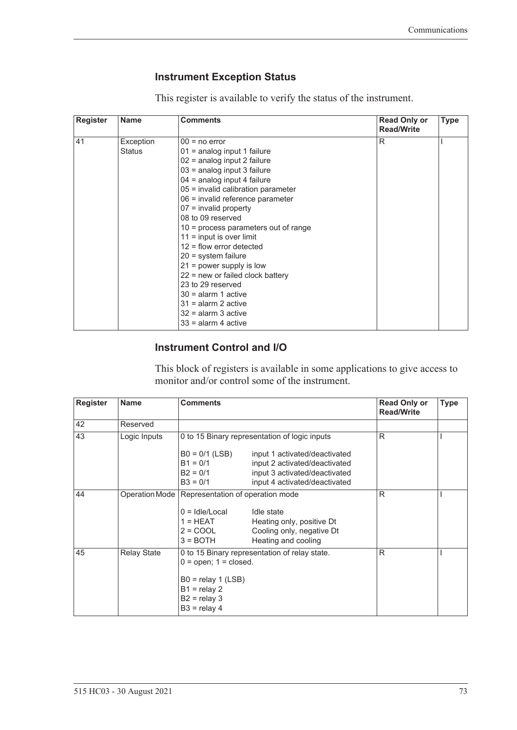### <span id="page-82-1"></span><span id="page-82-0"></span>**Instrument Exception Status**

This register is available to verify the status of the instrument.

| <b>Register</b><br><b>Name</b> |           | <b>Comments</b>                        | <b>Read Only or</b><br><b>Read/Write</b> | <b>Type</b> |
|--------------------------------|-----------|----------------------------------------|------------------------------------------|-------------|
| 41                             | Exception | $00 = no error$                        | R                                        |             |
|                                | Status    | $01$ = analog input 1 failure          |                                          |             |
|                                |           | 02 = analog input 2 failure            |                                          |             |
|                                |           | 03 = analog input 3 failure            |                                          |             |
|                                |           | $04$ = analog input 4 failure          |                                          |             |
|                                |           | 05 = invalid calibration parameter     |                                          |             |
|                                |           | 06 = invalid reference parameter       |                                          |             |
|                                |           | $07$ = invalid property                |                                          |             |
|                                |           | 08 to 09 reserved                      |                                          |             |
|                                |           | $10$ = process parameters out of range |                                          |             |
|                                |           | $11 =$ input is over limit             |                                          |             |
|                                |           | $12$ = flow error detected             |                                          |             |
|                                |           | $20 =$ system failure                  |                                          |             |
|                                |           | $21$ = power supply is low             |                                          |             |
|                                |           | $22$ = new or failed clock battery     |                                          |             |
|                                |           | 23 to 29 reserved                      |                                          |             |
|                                |           | $30 =$ alarm 1 active                  |                                          |             |
|                                |           | $31$ = alarm 2 active                  |                                          |             |
|                                |           | $32$ = alarm 3 active                  |                                          |             |
|                                |           | $33$ = alarm 4 active                  |                                          |             |

#### **Instrument Control and I/O**

This block of registers is available in some applications to give access to monitor and/or control some of the instrument.

| <b>Register</b> | <b>Name</b>        | <b>Comments</b>                                                                                                 |                                                                                                                                  | <b>Read Only or</b><br><b>Read/Write</b> | <b>Type</b> |
|-----------------|--------------------|-----------------------------------------------------------------------------------------------------------------|----------------------------------------------------------------------------------------------------------------------------------|------------------------------------------|-------------|
| 42              | Reserved           |                                                                                                                 |                                                                                                                                  |                                          |             |
| 43              | Logic Inputs       |                                                                                                                 | 0 to 15 Binary representation of logic inputs                                                                                    | R                                        |             |
|                 |                    | $B0 = 0/1$ (LSB)<br>$B1 = 0/1$<br>$B2 = 0/1$<br>$B3 = 0/1$                                                      | input 1 activated/deactivated<br>input 2 activated/deactivated<br>input 3 activated/deactivated<br>input 4 activated/deactivated |                                          |             |
| 44              |                    | Operation Mode   Representation of operation mode<br>$0 =$ Idle/Local<br>$1 = HEAT$<br>$2 = COOL$<br>$3 =$ BOTH | Idle state<br>Heating only, positive Dt<br>Cooling only, negative Dt<br>Heating and cooling                                      | R                                        |             |
| 45              | <b>Relay State</b> | $0 =$ open; $1 =$ closed.<br>$B0 =$ relay 1 (LSB)<br>$B1 =$ relay 2<br>$B2 =$ relay 3<br>$B3 =$ relay 4         | 0 to 15 Binary representation of relay state.                                                                                    | R                                        |             |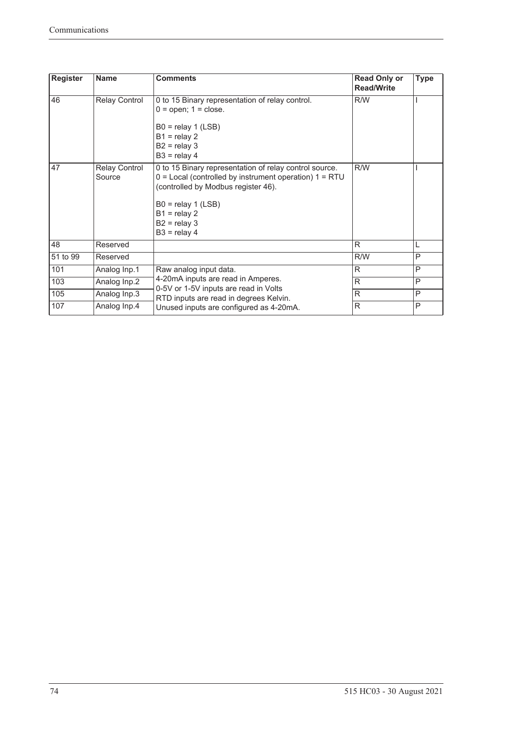| Register | <b>Name</b>                    | <b>Comments</b>                                                                                                                                                                                                                           | <b>Read Only or</b><br><b>Read/Write</b> | <b>Type</b> |  |
|----------|--------------------------------|-------------------------------------------------------------------------------------------------------------------------------------------------------------------------------------------------------------------------------------------|------------------------------------------|-------------|--|
| 46       | <b>Relay Control</b>           | 0 to 15 Binary representation of relay control.<br>$0 =$ open; $1 =$ close.<br>$B0 =$ relay 1 (LSB)<br>$B1 =$ relay 2<br>$B2 =$ relay 3<br>$B3 =$ relay 4                                                                                 | R/W                                      |             |  |
| 47       | <b>Relay Control</b><br>Source | 0 to 15 Binary representation of relay control source.<br>$0 =$ Local (controlled by instrument operation) $1 = RTU$<br>(controlled by Modbus register 46).<br>$B0 =$ relay 1 (LSB)<br>$B1 =$ relay 2<br>$B2 =$ relay 3<br>$B3 =$ relay 4 | R/W                                      |             |  |
| 48       | Reserved                       |                                                                                                                                                                                                                                           | R                                        | L           |  |
| 51 to 99 | Reserved                       |                                                                                                                                                                                                                                           | R/W                                      | P           |  |
| 101      | Analog Inp.1                   | Raw analog input data.                                                                                                                                                                                                                    | $\mathsf{R}$                             | P           |  |
| 103      | Analog Inp.2                   | 4-20mA inputs are read in Amperes.                                                                                                                                                                                                        | $\mathsf{R}$                             | P           |  |
| 105      | Analog Inp.3                   | 0-5V or 1-5V inputs are read in Volts<br>RTD inputs are read in degrees Kelvin.                                                                                                                                                           | R                                        | P           |  |
| 107      | Analog Inp.4                   | Unused inputs are configured as 4-20mA.                                                                                                                                                                                                   | $\mathsf{R}$                             | P           |  |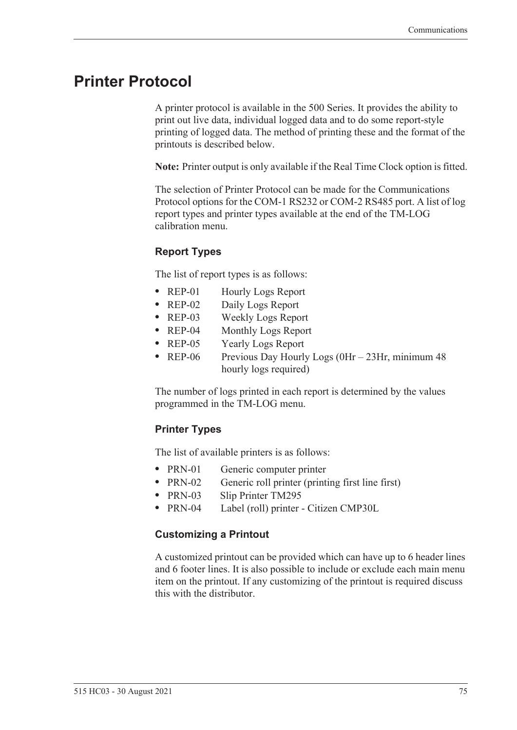# <span id="page-84-0"></span>**Printer Protocol**

<span id="page-84-2"></span>A printer protocol is available in the 500 Series. It provides the ability to print out live data, individual logged data and to do some report-style printing of logged data. The method of printing these and the format of the printouts is described below.

**Note:** Printer output is only available if the Real Time Clock option is fitted.

The selection of Printer Protocol can be made for the Communications Protocol options for the COM-1 RS232 or COM-2 RS485 port. A list of log report types and printer types available at the end of the TM-LOG calibration menu.

#### <span id="page-84-3"></span>**Report Types**

The list of report types is as follows:

- REP-01 Hourly Logs Report
- **•** REP-02 Daily Logs Report
- **•** REP-03 Weekly Logs Report
- **•** REP-04 Monthly Logs Report
- **•** REP-05 Yearly Logs Report
- REP-06 Previous Day Hourly Logs (0Hr 23Hr, minimum 48 hourly logs required)

The number of logs printed in each report is determined by the values programmed in the TM-LOG menu.

#### <span id="page-84-4"></span>**Printer Types**

The list of available printers is as follows:

- PRN-01 Generic computer printer
- PRN-02 Generic roll printer (printing first line first)
- **•** PRN-03 Slip Printer TM295
- **•** PRN-04 Label (roll) printer Citizen CMP30L

#### <span id="page-84-1"></span>**Customizing a Printout**

A customized printout can be provided which can have up to 6 header lines and 6 footer lines. It is also possible to include or exclude each main menu item on the printout. If any customizing of the printout is required discuss this with the distributor.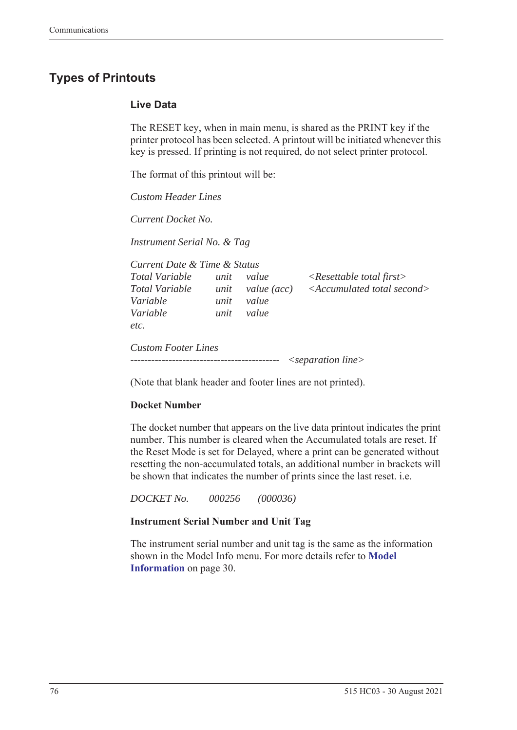# <span id="page-85-1"></span>**Types of Printouts**

#### <span id="page-85-0"></span>**Live Data**

The RESET key, when in main menu, is shared as the PRINT key if the printer protocol has been selected. A printout will be initiated whenever this key is pressed. If printing is not required, do not select printer protocol.

The format of this printout will be:

*Custom Header Lines*

*Current Docket No.* 

*Instrument Serial No. & Tag*

| Current Date & Time & Status                 |                      |                               |                                                                                   |
|----------------------------------------------|----------------------|-------------------------------|-----------------------------------------------------------------------------------|
| Total Variable<br>Total Variable<br>Variable | unit<br>unit<br>unit | value<br>value (acc)<br>value | $\langle$ Resettable total first $\rangle$<br>$\leq$ Accumulated total second $>$ |
| Variable<br>etc.                             | unit                 | value                         |                                                                                   |
| <b>Custom Footer Lines</b>                   |                      |                               | $\leq$ separation line $>$                                                        |

(Note that blank header and footer lines are not printed).

#### **Docket Number**

The docket number that appears on the live data printout indicates the print number. This number is cleared when the Accumulated totals are reset. If the Reset Mode is set for Delayed, where a print can be generated without resetting the non-accumulated totals, an additional number in brackets will be shown that indicates the number of prints since the last reset. i.e.

*DOCKET No. 000256 (000036)*

#### **Instrument Serial Number and Unit Tag**

The instrument serial number and unit tag is the same as the information shown in the Model Info menu. For more details refer to **[Model](#page-39-0)  [Information](#page-39-0)** on page 30.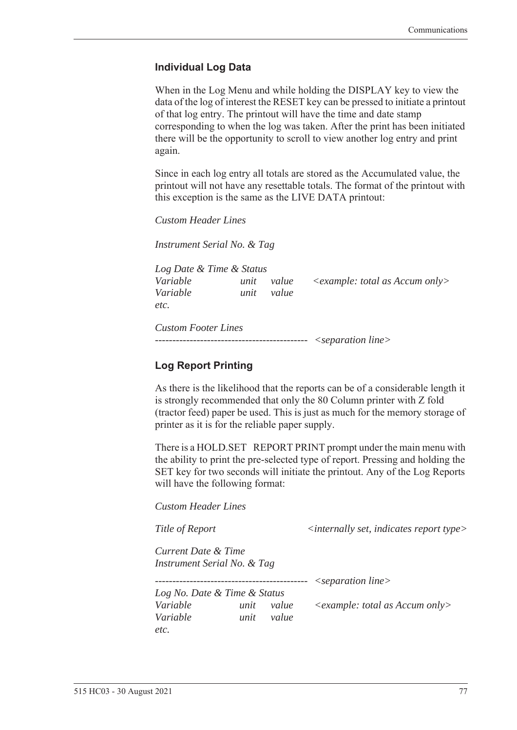#### <span id="page-86-0"></span>**Individual Log Data**

When in the Log Menu and while holding the DISPLAY key to view the data of the log of interest the RESET key can be pressed to initiate a printout of that log entry. The printout will have the time and date stamp corresponding to when the log was taken. After the print has been initiated there will be the opportunity to scroll to view another log entry and print again.

Since in each log entry all totals are stored as the Accumulated value, the printout will not have any resettable totals. The format of the printout with this exception is the same as the LIVE DATA printout:

*Custom Header Lines*

*Instrument Serial No. & Tag*

*Log Date & Time & Status Variable unit value <example: total as Accum only> Variable unit value etc.*

*Custom Footer Lines -------------------------------------------- <separation line>*

#### <span id="page-86-1"></span>**Log Report Printing**

As there is the likelihood that the reports can be of a considerable length it is strongly recommended that only the 80 Column printer with Z fold (tractor feed) paper be used. This is just as much for the memory storage of printer as it is for the reliable paper supply.

There is a HOLD.SET REPORT PRINT prompt under the main menu with the ability to print the pre-selected type of report. Pressing and holding the SET key for two seconds will initiate the printout. Any of the Log Reports will have the following format:

*Custom Header Lines*

*Title of Report*  $\langle$  *internally set, indicates report type>* 

*Current Date & Time Instrument Serial No. & Tag*

*-------------------------------------------- <separation line>*

*Log No. Date & Time & Status Variable unit value <example: total as Accum only> Variable unit value etc.*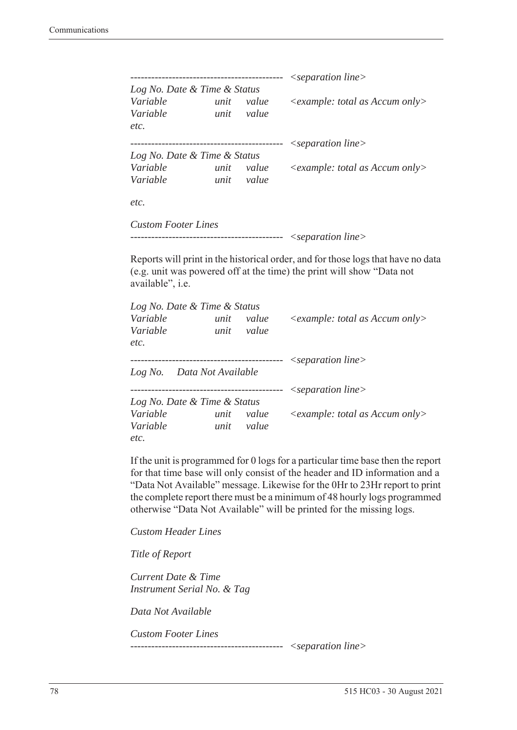|                              |      |          | $\leq$ separation line $>$                       |
|------------------------------|------|----------|--------------------------------------------------|
| Log No. Date & Time & Status |      |          |                                                  |
| Variable                     | unit | value    | $\langle$ example: total as Accum only $\rangle$ |
| Variable                     | unit | value    |                                                  |
| etc.                         |      |          |                                                  |
|                              |      | -------- | $\leq$ separation line $>$                       |
| Log No. Date & Time & Status |      |          |                                                  |
| Variable                     | unit | value    | $\leq$ example: total as Accum only $>$          |
| Variable                     | unit | value    |                                                  |
| etc.                         |      |          |                                                  |
| <b>Custom Footer Lines</b>   |      |          |                                                  |

```
-------------------------------------------- <separation line>
```
Reports will print in the historical order, and for those logs that have no data (e.g. unit was powered off at the time) the print will show "Data not available", i.e.

| Log No. Date & Time & Status |      |           |                                                  |
|------------------------------|------|-----------|--------------------------------------------------|
| Variable                     | unit | value     | $\langle$ example: total as Accum only $\rangle$ |
| Variable                     | unit | value     |                                                  |
| etc.                         |      |           |                                                  |
|                              |      |           | $\leq$ separation line $>$                       |
| Log No. Data Not Available   |      |           |                                                  |
|                              |      | --------- | $\leq$ separation line $>$                       |
| Log No. Date & Time & Status |      |           |                                                  |
| Variable                     | unit | value     | $\leq$ example: total as Accum only $>$          |
| Variable                     | unit | value     |                                                  |
| etc.                         |      |           |                                                  |

If the unit is programmed for 0 logs for a particular time base then the report for that time base will only consist of the header and ID information and a "Data Not Available" message. Likewise for the 0Hr to 23Hr report to print the complete report there must be a minimum of 48 hourly logs programmed otherwise "Data Not Available" will be printed for the missing logs.

*Custom Header Lines*

*Title of Report*

*Current Date & Time Instrument Serial No. & Tag*

*Data Not Available*

*Custom Footer Lines* 

*-------------------------------------------- <separation line>*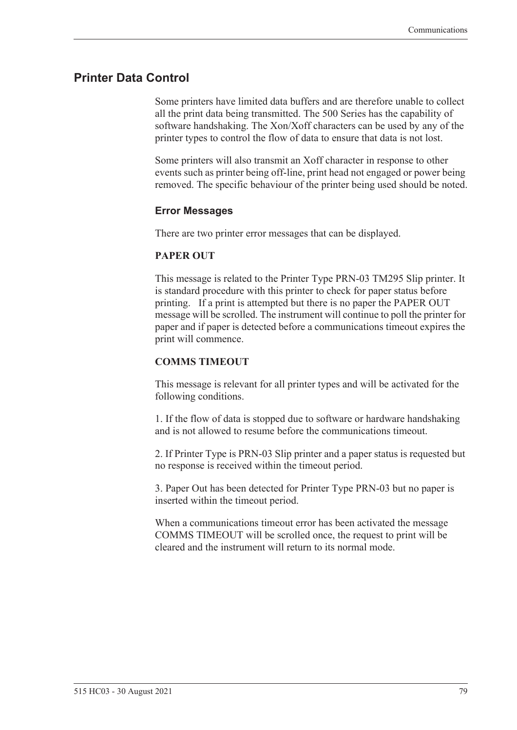### <span id="page-88-0"></span>**Printer Data Control**

Some printers have limited data buffers and are therefore unable to collect all the print data being transmitted. The 500 Series has the capability of software handshaking. The Xon/Xoff characters can be used by any of the printer types to control the flow of data to ensure that data is not lost.

Some printers will also transmit an Xoff character in response to other events such as printer being off-line, print head not engaged or power being removed. The specific behaviour of the printer being used should be noted.

#### <span id="page-88-1"></span>**Error Messages**

There are two printer error messages that can be displayed.

#### **PAPER OUT**

This message is related to the Printer Type PRN-03 TM295 Slip printer. It is standard procedure with this printer to check for paper status before printing. If a print is attempted but there is no paper the PAPER OUT message will be scrolled. The instrument will continue to poll the printer for paper and if paper is detected before a communications timeout expires the print will commence.

#### **COMMS TIMEOUT**

This message is relevant for all printer types and will be activated for the following conditions.

1. If the flow of data is stopped due to software or hardware handshaking and is not allowed to resume before the communications timeout.

2. If Printer Type is PRN-03 Slip printer and a paper status is requested but no response is received within the timeout period.

3. Paper Out has been detected for Printer Type PRN-03 but no paper is inserted within the timeout period.

When a communications timeout error has been activated the message COMMS TIMEOUT will be scrolled once, the request to print will be cleared and the instrument will return to its normal mode.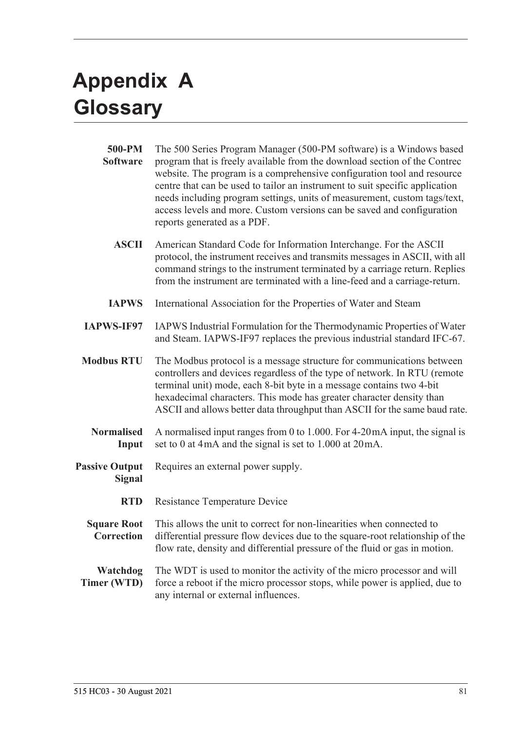# <span id="page-90-1"></span>**Appendix A Glossary**

<span id="page-90-0"></span>

| 500-PM<br><b>Software</b>              | The 500 Series Program Manager (500-PM software) is a Windows based<br>program that is freely available from the download section of the Contrec<br>website. The program is a comprehensive configuration tool and resource<br>centre that can be used to tailor an instrument to suit specific application<br>needs including program settings, units of measurement, custom tags/text,<br>access levels and more. Custom versions can be saved and configuration<br>reports generated as a PDF. |
|----------------------------------------|---------------------------------------------------------------------------------------------------------------------------------------------------------------------------------------------------------------------------------------------------------------------------------------------------------------------------------------------------------------------------------------------------------------------------------------------------------------------------------------------------|
| <b>ASCII</b>                           | American Standard Code for Information Interchange. For the ASCII<br>protocol, the instrument receives and transmits messages in ASCII, with all<br>command strings to the instrument terminated by a carriage return. Replies<br>from the instrument are terminated with a line-feed and a carriage-return.                                                                                                                                                                                      |
| <b>IAPWS</b>                           | International Association for the Properties of Water and Steam                                                                                                                                                                                                                                                                                                                                                                                                                                   |
| <b>IAPWS-IF97</b>                      | IAPWS Industrial Formulation for the Thermodynamic Properties of Water<br>and Steam. IAPWS-IF97 replaces the previous industrial standard IFC-67.                                                                                                                                                                                                                                                                                                                                                 |
| <b>Modbus RTU</b>                      | The Modbus protocol is a message structure for communications between<br>controllers and devices regardless of the type of network. In RTU (remote<br>terminal unit) mode, each 8-bit byte in a message contains two 4-bit<br>hexadecimal characters. This mode has greater character density than<br>ASCII and allows better data throughput than ASCII for the same baud rate.                                                                                                                  |
| <b>Normalised</b><br>Input             | A normalised input ranges from 0 to 1.000. For 4-20 mA input, the signal is<br>set to 0 at 4mA and the signal is set to 1.000 at 20mA.                                                                                                                                                                                                                                                                                                                                                            |
| <b>Passive Output</b><br><b>Signal</b> | Requires an external power supply.                                                                                                                                                                                                                                                                                                                                                                                                                                                                |
| <b>RTD</b>                             | Resistance Temperature Device                                                                                                                                                                                                                                                                                                                                                                                                                                                                     |
| <b>Square Root</b><br>Correction       | This allows the unit to correct for non-linearities when connected to<br>differential pressure flow devices due to the square-root relationship of the<br>flow rate, density and differential pressure of the fluid or gas in motion.                                                                                                                                                                                                                                                             |
| Watchdog<br>Timer (WTD)                | The WDT is used to monitor the activity of the micro processor and will<br>force a reboot if the micro processor stops, while power is applied, due to<br>any internal or external influences.                                                                                                                                                                                                                                                                                                    |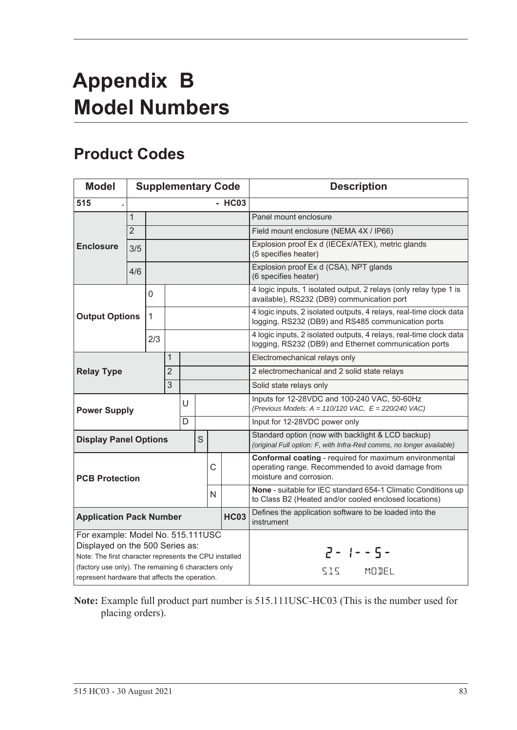# <span id="page-92-1"></span>**Appendix B Model Numbers**

# <span id="page-92-0"></span>**Product Codes**

| <b>Model</b>                                                                                                                                                                          |                |              |                |                                                                                                                                        |   | <b>Supplementary Code</b>                                                                                              | <b>Description</b>                                                                                                          |  |  |
|---------------------------------------------------------------------------------------------------------------------------------------------------------------------------------------|----------------|--------------|----------------|----------------------------------------------------------------------------------------------------------------------------------------|---|------------------------------------------------------------------------------------------------------------------------|-----------------------------------------------------------------------------------------------------------------------------|--|--|
| 515                                                                                                                                                                                   |                |              |                |                                                                                                                                        |   | - HC03                                                                                                                 |                                                                                                                             |  |  |
|                                                                                                                                                                                       | $\mathbf{1}$   |              |                |                                                                                                                                        |   |                                                                                                                        | Panel mount enclosure                                                                                                       |  |  |
|                                                                                                                                                                                       | $\overline{2}$ |              |                |                                                                                                                                        |   |                                                                                                                        | Field mount enclosure (NEMA 4X / IP66)                                                                                      |  |  |
| <b>Enclosure</b>                                                                                                                                                                      | 3/5            |              |                |                                                                                                                                        |   |                                                                                                                        | Explosion proof Ex d (IECEx/ATEX), metric glands<br>(5 specifies heater)                                                    |  |  |
|                                                                                                                                                                                       | 4/6            |              |                |                                                                                                                                        |   |                                                                                                                        | Explosion proof Ex d (CSA), NPT glands<br>(6 specifies heater)                                                              |  |  |
|                                                                                                                                                                                       |                | 0            |                |                                                                                                                                        |   |                                                                                                                        | 4 logic inputs, 1 isolated output, 2 relays (only relay type 1 is<br>available), RS232 (DB9) communication port             |  |  |
| <b>Output Options</b>                                                                                                                                                                 |                | $\mathbf{1}$ |                |                                                                                                                                        |   |                                                                                                                        | 4 logic inputs, 2 isolated outputs, 4 relays, real-time clock data<br>logging, RS232 (DB9) and RS485 communication ports    |  |  |
|                                                                                                                                                                                       |                | 2/3          |                |                                                                                                                                        |   |                                                                                                                        | 4 logic inputs, 2 isolated outputs, 4 relays, real-time clock data<br>logging, RS232 (DB9) and Ethernet communication ports |  |  |
|                                                                                                                                                                                       |                |              | 1              |                                                                                                                                        |   |                                                                                                                        | Electromechanical relays only                                                                                               |  |  |
| <b>Relay Type</b>                                                                                                                                                                     |                |              | $\overline{2}$ |                                                                                                                                        |   |                                                                                                                        | 2 electromechanical and 2 solid state relays                                                                                |  |  |
|                                                                                                                                                                                       |                |              | 3              |                                                                                                                                        |   |                                                                                                                        | Solid state relays only                                                                                                     |  |  |
| <b>Power Supply</b>                                                                                                                                                                   |                |              |                | U                                                                                                                                      |   |                                                                                                                        | Inputs for 12-28VDC and 100-240 VAC, 50-60Hz<br>(Previous Models: $A = 110/120$ VAC, $E = 220/240$ VAC)                     |  |  |
|                                                                                                                                                                                       |                |              |                | D                                                                                                                                      |   |                                                                                                                        | Input for 12-28VDC power only                                                                                               |  |  |
| <b>Display Panel Options</b>                                                                                                                                                          |                |              |                |                                                                                                                                        | S |                                                                                                                        | Standard option (now with backlight & LCD backup)<br>(original Full option: F, with Infra-Red comms, no longer available)   |  |  |
| C<br><b>PCB Protection</b>                                                                                                                                                            |                |              |                | Conformal coating - required for maximum environmental<br>operating range. Recommended to avoid damage from<br>moisture and corrosion. |   |                                                                                                                        |                                                                                                                             |  |  |
| N                                                                                                                                                                                     |                |              |                |                                                                                                                                        |   | None - suitable for IEC standard 654-1 Climatic Conditions up<br>to Class B2 (Heated and/or cooled enclosed locations) |                                                                                                                             |  |  |
| <b>HC03</b><br><b>Application Pack Number</b>                                                                                                                                         |                |              |                | Defines the application software to be loaded into the<br>instrument                                                                   |   |                                                                                                                        |                                                                                                                             |  |  |
| For example: Model No. 515.111USC<br>Displayed on the 500 Series as:<br>Note: The first character represents the CPU installed<br>(factory use only). The remaining 6 characters only |                |              |                |                                                                                                                                        |   |                                                                                                                        | $2 - 1 - 5 -$<br>SIS MODEL                                                                                                  |  |  |
| represent hardware that affects the operation.                                                                                                                                        |                |              |                |                                                                                                                                        |   |                                                                                                                        |                                                                                                                             |  |  |

**Note:** Example full product part number is 515.111USC-HC03 (This is the number used for placing orders).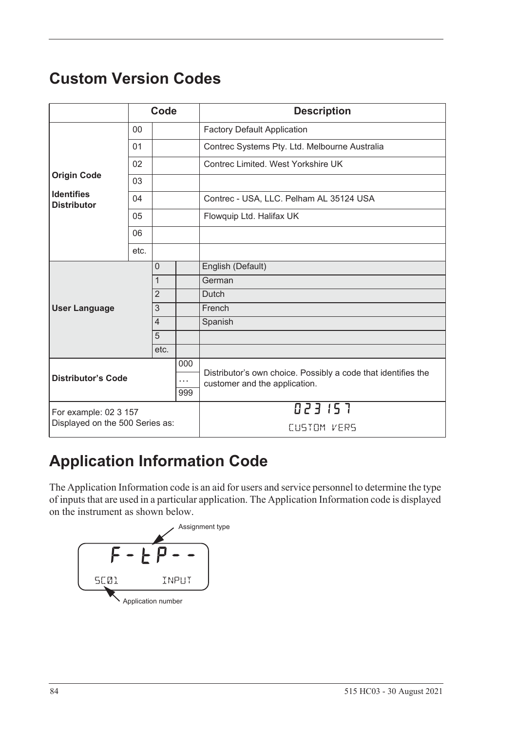# <span id="page-93-1"></span>**Custom Version Codes**

|                                              |          | Code                                                          | <b>Description</b>                            |
|----------------------------------------------|----------|---------------------------------------------------------------|-----------------------------------------------|
|                                              | 00       |                                                               | <b>Factory Default Application</b>            |
|                                              | 01       |                                                               | Contrec Systems Pty. Ltd. Melbourne Australia |
|                                              | 02       |                                                               | Contrec Limited. West Yorkshire UK            |
| <b>Origin Code</b>                           | 03       |                                                               |                                               |
| <b>Identifies</b><br><b>Distributor</b>      | 04       |                                                               | Contrec - USA, LLC. Pelham AL 35124 USA       |
|                                              | 05       |                                                               | Flowquip Ltd. Halifax UK                      |
|                                              | 06       |                                                               |                                               |
|                                              | etc.     |                                                               |                                               |
|                                              | $\Omega$ |                                                               | English (Default)                             |
|                                              |          | $\mathbf{1}$                                                  | German                                        |
|                                              |          | $\overline{2}$                                                | <b>Dutch</b>                                  |
| <b>User Language</b>                         |          | 3                                                             | French                                        |
|                                              |          | $\overline{4}$                                                | Spanish                                       |
|                                              |          | 5                                                             |                                               |
|                                              |          | etc.                                                          |                                               |
| 000<br><b>Distributor's Code</b><br>$\cdots$ |          | Distributor's own choice. Possibly a code that identifies the |                                               |
|                                              |          | customer and the application.                                 |                                               |
| 999                                          |          |                                                               |                                               |
| For example: 02 3 157                        |          |                                                               | 023157                                        |
| Displayed on the 500 Series as:              |          |                                                               | CUSTOM VERS                                   |

# **Application Information Code**

The Application Information code is an aid for users and service personnel to determine the type of inputs that are used in a particular application. The Application Information code is displayed on the instrument as shown below.

<span id="page-93-0"></span>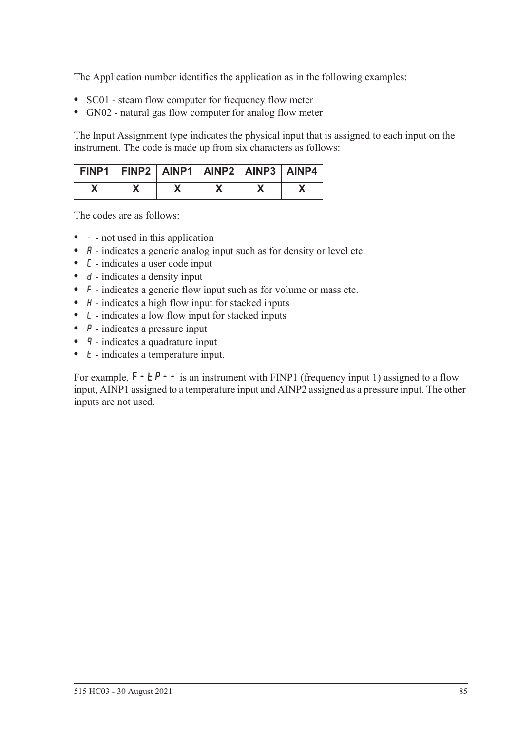The Application number identifies the application as in the following examples:

- **•** SC01 steam flow computer for frequency flow meter
- **•** GN02 natural gas flow computer for analog flow meter

The Input Assignment type indicates the physical input that is assigned to each input on the instrument. The code is made up from six characters as follows:

| FINP1   FINP2   AINP1   AINP2   AINP3   AINP4 |  |  |  |
|-----------------------------------------------|--|--|--|
|                                               |  |  |  |

The codes are as follows:

- - not used in this application
- **A** indicates a generic analog input such as for density or level etc.
- **•** C indicates a user code input
- d indicates a density input
- **•** F indicates a generic flow input such as for volume or mass etc.
- H indicates a high flow input for stacked inputs
- **•** L indicates a low flow input for stacked inputs
- **•** P indicates a pressure input
- **q** indicates a quadrature input
- *k* indicates a temperature input.

For example,  $F - tP - -$  is an instrument with FINP1 (frequency input 1) assigned to a flow input, AINP1 assigned to a temperature input and AINP2 assigned as a pressure input. The other inputs are not used.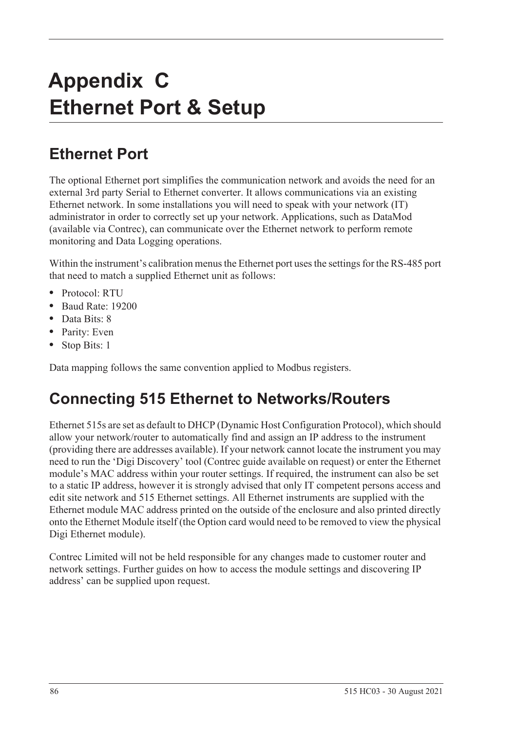# **Appendix C Ethernet Port & Setup**

# **Ethernet Port**

The optional Ethernet port simplifies the communication network and avoids the need for an external 3rd party Serial to Ethernet converter. It allows communications via an existing Ethernet network. In some installations you will need to speak with your network (IT) administrator in order to correctly set up your network. Applications, such as DataMod (available via Contrec), can communicate over the Ethernet network to perform remote monitoring and Data Logging operations.

Within the instrument's calibration menus the Ethernet port uses the settings for the RS-485 port that need to match a supplied Ethernet unit as follows:

- **•** Protocol: RTU
- **•** Baud Rate: 19200
- **•** Data Bits: 8
- **•** Parity: Even
- **•** Stop Bits: 1

Data mapping follows the same convention applied to Modbus registers.

# **Connecting 515 Ethernet to Networks/Routers**

Ethernet 515s are set as default to DHCP (Dynamic Host Configuration Protocol), which should allow your network/router to automatically find and assign an IP address to the instrument (providing there are addresses available). If your network cannot locate the instrument you may need to run the 'Digi Discovery' tool (Contrec guide available on request) or enter the Ethernet module's MAC address within your router settings. If required, the instrument can also be set to a static IP address, however it is strongly advised that only IT competent persons access and edit site network and 515 Ethernet settings. All Ethernet instruments are supplied with the Ethernet module MAC address printed on the outside of the enclosure and also printed directly onto the Ethernet Module itself (the Option card would need to be removed to view the physical Digi Ethernet module).

Contrec Limited will not be held responsible for any changes made to customer router and network settings. Further guides on how to access the module settings and discovering IP address' can be supplied upon request.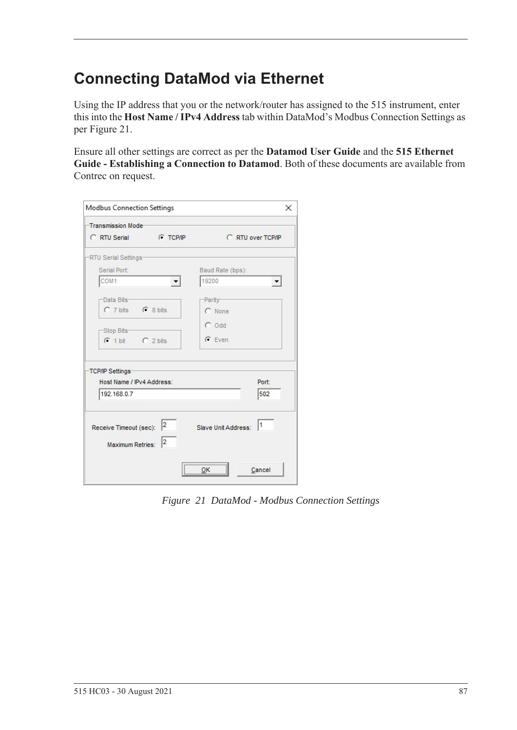# **Connecting DataMod via Ethernet**

Using the IP address that you or the network/router has assigned to the 515 instrument, enter this into the **Host Name / IPv4 Address** tab within DataMod's Modbus Connection Settings as per [Figure 21.](#page-96-0)

Ensure all other settings are correct as per the **Datamod User Guide** and the **515 Ethernet Guide - Establishing a Connection to Datamod**. Both of these documents are available from Contrec on request.

| Transmission Mode-                                   |                 |                     |                      |
|------------------------------------------------------|-----------------|---------------------|----------------------|
| C RTU Serial                                         | <b>C</b> TCP/IP | C RTU over TCP/IP   |                      |
| -RTU Serial Settings-                                |                 |                     |                      |
| Serial Port:                                         |                 | Baud Rate (bps):    |                      |
| COM1                                                 |                 | 19200               | $\blacktriangledown$ |
| -Data Bits-                                          |                 | -Parity-            |                      |
| C 7 bits C 8 bits                                    |                 | C None              |                      |
|                                                      |                 | $C$ Odd             |                      |
| -Stop Bits-                                          |                 | $G$ Even            |                      |
| $C$ 1 bit $C$ 2 bits                                 |                 |                     |                      |
| TCP/IP Settings                                      |                 |                     |                      |
| Host Name / IPv4 Address:                            |                 |                     | Port:                |
| 192.168.0.7                                          |                 |                     | 502                  |
| Receive Timeout (sec): $\vert^2$<br>Maximum Retries: | 2               | Slave Unit Address: | 11                   |
|                                                      |                 | ,                   | Cancel               |

<span id="page-96-0"></span>*Figure 21 DataMod - Modbus Connection Settings*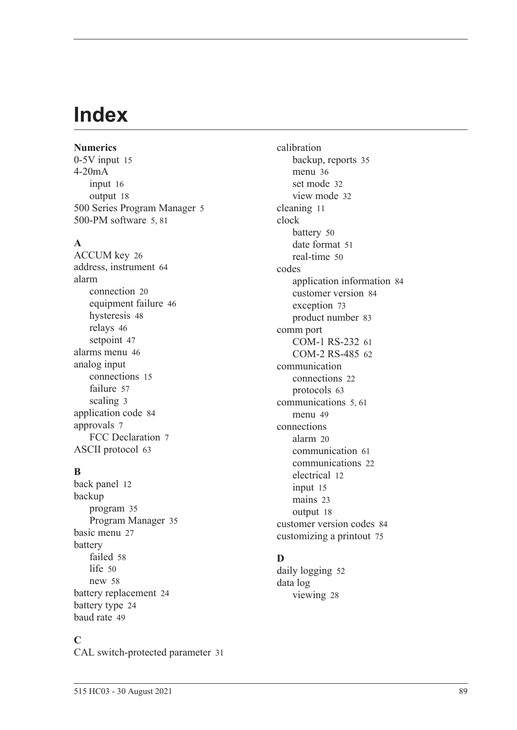# **Index**

**Numerics** 0-5V inpu[t 15](#page-24-0) 4-20mA input [16](#page-25-0) output [18](#page-27-0) 500 Series Program Manage[r 5](#page-14-0) 500-PM software [5,](#page-14-0) [81](#page-90-0)

#### **A**

ACCUM ke[y 26](#page-35-0) address, instrumen[t 64](#page-73-0) alarm connection [20](#page-29-0) equipment failur[e 46](#page-55-0) hysteresi[s 48](#page-57-0) relays [46](#page-55-1) setpoin[t 47](#page-56-0) alarms menu [46](#page-55-2) analog input connection[s 15](#page-24-1) failur[e 57](#page-66-0) scalin[g 3](#page-12-0) application cod[e 84](#page-93-0) approvals [7](#page-16-0) FCC Declaration [7](#page-16-1) ASCII protoco[l 63](#page-72-0)

#### **B**

back panel [12](#page-21-0) backup program [35](#page-44-0) Program Manage[r 35](#page-44-1) basic men[u 27](#page-36-0) battery faile[d 58](#page-67-0) lif[e 50](#page-59-1) ne[w 58](#page-67-0) battery replacemen[t 24](#page-33-0) battery typ[e 24](#page-33-1) baud rat[e 49](#page-58-1)

#### **C**

CAL switch-protected parameter [31](#page-40-0)

calibration backup, reports [35](#page-44-0) menu [36](#page-45-0) set mode [32](#page-41-0) view mode [32](#page-41-1) cleaning [11](#page-20-0) clock batter[y 50](#page-59-1) date format [51](#page-60-0) real-tim[e 50](#page-59-2) codes application information [84](#page-93-0) customer versio[n 84](#page-93-1) exception [73](#page-82-1) product numbe[r 83](#page-92-0) comm port COM-1 RS-232 [61](#page-70-0) COM-2 RS-485 [62](#page-71-0) communication connection[s 22](#page-31-0) protocols [63](#page-72-1) communication[s 5,](#page-14-1) [61](#page-70-1) menu [49](#page-58-2) connections alar[m 20](#page-29-0) communication [61](#page-70-2) communication[s 22](#page-31-0) electrical [12](#page-21-1) input [15](#page-24-2) mains [23](#page-32-0) output [18](#page-27-1) customer version codes [84](#page-93-1) customizing a printout [75](#page-84-1)

# **D**

daily logging [52](#page-61-0) data log viewing [28](#page-37-0)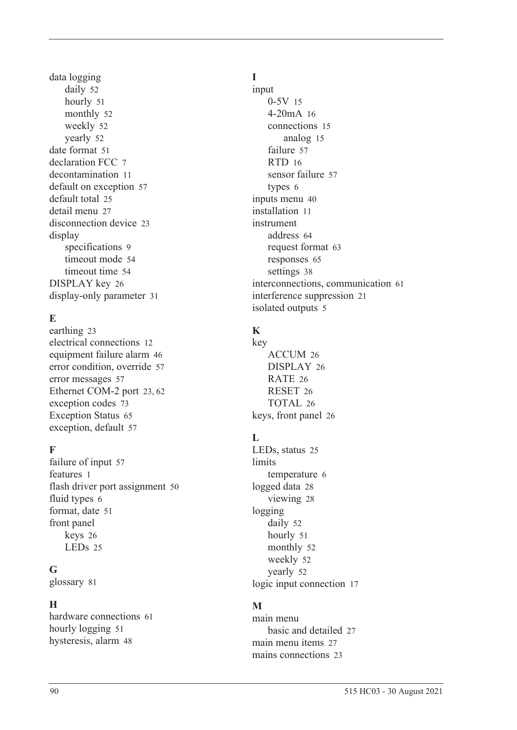data logging daily [52](#page-61-0) hourl[y 51](#page-60-1) monthly [52](#page-61-1) weekl[y 52](#page-61-2) yearly [52](#page-61-3) date format [51](#page-60-0) declaration FCC [7](#page-16-1) decontamination [11](#page-20-0) default on exception [57](#page-66-1) default tota[l 25](#page-34-0) detail men[u 27](#page-36-0) disconnection device [23](#page-32-1) display specifications [9](#page-18-0) timeout mod[e 54](#page-63-0) timeout time [54](#page-63-1) DISPLAY key [26](#page-35-1) display-only parameter [31](#page-40-1)

# **E**

earthin[g 23](#page-32-2) electrical connections [12](#page-21-1) equipment failure alarm [46](#page-55-0) error condition, overrid[e 57](#page-66-2) error message[s 57](#page-66-3) Ethernet COM-2 por[t 23,](#page-32-3) [62](#page-71-1) exception codes [73](#page-82-1) Exception Status [65](#page-74-0) exception, default [57](#page-66-1)

## **F**

failure of input [57](#page-66-0) features [1](#page-10-0) flash driver port assignmen[t 50](#page-59-3) fluid types [6](#page-15-0) format, date [51](#page-60-0) front panel keys [26](#page-35-2) LEDs [25](#page-34-1)

#### **G**

glossary [81](#page-90-1)

#### **H**

hardware connections [61](#page-70-2) hourly logging [51](#page-60-1) hysteresis, alar[m 48](#page-57-0)

## **I**

input 0-5[V 15](#page-24-0) 4-20mA [16](#page-25-0) connections [15](#page-24-2) analog [15](#page-24-1) failure [57](#page-66-0) RTD [16](#page-25-1) sensor failure [57](#page-66-0) types [6](#page-15-1) inputs menu [40](#page-49-0) installation [11](#page-20-1) instrument address [64](#page-73-0) request forma[t 63](#page-72-2) response[s 65](#page-74-1) setting[s 38](#page-47-0) interconnections, communication [61](#page-70-2) interference suppression [21](#page-30-0) isolated output[s 5](#page-14-2)

### **K**

key ACCUM [26](#page-35-0) DISPLA[Y 26](#page-35-1) RATE [26](#page-35-3) RESE[T 26](#page-35-4) TOTAL [26](#page-35-5) keys, front panel [26](#page-35-2)

## **L**

LEDs, status [25](#page-34-1) limits temperature [6](#page-15-0) logged dat[a 28](#page-37-0) viewin[g 28](#page-37-1) logging daily [52](#page-61-0) hourly [51](#page-60-1) monthly [52](#page-61-1) weekl[y 52](#page-61-2) yearly [52](#page-61-3) logic input connection [17](#page-26-0)

## **M**

main menu basic and detailed [27](#page-36-0) main menu item[s 27](#page-36-1) mains connections [23](#page-32-0)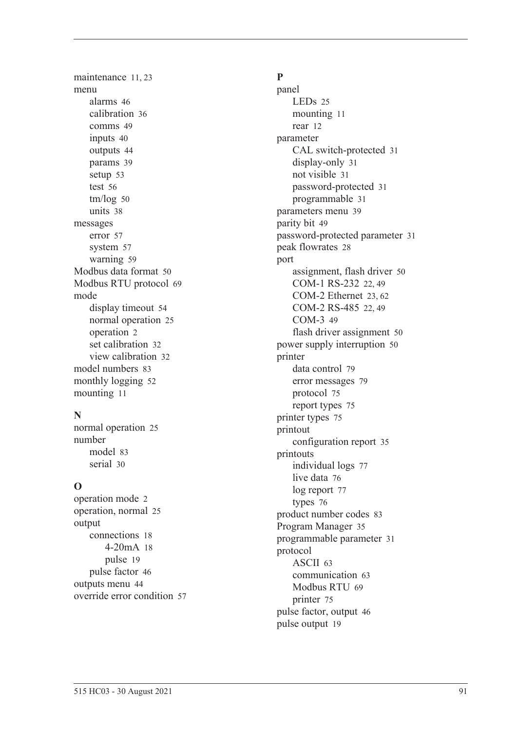maintenance [11,](#page-20-1) [23](#page-32-4) menu alarm[s 46](#page-55-2) calibratio[n 36](#page-45-0) comms [49](#page-58-2) input[s 40](#page-49-0) output[s 44](#page-53-0) params [39](#page-48-0) setu[p 53](#page-62-0) test [56](#page-65-0) tm/lo[g 50](#page-59-4) unit[s 38](#page-47-1) messages erro[r 57](#page-66-3) syste[m 57](#page-66-4) warnin[g 59](#page-68-0) Modbus data forma[t 50](#page-59-5) Modbus RTU protoco[l 69](#page-78-0) mode display timeou[t 54](#page-63-0) normal operatio[n 25](#page-34-2) operatio[n 2](#page-11-0) set calibration [32](#page-41-0) view calibration [32](#page-41-1) model number[s 83](#page-92-1) monthly logging [52](#page-61-1) mountin[g 11](#page-20-2)

#### **N**

normal operatio[n 25](#page-34-2) number mode[l 83](#page-92-1) seria[l 30](#page-39-1)

# **O**

operation mod[e 2](#page-11-0) operation, norma[l 25](#page-34-2) output connection[s 18](#page-27-1) 4-20m[A 18](#page-27-0) puls[e 19](#page-28-0) pulse facto[r 46](#page-55-3) outputs men[u 44](#page-53-0) override error condition [57](#page-66-2)

## **P**

panel LEDs [25](#page-34-1) mounting [11](#page-20-2) rear [12](#page-21-0) parameter CAL switch-protected [31](#page-40-0) display-only [31](#page-40-1) not visibl[e 31](#page-40-2) password-protected [31](#page-40-3) programmable [31](#page-40-4) parameters men[u 39](#page-48-0) parity bit [49](#page-58-3) password-protected parameter [31](#page-40-3) peak flowrate[s 28](#page-37-2) port assignment, flash driver [50](#page-59-3) COM-1 RS-232 [22,](#page-31-1) [49](#page-58-4) COM-2 Ethernet [23,](#page-32-3) [62](#page-71-1) COM-2 RS-485 [22,](#page-31-2) [49](#page-58-5) COM-[3 49](#page-58-6) flash driver assignment [50](#page-59-3) power supply interruption [50](#page-59-1) printer data control [79](#page-88-0) error messages [79](#page-88-1) protocol [75](#page-84-2) report types [75](#page-84-3) printer type[s 75](#page-84-4) printout configuration repor[t 35](#page-44-2) printouts individual logs [77](#page-86-0) live data [76](#page-85-0) log report [77](#page-86-1) type[s 76](#page-85-1) product number codes [83](#page-92-0) Program Manager [35](#page-44-1) programmable parameter [31](#page-40-4) protocol ASCI[I 63](#page-72-0) communication [63](#page-72-1) Modbus RT[U 69](#page-78-0) printer [75](#page-84-2) pulse factor, output [46](#page-55-3) pulse output [19](#page-28-0)